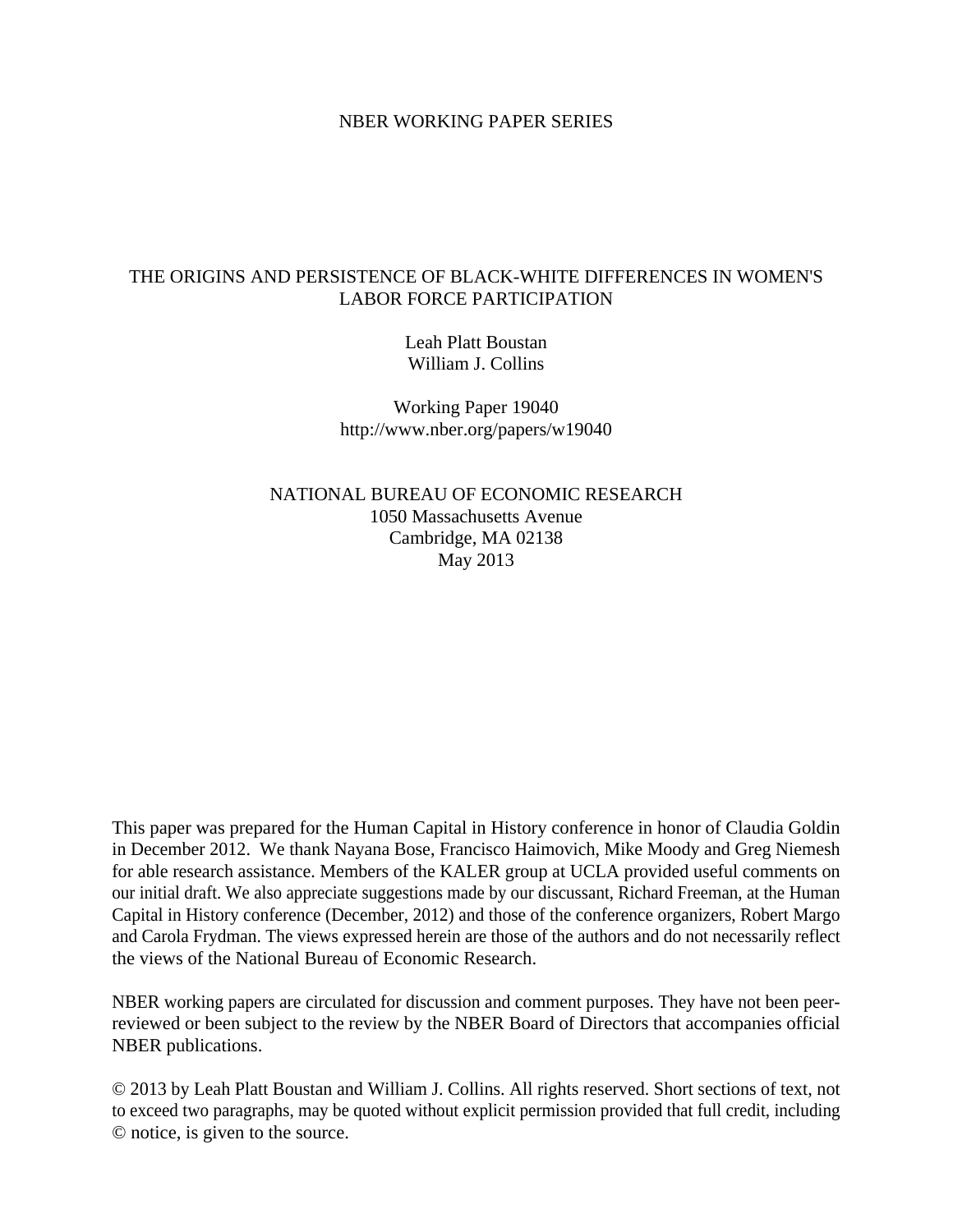#### NBER WORKING PAPER SERIES

# THE ORIGINS AND PERSISTENCE OF BLACK-WHITE DIFFERENCES IN WOMEN'S LABOR FORCE PARTICIPATION

Leah Platt Boustan William J. Collins

Working Paper 19040 http://www.nber.org/papers/w19040

NATIONAL BUREAU OF ECONOMIC RESEARCH 1050 Massachusetts Avenue Cambridge, MA 02138 May 2013

This paper was prepared for the Human Capital in History conference in honor of Claudia Goldin in December 2012. We thank Nayana Bose, Francisco Haimovich, Mike Moody and Greg Niemesh for able research assistance. Members of the KALER group at UCLA provided useful comments on our initial draft. We also appreciate suggestions made by our discussant, Richard Freeman, at the Human Capital in History conference (December, 2012) and those of the conference organizers, Robert Margo and Carola Frydman. The views expressed herein are those of the authors and do not necessarily reflect the views of the National Bureau of Economic Research.

NBER working papers are circulated for discussion and comment purposes. They have not been peerreviewed or been subject to the review by the NBER Board of Directors that accompanies official NBER publications.

© 2013 by Leah Platt Boustan and William J. Collins. All rights reserved. Short sections of text, not to exceed two paragraphs, may be quoted without explicit permission provided that full credit, including © notice, is given to the source.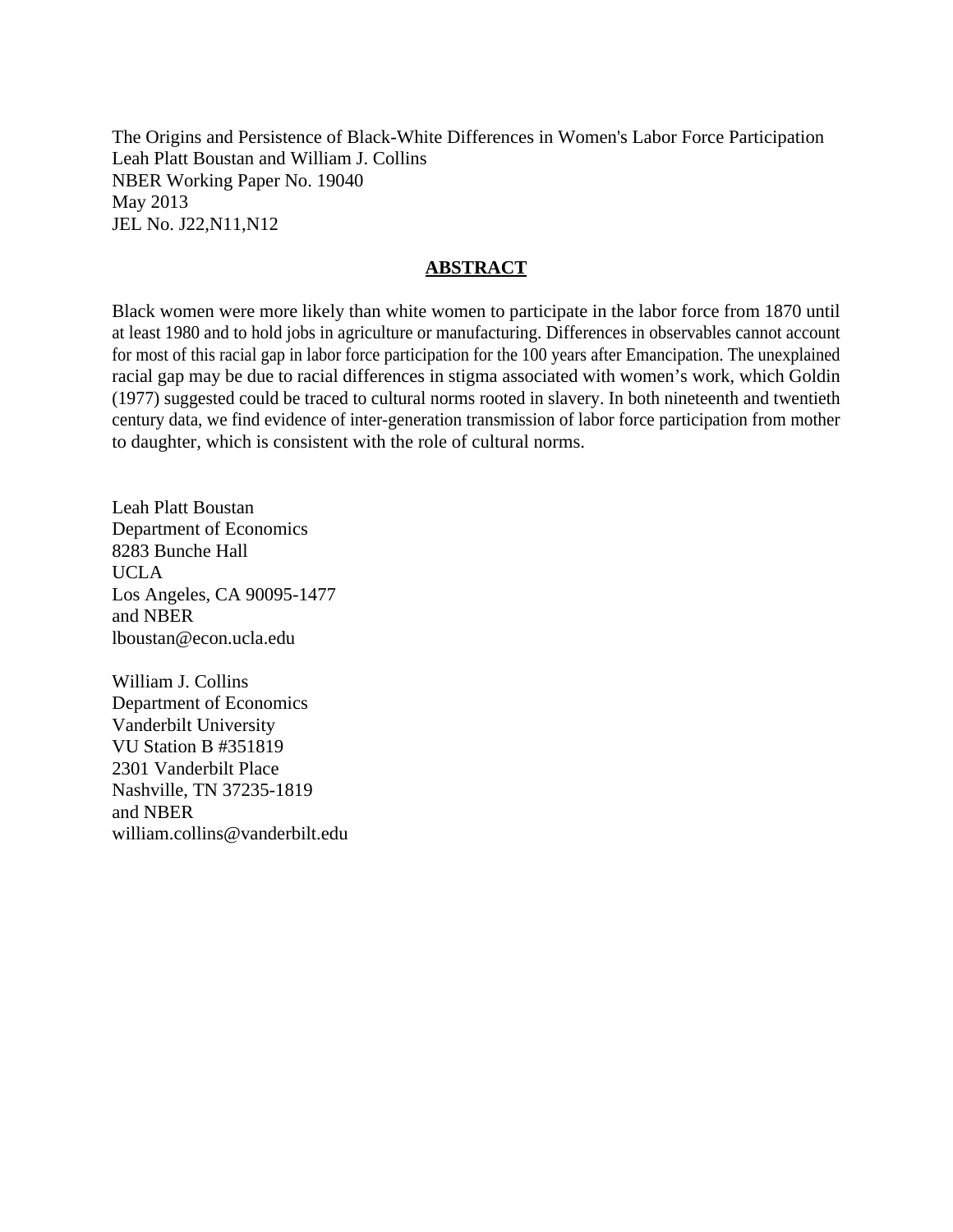The Origins and Persistence of Black-White Differences in Women's Labor Force Participation Leah Platt Boustan and William J. Collins NBER Working Paper No. 19040 May 2013 JEL No. J22,N11,N12

# **ABSTRACT**

Black women were more likely than white women to participate in the labor force from 1870 until at least 1980 and to hold jobs in agriculture or manufacturing. Differences in observables cannot account for most of this racial gap in labor force participation for the 100 years after Emancipation. The unexplained racial gap may be due to racial differences in stigma associated with women's work, which Goldin (1977) suggested could be traced to cultural norms rooted in slavery. In both nineteenth and twentieth century data, we find evidence of inter-generation transmission of labor force participation from mother to daughter, which is consistent with the role of cultural norms.

Leah Platt Boustan Department of Economics 8283 Bunche Hall UCLA Los Angeles, CA 90095-1477 and NBER lboustan@econ.ucla.edu

William J. Collins Department of Economics Vanderbilt University VU Station B #351819 2301 Vanderbilt Place Nashville, TN 37235-1819 and NBER william.collins@vanderbilt.edu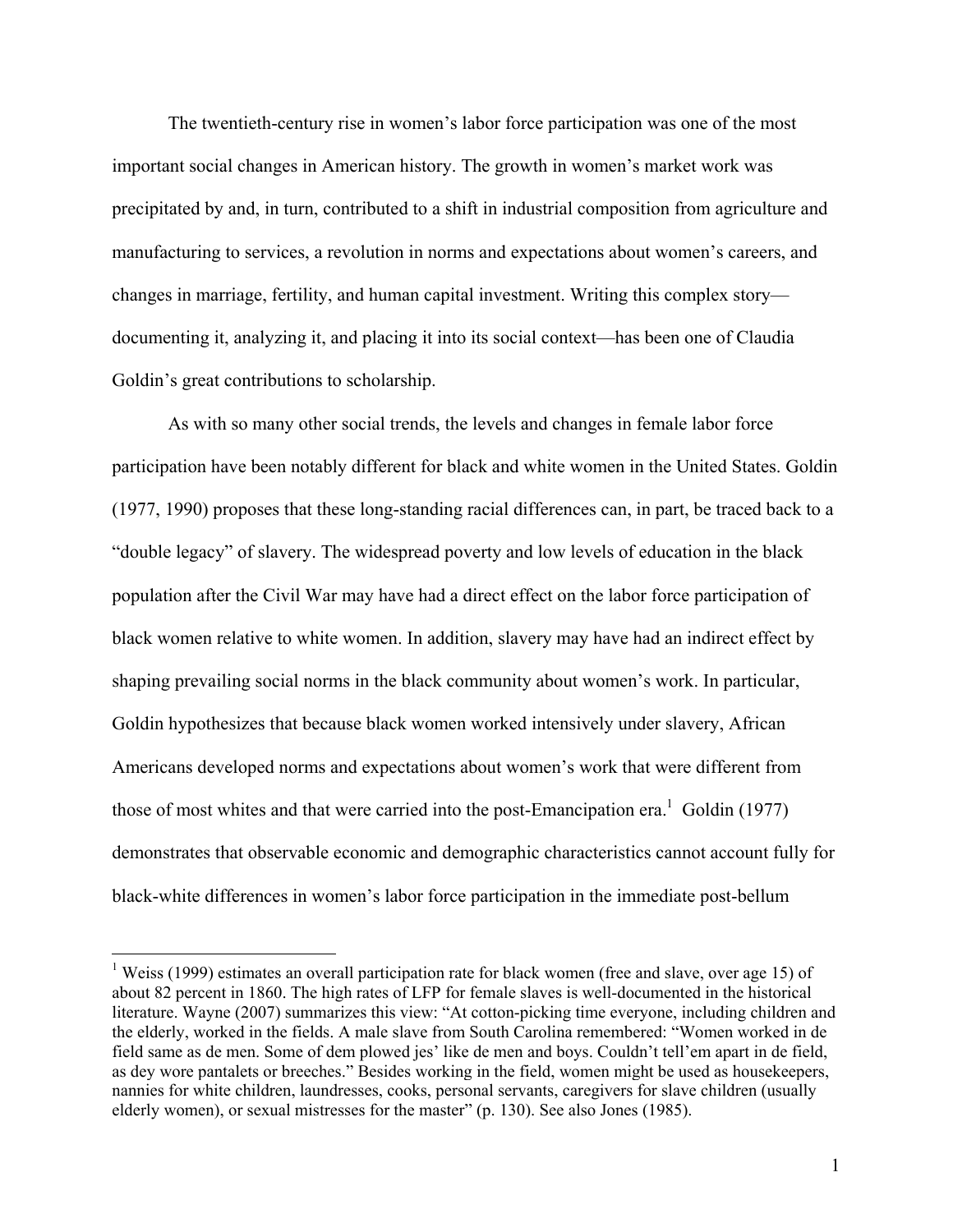The twentieth-century rise in women's labor force participation was one of the most important social changes in American history. The growth in women's market work was precipitated by and, in turn, contributed to a shift in industrial composition from agriculture and manufacturing to services, a revolution in norms and expectations about women's careers, and changes in marriage, fertility, and human capital investment. Writing this complex story documenting it, analyzing it, and placing it into its social context—has been one of Claudia Goldin's great contributions to scholarship.

As with so many other social trends, the levels and changes in female labor force participation have been notably different for black and white women in the United States. Goldin (1977, 1990) proposes that these long-standing racial differences can, in part, be traced back to a "double legacy" of slavery. The widespread poverty and low levels of education in the black population after the Civil War may have had a direct effect on the labor force participation of black women relative to white women. In addition, slavery may have had an indirect effect by shaping prevailing social norms in the black community about women's work. In particular, Goldin hypothesizes that because black women worked intensively under slavery, African Americans developed norms and expectations about women's work that were different from those of most whites and that were carried into the post-Emancipation era.<sup>1</sup> Goldin (1977) demonstrates that observable economic and demographic characteristics cannot account fully for black-white differences in women's labor force participation in the immediate post-bellum

<sup>&</sup>lt;sup>1</sup> Weiss (1999) estimates an overall participation rate for black women (free and slave, over age 15) of about 82 percent in 1860. The high rates of LFP for female slaves is well-documented in the historical literature. Wayne (2007) summarizes this view: "At cotton-picking time everyone, including children and the elderly, worked in the fields. A male slave from South Carolina remembered: "Women worked in de field same as de men. Some of dem plowed jes' like de men and boys. Couldn't tell'em apart in de field, as dey wore pantalets or breeches." Besides working in the field, women might be used as housekeepers, nannies for white children, laundresses, cooks, personal servants, caregivers for slave children (usually elderly women), or sexual mistresses for the master" (p. 130). See also Jones (1985).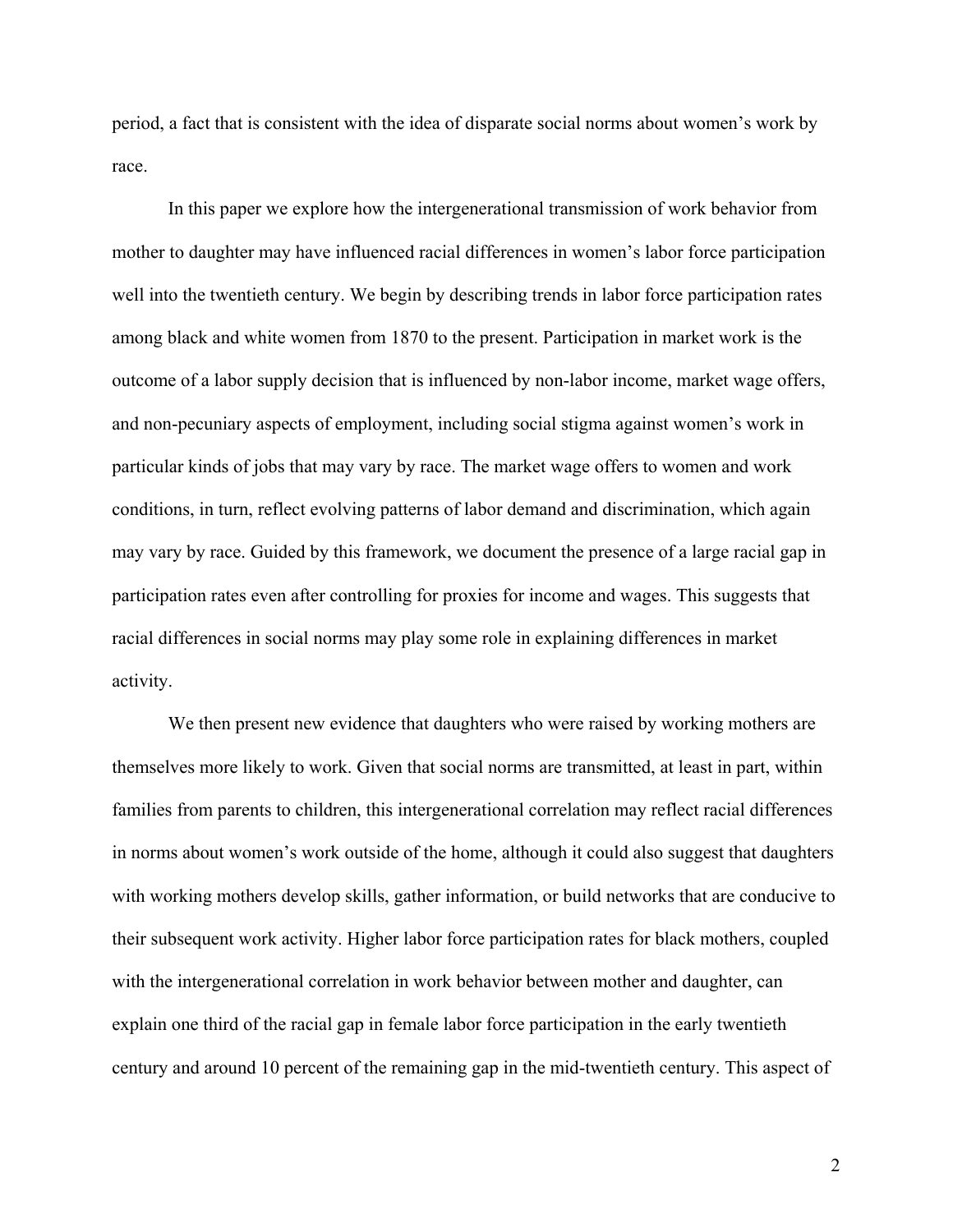period, a fact that is consistent with the idea of disparate social norms about women's work by race.

In this paper we explore how the intergenerational transmission of work behavior from mother to daughter may have influenced racial differences in women's labor force participation well into the twentieth century. We begin by describing trends in labor force participation rates among black and white women from 1870 to the present. Participation in market work is the outcome of a labor supply decision that is influenced by non-labor income, market wage offers, and non-pecuniary aspects of employment, including social stigma against women's work in particular kinds of jobs that may vary by race. The market wage offers to women and work conditions, in turn, reflect evolving patterns of labor demand and discrimination, which again may vary by race. Guided by this framework, we document the presence of a large racial gap in participation rates even after controlling for proxies for income and wages. This suggests that racial differences in social norms may play some role in explaining differences in market activity.

We then present new evidence that daughters who were raised by working mothers are themselves more likely to work. Given that social norms are transmitted, at least in part, within families from parents to children, this intergenerational correlation may reflect racial differences in norms about women's work outside of the home, although it could also suggest that daughters with working mothers develop skills, gather information, or build networks that are conducive to their subsequent work activity. Higher labor force participation rates for black mothers, coupled with the intergenerational correlation in work behavior between mother and daughter, can explain one third of the racial gap in female labor force participation in the early twentieth century and around 10 percent of the remaining gap in the mid-twentieth century. This aspect of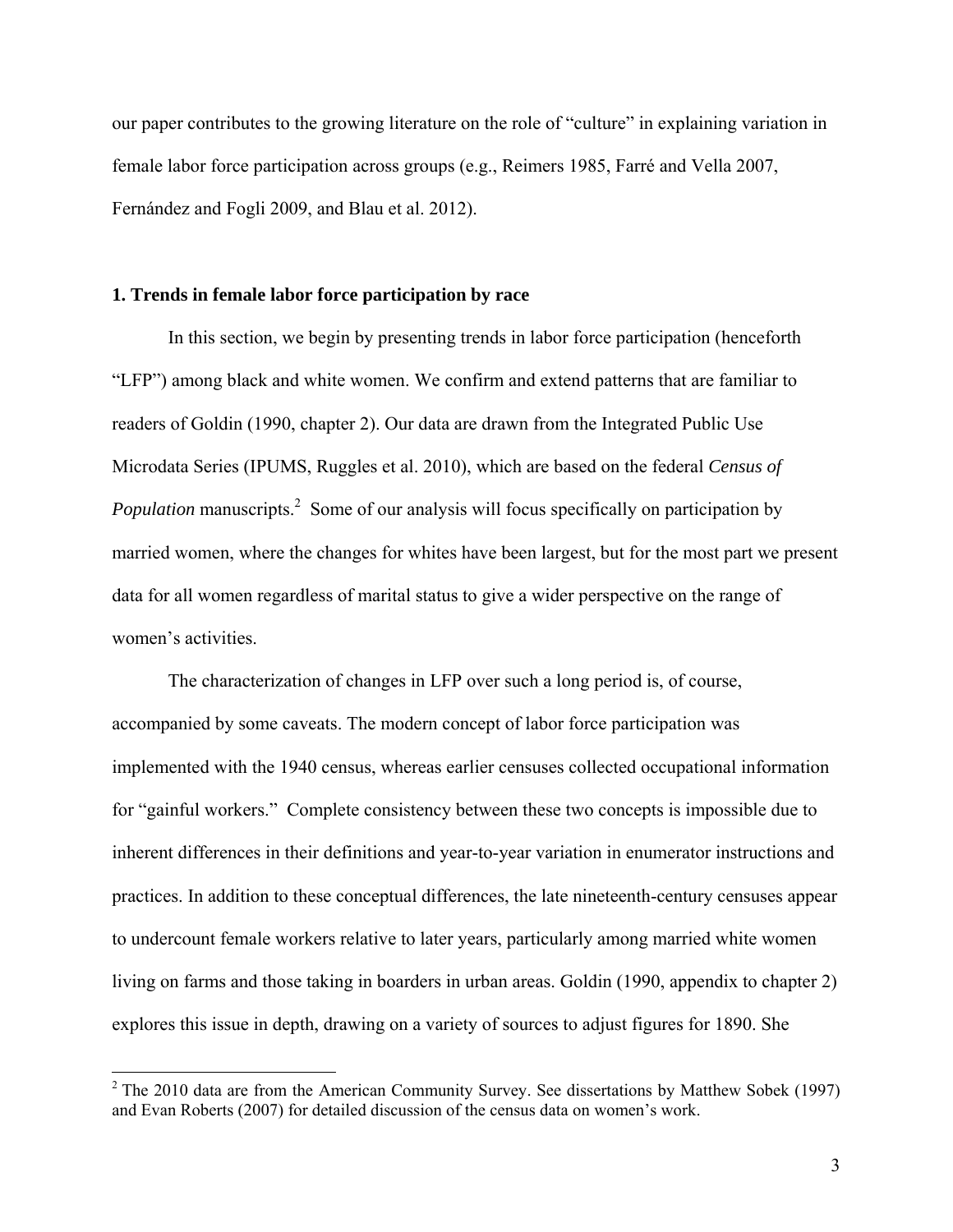our paper contributes to the growing literature on the role of "culture" in explaining variation in female labor force participation across groups (e.g., Reimers 1985, Farré and Vella 2007, Fernández and Fogli 2009, and Blau et al. 2012).

### **1. Trends in female labor force participation by race**

 $\overline{a}$ 

In this section, we begin by presenting trends in labor force participation (henceforth "LFP") among black and white women. We confirm and extend patterns that are familiar to readers of Goldin (1990, chapter 2). Our data are drawn from the Integrated Public Use Microdata Series (IPUMS, Ruggles et al. 2010), which are based on the federal *Census of Population* manuscripts.<sup>2</sup> Some of our analysis will focus specifically on participation by married women, where the changes for whites have been largest, but for the most part we present data for all women regardless of marital status to give a wider perspective on the range of women's activities.

 The characterization of changes in LFP over such a long period is, of course, accompanied by some caveats. The modern concept of labor force participation was implemented with the 1940 census, whereas earlier censuses collected occupational information for "gainful workers." Complete consistency between these two concepts is impossible due to inherent differences in their definitions and year-to-year variation in enumerator instructions and practices. In addition to these conceptual differences, the late nineteenth-century censuses appear to undercount female workers relative to later years, particularly among married white women living on farms and those taking in boarders in urban areas. Goldin (1990, appendix to chapter 2) explores this issue in depth, drawing on a variety of sources to adjust figures for 1890. She

<sup>&</sup>lt;sup>2</sup> The 2010 data are from the American Community Survey. See dissertations by Matthew Sobek (1997) and Evan Roberts (2007) for detailed discussion of the census data on women's work.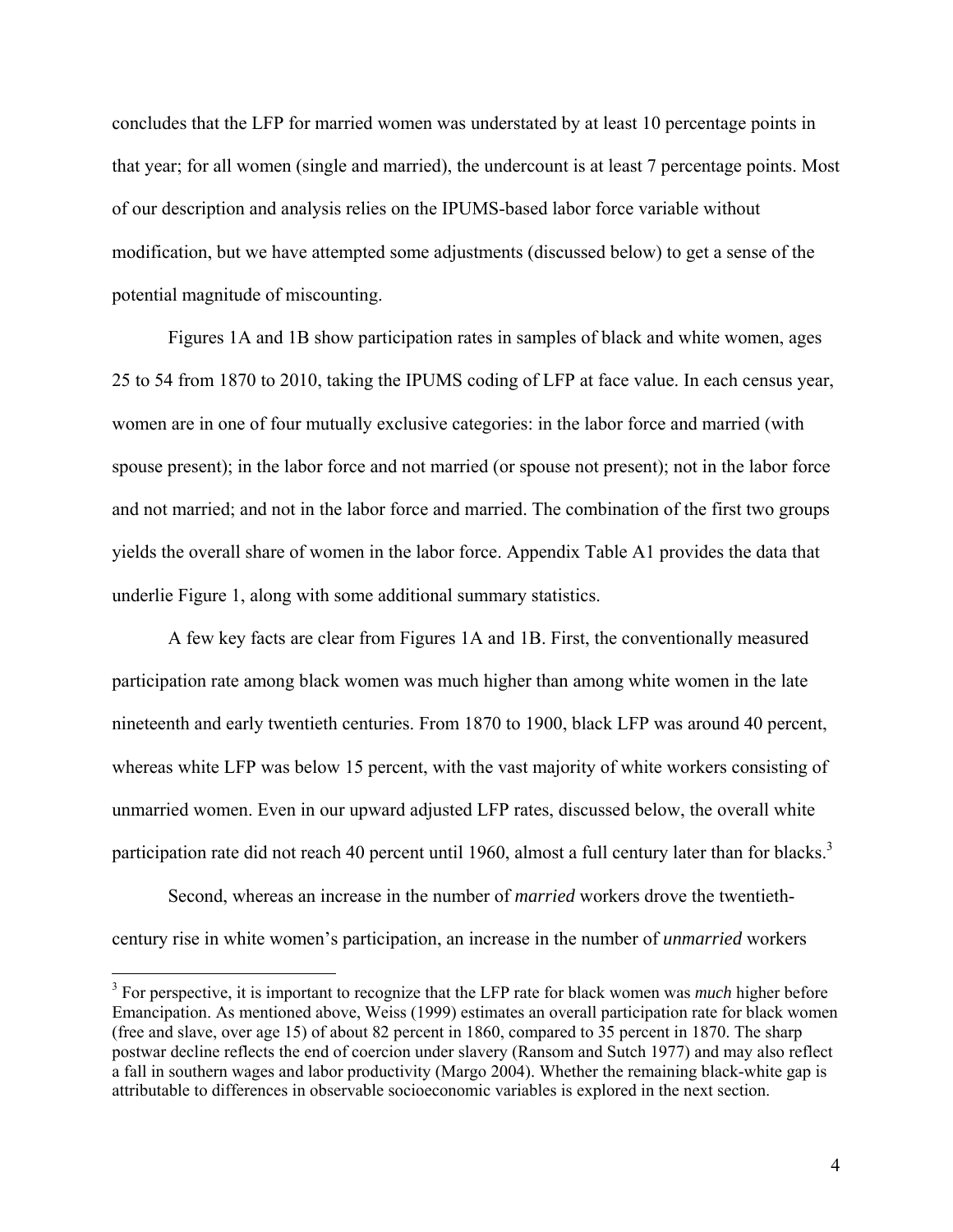concludes that the LFP for married women was understated by at least 10 percentage points in that year; for all women (single and married), the undercount is at least 7 percentage points. Most of our description and analysis relies on the IPUMS-based labor force variable without modification, but we have attempted some adjustments (discussed below) to get a sense of the potential magnitude of miscounting.

Figures 1A and 1B show participation rates in samples of black and white women, ages 25 to 54 from 1870 to 2010, taking the IPUMS coding of LFP at face value. In each census year, women are in one of four mutually exclusive categories: in the labor force and married (with spouse present); in the labor force and not married (or spouse not present); not in the labor force and not married; and not in the labor force and married. The combination of the first two groups yields the overall share of women in the labor force. Appendix Table A1 provides the data that underlie Figure 1, along with some additional summary statistics.

A few key facts are clear from Figures 1A and 1B. First, the conventionally measured participation rate among black women was much higher than among white women in the late nineteenth and early twentieth centuries. From 1870 to 1900, black LFP was around 40 percent, whereas white LFP was below 15 percent, with the vast majority of white workers consisting of unmarried women. Even in our upward adjusted LFP rates, discussed below, the overall white participation rate did not reach 40 percent until 1960, almost a full century later than for blacks.<sup>3</sup>

Second, whereas an increase in the number of *married* workers drove the twentiethcentury rise in white women's participation, an increase in the number of *unmarried* workers

<sup>&</sup>lt;sup>3</sup> For perspective, it is important to recognize that the LFP rate for black women was *much* higher before Emancipation. As mentioned above, Weiss (1999) estimates an overall participation rate for black women (free and slave, over age 15) of about 82 percent in 1860, compared to 35 percent in 1870. The sharp postwar decline reflects the end of coercion under slavery (Ransom and Sutch 1977) and may also reflect a fall in southern wages and labor productivity (Margo 2004). Whether the remaining black-white gap is attributable to differences in observable socioeconomic variables is explored in the next section.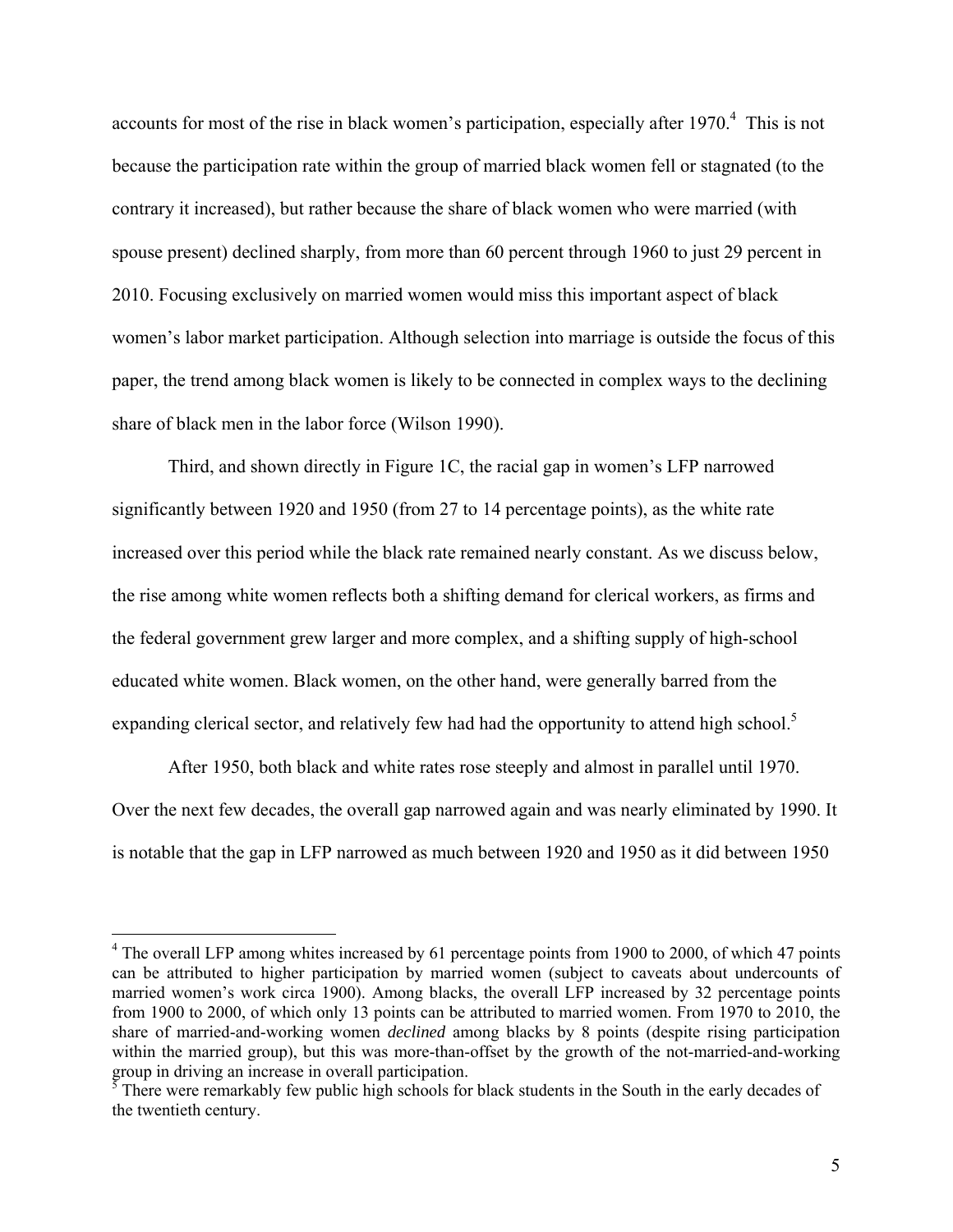accounts for most of the rise in black women's participation, especially after  $1970<sup>4</sup>$ . This is not because the participation rate within the group of married black women fell or stagnated (to the contrary it increased), but rather because the share of black women who were married (with spouse present) declined sharply, from more than 60 percent through 1960 to just 29 percent in 2010. Focusing exclusively on married women would miss this important aspect of black women's labor market participation. Although selection into marriage is outside the focus of this paper, the trend among black women is likely to be connected in complex ways to the declining share of black men in the labor force (Wilson 1990).

Third, and shown directly in Figure 1C, the racial gap in women's LFP narrowed significantly between 1920 and 1950 (from 27 to 14 percentage points), as the white rate increased over this period while the black rate remained nearly constant. As we discuss below, the rise among white women reflects both a shifting demand for clerical workers, as firms and the federal government grew larger and more complex, and a shifting supply of high-school educated white women. Black women, on the other hand, were generally barred from the expanding clerical sector, and relatively few had had the opportunity to attend high school.<sup>5</sup>

After 1950, both black and white rates rose steeply and almost in parallel until 1970. Over the next few decades, the overall gap narrowed again and was nearly eliminated by 1990. It is notable that the gap in LFP narrowed as much between 1920 and 1950 as it did between 1950

<sup>&</sup>lt;sup>4</sup> The overall LFP among whites increased by 61 percentage points from 1900 to 2000, of which 47 points can be attributed to higher participation by married women (subject to caveats about undercounts of married women's work circa 1900). Among blacks, the overall LFP increased by 32 percentage points from 1900 to 2000, of which only 13 points can be attributed to married women. From 1970 to 2010, the share of married-and-working women *declined* among blacks by 8 points (despite rising participation within the married group), but this was more-than-offset by the growth of the not-married-and-working group in driving an increase in overall participation.<br><sup>5</sup> There were remarkably few public high schools for black students in the South in the early decades of

the twentieth century.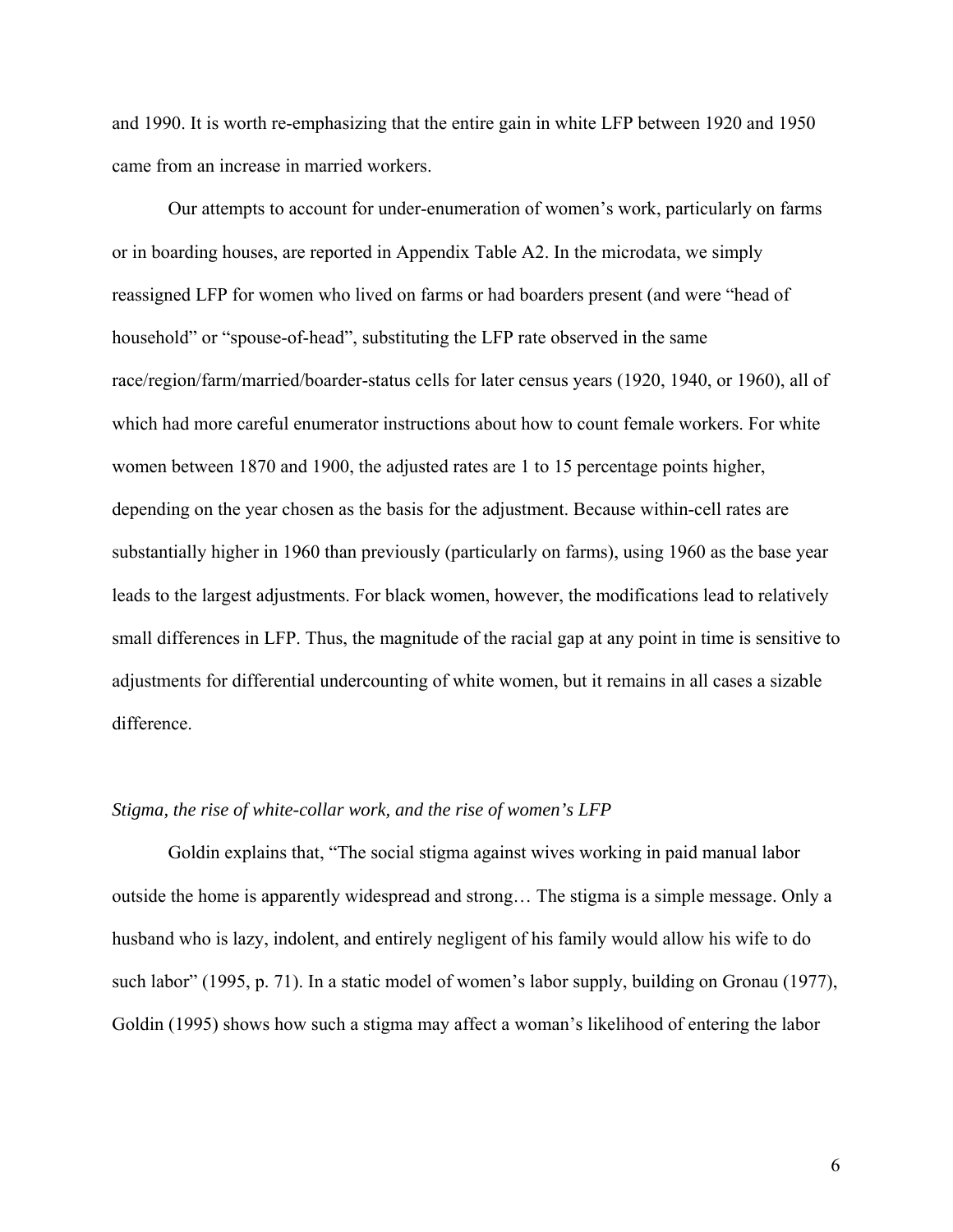and 1990. It is worth re-emphasizing that the entire gain in white LFP between 1920 and 1950 came from an increase in married workers.

Our attempts to account for under-enumeration of women's work, particularly on farms or in boarding houses, are reported in Appendix Table A2. In the microdata, we simply reassigned LFP for women who lived on farms or had boarders present (and were "head of household" or "spouse-of-head", substituting the LFP rate observed in the same race/region/farm/married/boarder-status cells for later census years (1920, 1940, or 1960), all of which had more careful enumerator instructions about how to count female workers. For white women between 1870 and 1900, the adjusted rates are 1 to 15 percentage points higher, depending on the year chosen as the basis for the adjustment. Because within-cell rates are substantially higher in 1960 than previously (particularly on farms), using 1960 as the base year leads to the largest adjustments. For black women, however, the modifications lead to relatively small differences in LFP. Thus, the magnitude of the racial gap at any point in time is sensitive to adjustments for differential undercounting of white women, but it remains in all cases a sizable difference.

### *Stigma, the rise of white-collar work, and the rise of women's LFP*

Goldin explains that, "The social stigma against wives working in paid manual labor outside the home is apparently widespread and strong… The stigma is a simple message. Only a husband who is lazy, indolent, and entirely negligent of his family would allow his wife to do such labor" (1995, p. 71). In a static model of women's labor supply, building on Gronau (1977), Goldin (1995) shows how such a stigma may affect a woman's likelihood of entering the labor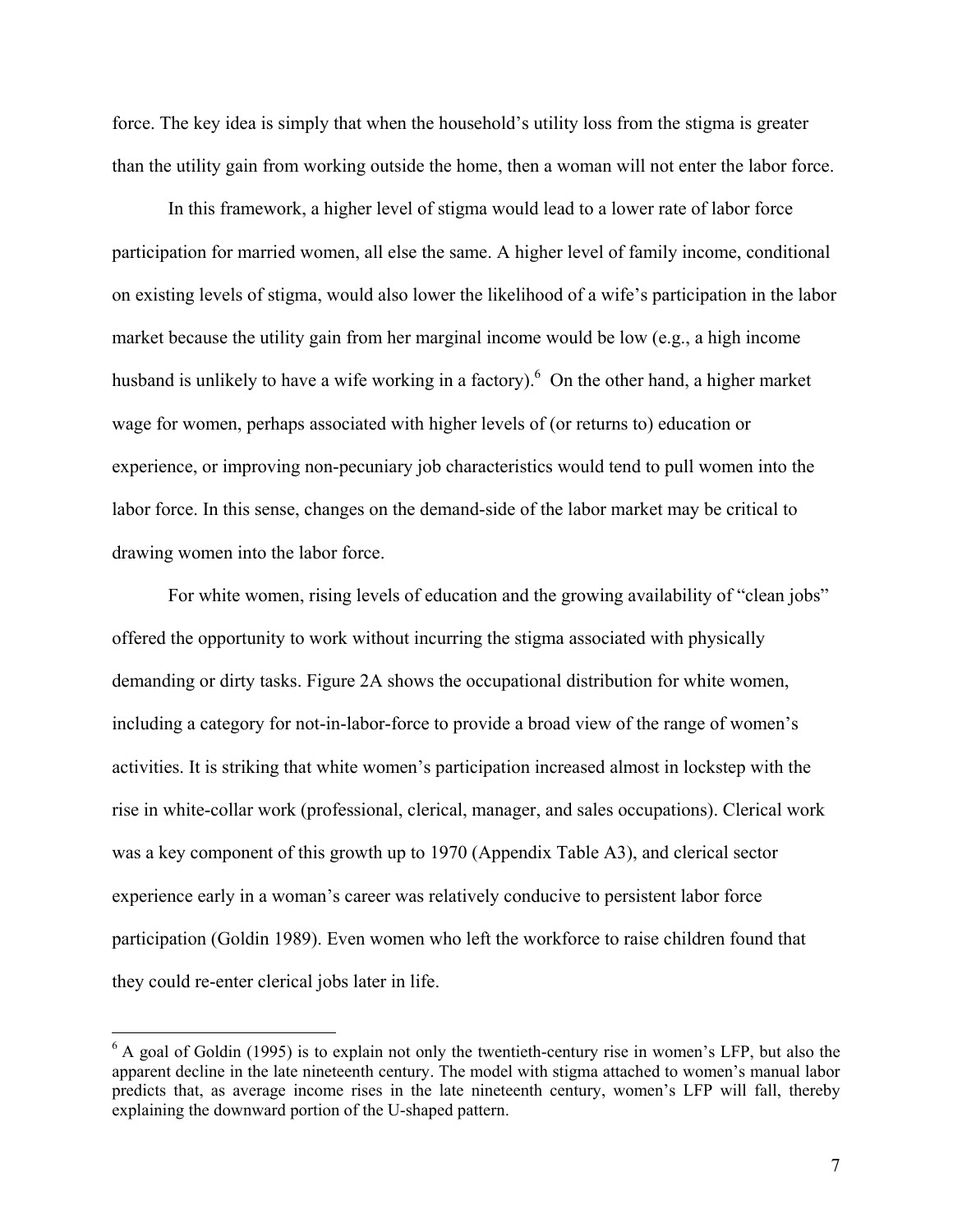force. The key idea is simply that when the household's utility loss from the stigma is greater than the utility gain from working outside the home, then a woman will not enter the labor force.

In this framework, a higher level of stigma would lead to a lower rate of labor force participation for married women, all else the same. A higher level of family income, conditional on existing levels of stigma, would also lower the likelihood of a wife's participation in the labor market because the utility gain from her marginal income would be low (e.g., a high income husband is unlikely to have a wife working in a factory). <sup>6</sup> On the other hand, a higher market wage for women, perhaps associated with higher levels of (or returns to) education or experience, or improving non-pecuniary job characteristics would tend to pull women into the labor force. In this sense, changes on the demand-side of the labor market may be critical to drawing women into the labor force.

For white women, rising levels of education and the growing availability of "clean jobs" offered the opportunity to work without incurring the stigma associated with physically demanding or dirty tasks. Figure 2A shows the occupational distribution for white women, including a category for not-in-labor-force to provide a broad view of the range of women's activities. It is striking that white women's participation increased almost in lockstep with the rise in white-collar work (professional, clerical, manager, and sales occupations). Clerical work was a key component of this growth up to 1970 (Appendix Table A3), and clerical sector experience early in a woman's career was relatively conducive to persistent labor force participation (Goldin 1989). Even women who left the workforce to raise children found that they could re-enter clerical jobs later in life.

 $6$  A goal of Goldin (1995) is to explain not only the twentieth-century rise in women's LFP, but also the apparent decline in the late nineteenth century. The model with stigma attached to women's manual labor predicts that, as average income rises in the late nineteenth century, women's LFP will fall, thereby explaining the downward portion of the U-shaped pattern.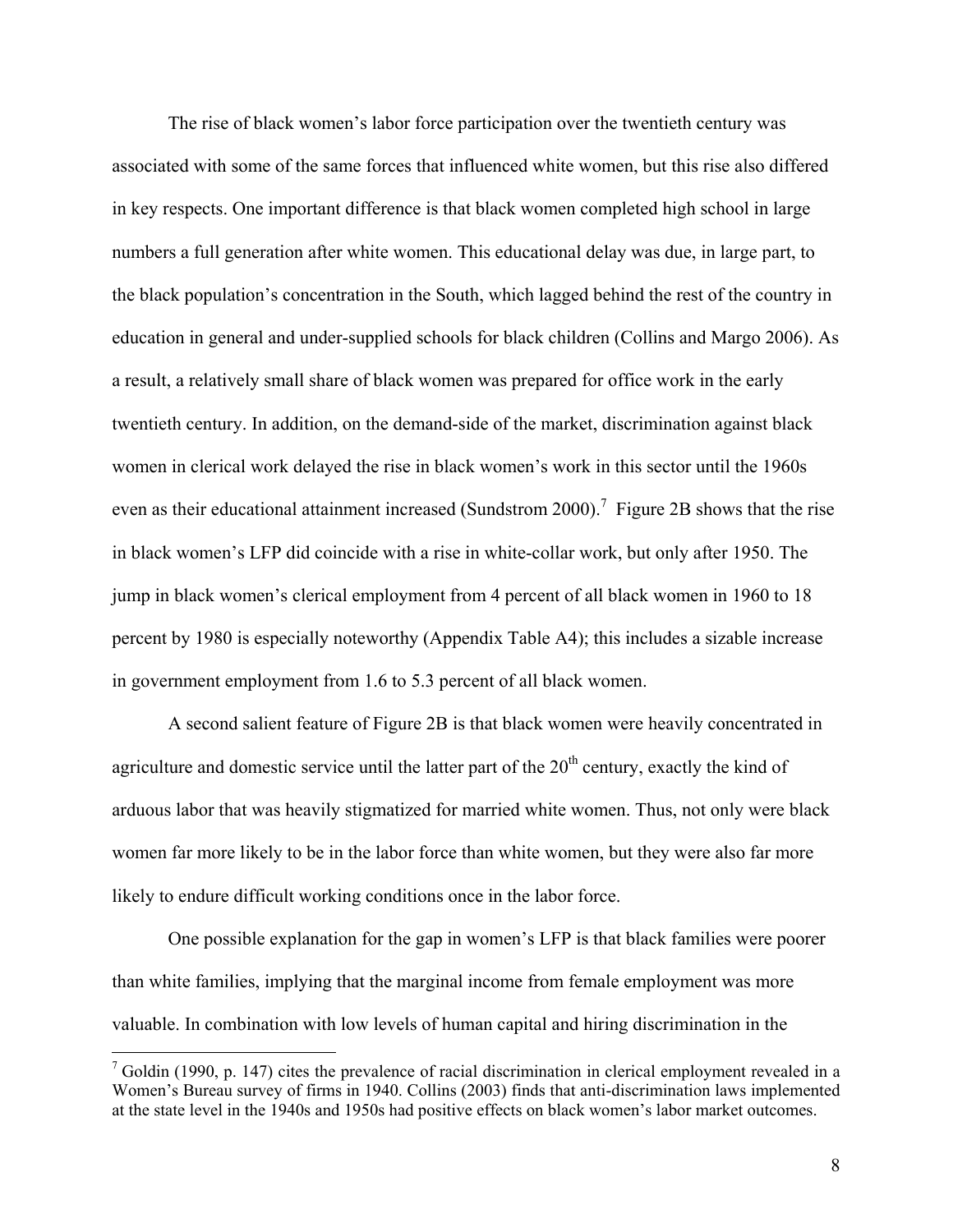The rise of black women's labor force participation over the twentieth century was associated with some of the same forces that influenced white women, but this rise also differed in key respects. One important difference is that black women completed high school in large numbers a full generation after white women. This educational delay was due, in large part, to the black population's concentration in the South, which lagged behind the rest of the country in education in general and under-supplied schools for black children (Collins and Margo 2006). As a result, a relatively small share of black women was prepared for office work in the early twentieth century. In addition, on the demand-side of the market, discrimination against black women in clerical work delayed the rise in black women's work in this sector until the 1960s even as their educational attainment increased (Sundstrom 2000).<sup>7</sup> Figure 2B shows that the rise in black women's LFP did coincide with a rise in white-collar work, but only after 1950. The jump in black women's clerical employment from 4 percent of all black women in 1960 to 18 percent by 1980 is especially noteworthy (Appendix Table A4); this includes a sizable increase in government employment from 1.6 to 5.3 percent of all black women.

A second salient feature of Figure 2B is that black women were heavily concentrated in agriculture and domestic service until the latter part of the  $20<sup>th</sup>$  century, exactly the kind of arduous labor that was heavily stigmatized for married white women. Thus, not only were black women far more likely to be in the labor force than white women, but they were also far more likely to endure difficult working conditions once in the labor force.

One possible explanation for the gap in women's LFP is that black families were poorer than white families, implying that the marginal income from female employment was more valuable. In combination with low levels of human capital and hiring discrimination in the

 $7$  Goldin (1990, p. 147) cites the prevalence of racial discrimination in clerical employment revealed in a Women's Bureau survey of firms in 1940. Collins (2003) finds that anti-discrimination laws implemented at the state level in the 1940s and 1950s had positive effects on black women's labor market outcomes.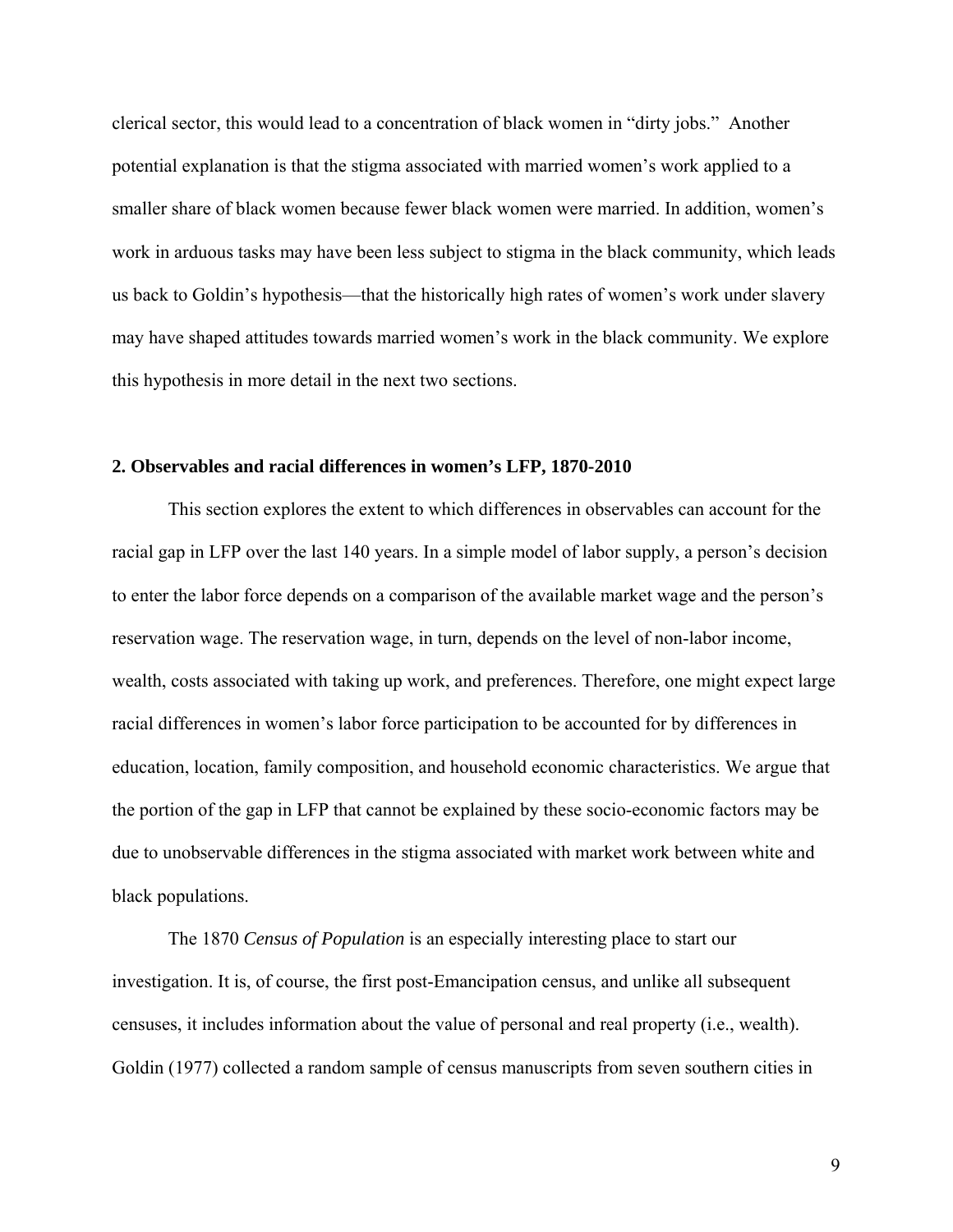clerical sector, this would lead to a concentration of black women in "dirty jobs." Another potential explanation is that the stigma associated with married women's work applied to a smaller share of black women because fewer black women were married. In addition, women's work in arduous tasks may have been less subject to stigma in the black community, which leads us back to Goldin's hypothesis—that the historically high rates of women's work under slavery may have shaped attitudes towards married women's work in the black community. We explore this hypothesis in more detail in the next two sections.

#### **2. Observables and racial differences in women's LFP, 1870-2010**

This section explores the extent to which differences in observables can account for the racial gap in LFP over the last 140 years. In a simple model of labor supply, a person's decision to enter the labor force depends on a comparison of the available market wage and the person's reservation wage. The reservation wage, in turn, depends on the level of non-labor income, wealth, costs associated with taking up work, and preferences. Therefore, one might expect large racial differences in women's labor force participation to be accounted for by differences in education, location, family composition, and household economic characteristics. We argue that the portion of the gap in LFP that cannot be explained by these socio-economic factors may be due to unobservable differences in the stigma associated with market work between white and black populations.

 The 1870 *Census of Population* is an especially interesting place to start our investigation. It is, of course, the first post-Emancipation census, and unlike all subsequent censuses, it includes information about the value of personal and real property (i.e., wealth). Goldin (1977) collected a random sample of census manuscripts from seven southern cities in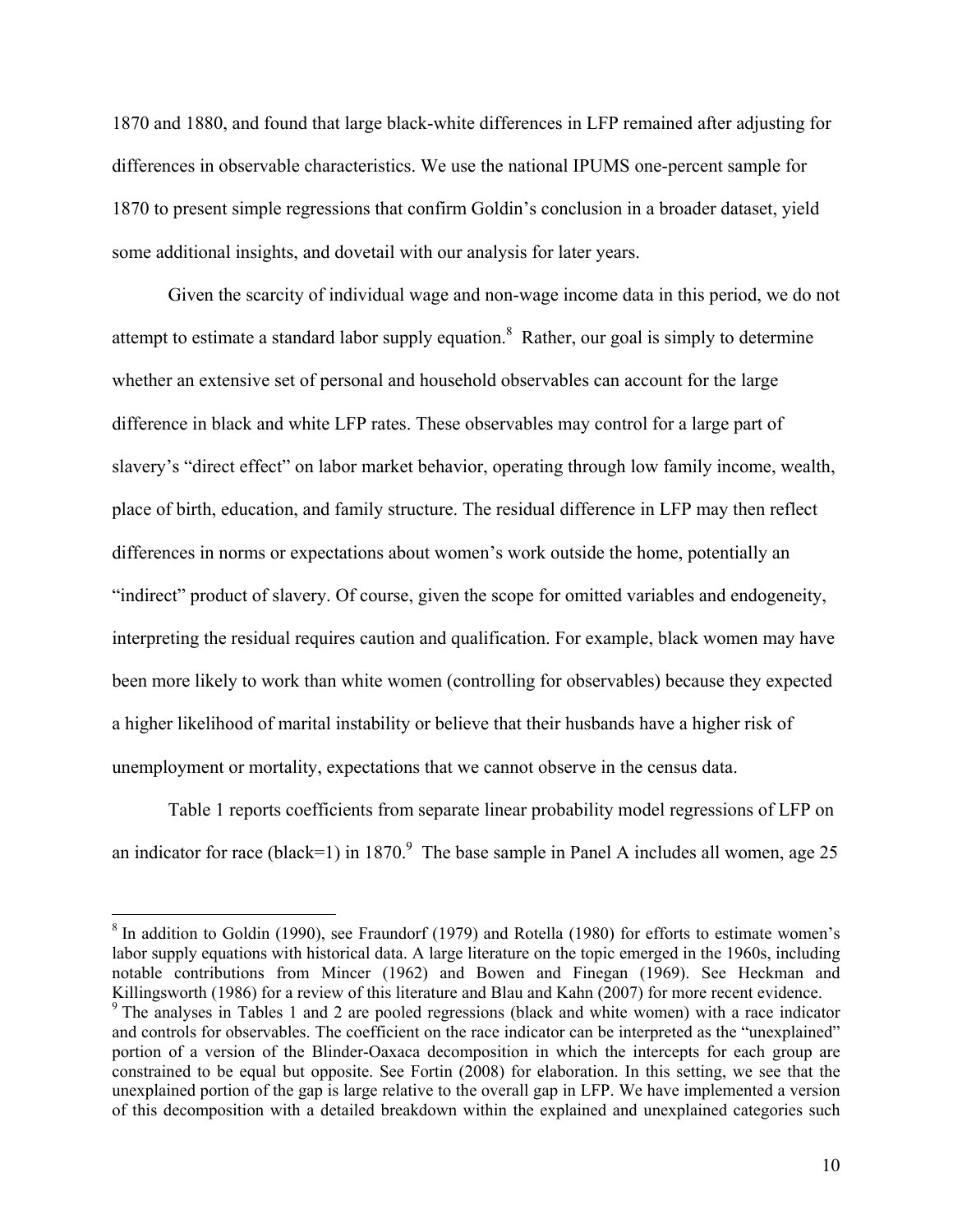1870 and 1880, and found that large black-white differences in LFP remained after adjusting for differences in observable characteristics. We use the national IPUMS one-percent sample for 1870 to present simple regressions that confirm Goldin's conclusion in a broader dataset, yield some additional insights, and dovetail with our analysis for later years.

 Given the scarcity of individual wage and non-wage income data in this period, we do not attempt to estimate a standard labor supply equation.<sup>8</sup> Rather, our goal is simply to determine whether an extensive set of personal and household observables can account for the large difference in black and white LFP rates. These observables may control for a large part of slavery's "direct effect" on labor market behavior, operating through low family income, wealth, place of birth, education, and family structure. The residual difference in LFP may then reflect differences in norms or expectations about women's work outside the home, potentially an "indirect" product of slavery. Of course, given the scope for omitted variables and endogeneity, interpreting the residual requires caution and qualification. For example, black women may have been more likely to work than white women (controlling for observables) because they expected a higher likelihood of marital instability or believe that their husbands have a higher risk of unemployment or mortality, expectations that we cannot observe in the census data.

 Table 1 reports coefficients from separate linear probability model regressions of LFP on an indicator for race (black=1) in 1870.<sup>9</sup> The base sample in Panel A includes all women, age 25

 $8$  In addition to Goldin (1990), see Fraundorf (1979) and Rotella (1980) for efforts to estimate women's labor supply equations with historical data. A large literature on the topic emerged in the 1960s, including notable contributions from Mincer (1962) and Bowen and Finegan (1969). See Heckman and Killingsworth (1986) for a review of this literature and Blau and Kahn (2007) for more recent evidence.

<sup>&</sup>lt;sup>9</sup> The analyses in Tables 1 and 2 are pooled regressions (black and white women) with a race indicator and controls for observables. The coefficient on the race indicator can be interpreted as the "unexplained" portion of a version of the Blinder-Oaxaca decomposition in which the intercepts for each group are constrained to be equal but opposite. See Fortin (2008) for elaboration. In this setting, we see that the unexplained portion of the gap is large relative to the overall gap in LFP. We have implemented a version of this decomposition with a detailed breakdown within the explained and unexplained categories such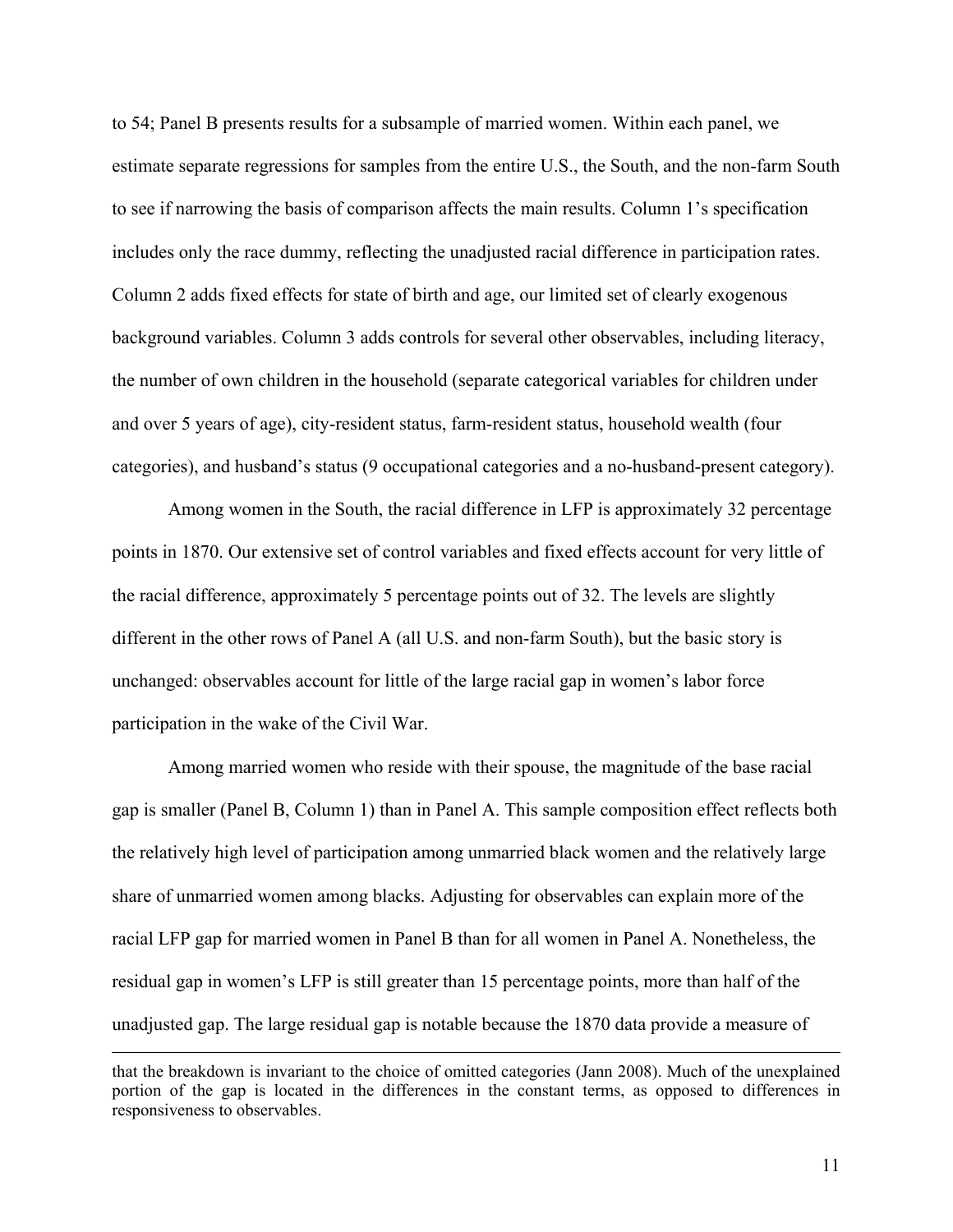to 54; Panel B presents results for a subsample of married women. Within each panel, we estimate separate regressions for samples from the entire U.S., the South, and the non-farm South to see if narrowing the basis of comparison affects the main results. Column 1's specification includes only the race dummy, reflecting the unadjusted racial difference in participation rates. Column 2 adds fixed effects for state of birth and age, our limited set of clearly exogenous background variables. Column 3 adds controls for several other observables, including literacy, the number of own children in the household (separate categorical variables for children under and over 5 years of age), city-resident status, farm-resident status, household wealth (four categories), and husband's status (9 occupational categories and a no-husband-present category).

 Among women in the South, the racial difference in LFP is approximately 32 percentage points in 1870. Our extensive set of control variables and fixed effects account for very little of the racial difference, approximately 5 percentage points out of 32. The levels are slightly different in the other rows of Panel A (all U.S. and non-farm South), but the basic story is unchanged: observables account for little of the large racial gap in women's labor force participation in the wake of the Civil War.

 Among married women who reside with their spouse, the magnitude of the base racial gap is smaller (Panel B, Column 1) than in Panel A. This sample composition effect reflects both the relatively high level of participation among unmarried black women and the relatively large share of unmarried women among blacks. Adjusting for observables can explain more of the racial LFP gap for married women in Panel B than for all women in Panel A. Nonetheless, the residual gap in women's LFP is still greater than 15 percentage points, more than half of the unadjusted gap. The large residual gap is notable because the 1870 data provide a measure of

that the breakdown is invariant to the choice of omitted categories (Jann 2008). Much of the unexplained portion of the gap is located in the differences in the constant terms, as opposed to differences in responsiveness to observables.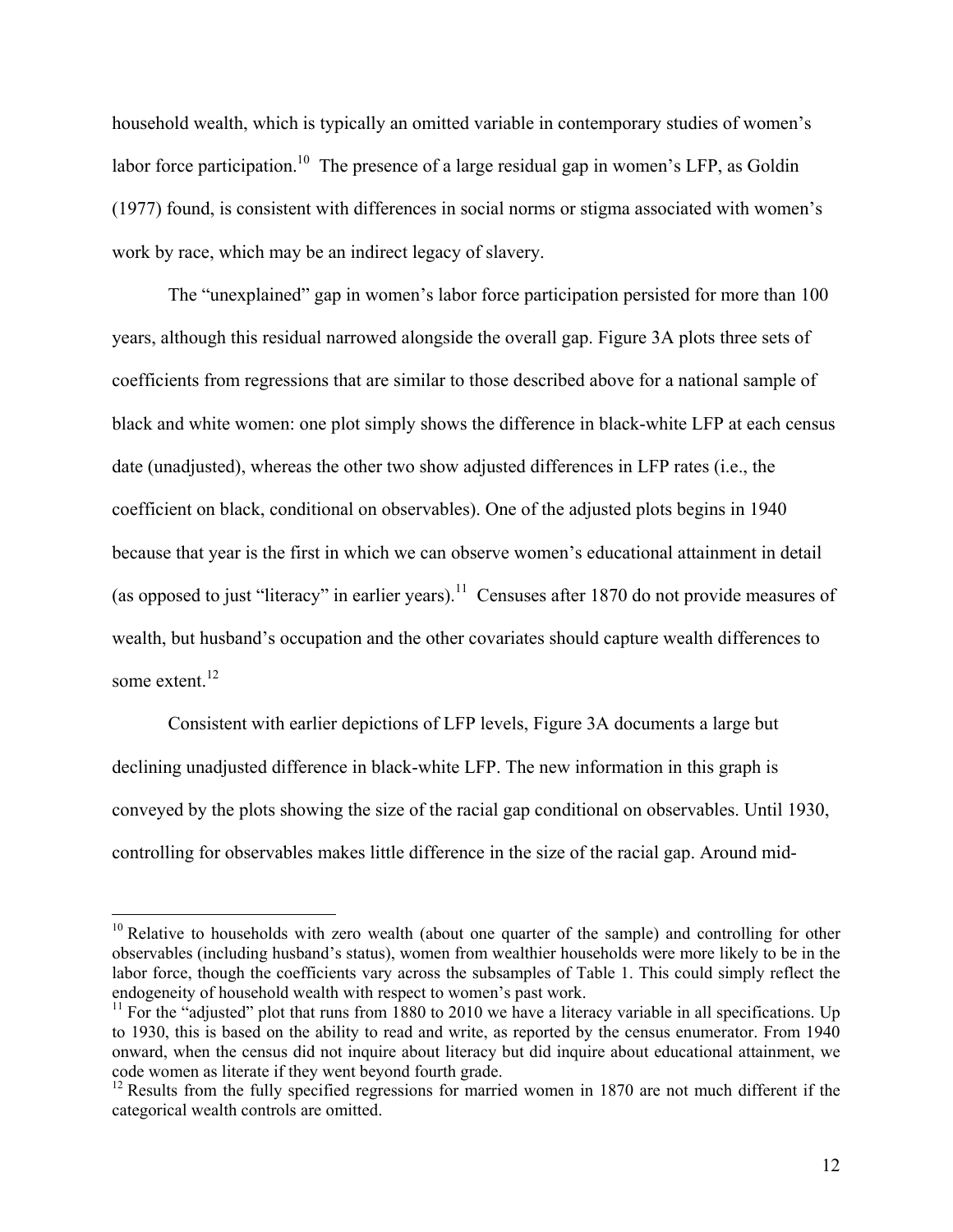household wealth, which is typically an omitted variable in contemporary studies of women's labor force participation.<sup>10</sup> The presence of a large residual gap in women's LFP, as Goldin (1977) found, is consistent with differences in social norms or stigma associated with women's work by race, which may be an indirect legacy of slavery.

 The "unexplained" gap in women's labor force participation persisted for more than 100 years, although this residual narrowed alongside the overall gap. Figure 3A plots three sets of coefficients from regressions that are similar to those described above for a national sample of black and white women: one plot simply shows the difference in black-white LFP at each census date (unadjusted), whereas the other two show adjusted differences in LFP rates (i.e., the coefficient on black, conditional on observables). One of the adjusted plots begins in 1940 because that year is the first in which we can observe women's educational attainment in detail (as opposed to just "literacy" in earlier years).<sup>11</sup> Censuses after 1870 do not provide measures of wealth, but husband's occupation and the other covariates should capture wealth differences to some extent.<sup>12</sup>

Consistent with earlier depictions of LFP levels, Figure 3A documents a large but declining unadjusted difference in black-white LFP. The new information in this graph is conveyed by the plots showing the size of the racial gap conditional on observables. Until 1930, controlling for observables makes little difference in the size of the racial gap. Around mid-

 $10$  Relative to households with zero wealth (about one quarter of the sample) and controlling for other observables (including husband's status), women from wealthier households were more likely to be in the labor force, though the coefficients vary across the subsamples of Table 1. This could simply reflect the endogeneity of household wealth with respect to women's past work.

 $11$  For the "adjusted" plot that runs from 1880 to 2010 we have a literacy variable in all specifications. Up to 1930, this is based on the ability to read and write, as reported by the census enumerator. From 1940 onward, when the census did not inquire about literacy but did inquire about educational attainment, we code women as literate if they went beyond fourth grade.

<sup>&</sup>lt;sup>12</sup> Results from the fully specified regressions for married women in 1870 are not much different if the categorical wealth controls are omitted.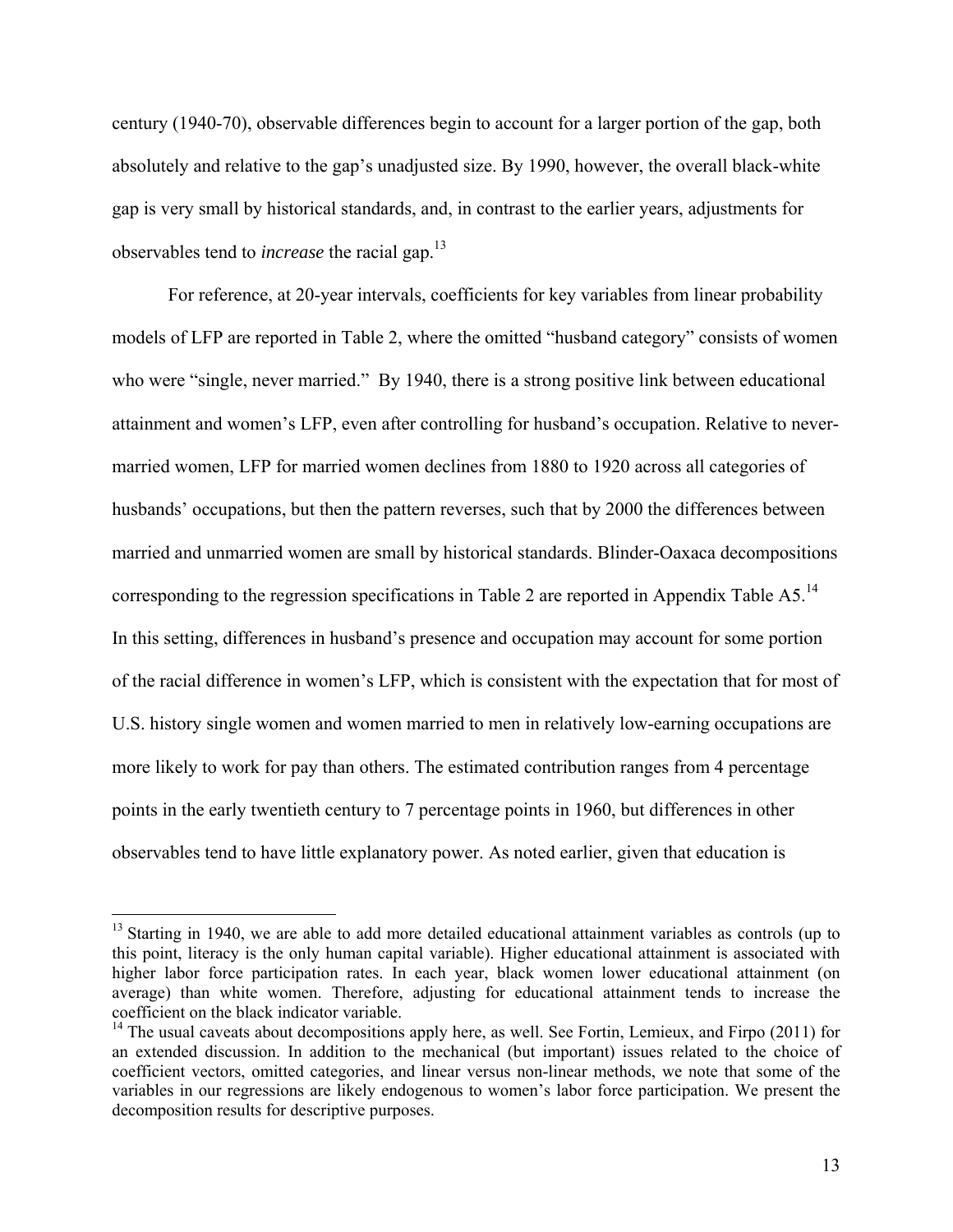century (1940-70), observable differences begin to account for a larger portion of the gap, both absolutely and relative to the gap's unadjusted size. By 1990, however, the overall black-white gap is very small by historical standards, and, in contrast to the earlier years, adjustments for observables tend to *increase* the racial gap.13

For reference, at 20-year intervals, coefficients for key variables from linear probability models of LFP are reported in Table 2, where the omitted "husband category" consists of women who were "single, never married." By 1940, there is a strong positive link between educational attainment and women's LFP, even after controlling for husband's occupation. Relative to nevermarried women, LFP for married women declines from 1880 to 1920 across all categories of husbands' occupations, but then the pattern reverses, such that by 2000 the differences between married and unmarried women are small by historical standards. Blinder-Oaxaca decompositions corresponding to the regression specifications in Table 2 are reported in Appendix Table A5.<sup>14</sup> In this setting, differences in husband's presence and occupation may account for some portion of the racial difference in women's LFP, which is consistent with the expectation that for most of U.S. history single women and women married to men in relatively low-earning occupations are more likely to work for pay than others. The estimated contribution ranges from 4 percentage points in the early twentieth century to 7 percentage points in 1960, but differences in other observables tend to have little explanatory power. As noted earlier, given that education is

<sup>&</sup>lt;sup>13</sup> Starting in 1940, we are able to add more detailed educational attainment variables as controls (up to this point, literacy is the only human capital variable). Higher educational attainment is associated with higher labor force participation rates. In each year, black women lower educational attainment (on average) than white women. Therefore, adjusting for educational attainment tends to increase the coefficient on the black indicator variable.

 $14$  The usual caveats about decompositions apply here, as well. See Fortin, Lemieux, and Firpo (2011) for an extended discussion. In addition to the mechanical (but important) issues related to the choice of coefficient vectors, omitted categories, and linear versus non-linear methods, we note that some of the variables in our regressions are likely endogenous to women's labor force participation. We present the decomposition results for descriptive purposes.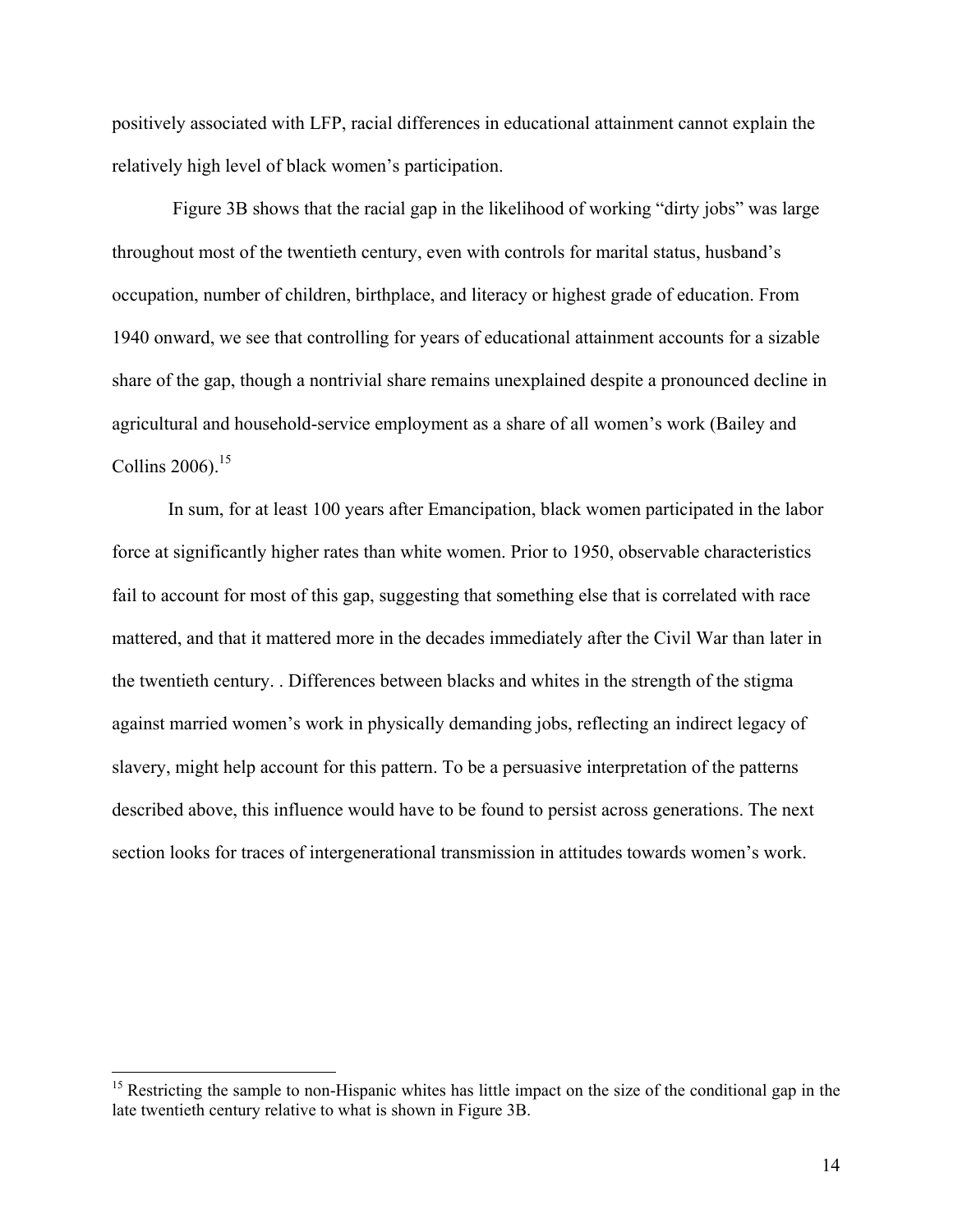positively associated with LFP, racial differences in educational attainment cannot explain the relatively high level of black women's participation.

 Figure 3B shows that the racial gap in the likelihood of working "dirty jobs" was large throughout most of the twentieth century, even with controls for marital status, husband's occupation, number of children, birthplace, and literacy or highest grade of education. From 1940 onward, we see that controlling for years of educational attainment accounts for a sizable share of the gap, though a nontrivial share remains unexplained despite a pronounced decline in agricultural and household-service employment as a share of all women's work (Bailey and Collins 2006). $15$ 

 In sum, for at least 100 years after Emancipation, black women participated in the labor force at significantly higher rates than white women. Prior to 1950, observable characteristics fail to account for most of this gap, suggesting that something else that is correlated with race mattered, and that it mattered more in the decades immediately after the Civil War than later in the twentieth century. . Differences between blacks and whites in the strength of the stigma against married women's work in physically demanding jobs, reflecting an indirect legacy of slavery, might help account for this pattern. To be a persuasive interpretation of the patterns described above, this influence would have to be found to persist across generations. The next section looks for traces of intergenerational transmission in attitudes towards women's work.

<sup>&</sup>lt;sup>15</sup> Restricting the sample to non-Hispanic whites has little impact on the size of the conditional gap in the late twentieth century relative to what is shown in Figure 3B.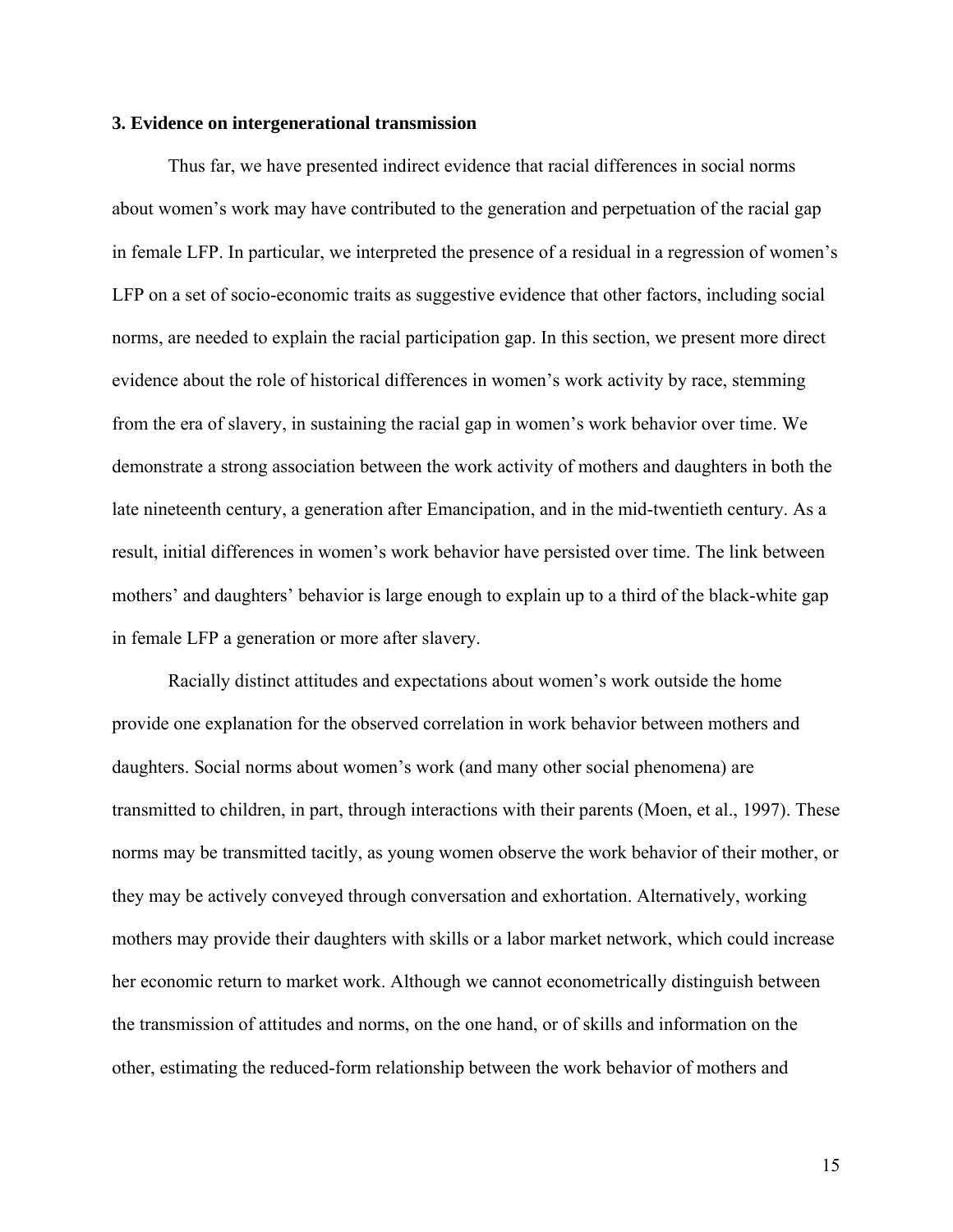#### **3. Evidence on intergenerational transmission**

Thus far, we have presented indirect evidence that racial differences in social norms about women's work may have contributed to the generation and perpetuation of the racial gap in female LFP. In particular, we interpreted the presence of a residual in a regression of women's LFP on a set of socio-economic traits as suggestive evidence that other factors, including social norms, are needed to explain the racial participation gap. In this section, we present more direct evidence about the role of historical differences in women's work activity by race, stemming from the era of slavery, in sustaining the racial gap in women's work behavior over time. We demonstrate a strong association between the work activity of mothers and daughters in both the late nineteenth century, a generation after Emancipation, and in the mid-twentieth century. As a result, initial differences in women's work behavior have persisted over time. The link between mothers' and daughters' behavior is large enough to explain up to a third of the black-white gap in female LFP a generation or more after slavery.

Racially distinct attitudes and expectations about women's work outside the home provide one explanation for the observed correlation in work behavior between mothers and daughters. Social norms about women's work (and many other social phenomena) are transmitted to children, in part, through interactions with their parents (Moen, et al., 1997). These norms may be transmitted tacitly, as young women observe the work behavior of their mother, or they may be actively conveyed through conversation and exhortation. Alternatively, working mothers may provide their daughters with skills or a labor market network, which could increase her economic return to market work. Although we cannot econometrically distinguish between the transmission of attitudes and norms, on the one hand, or of skills and information on the other, estimating the reduced-form relationship between the work behavior of mothers and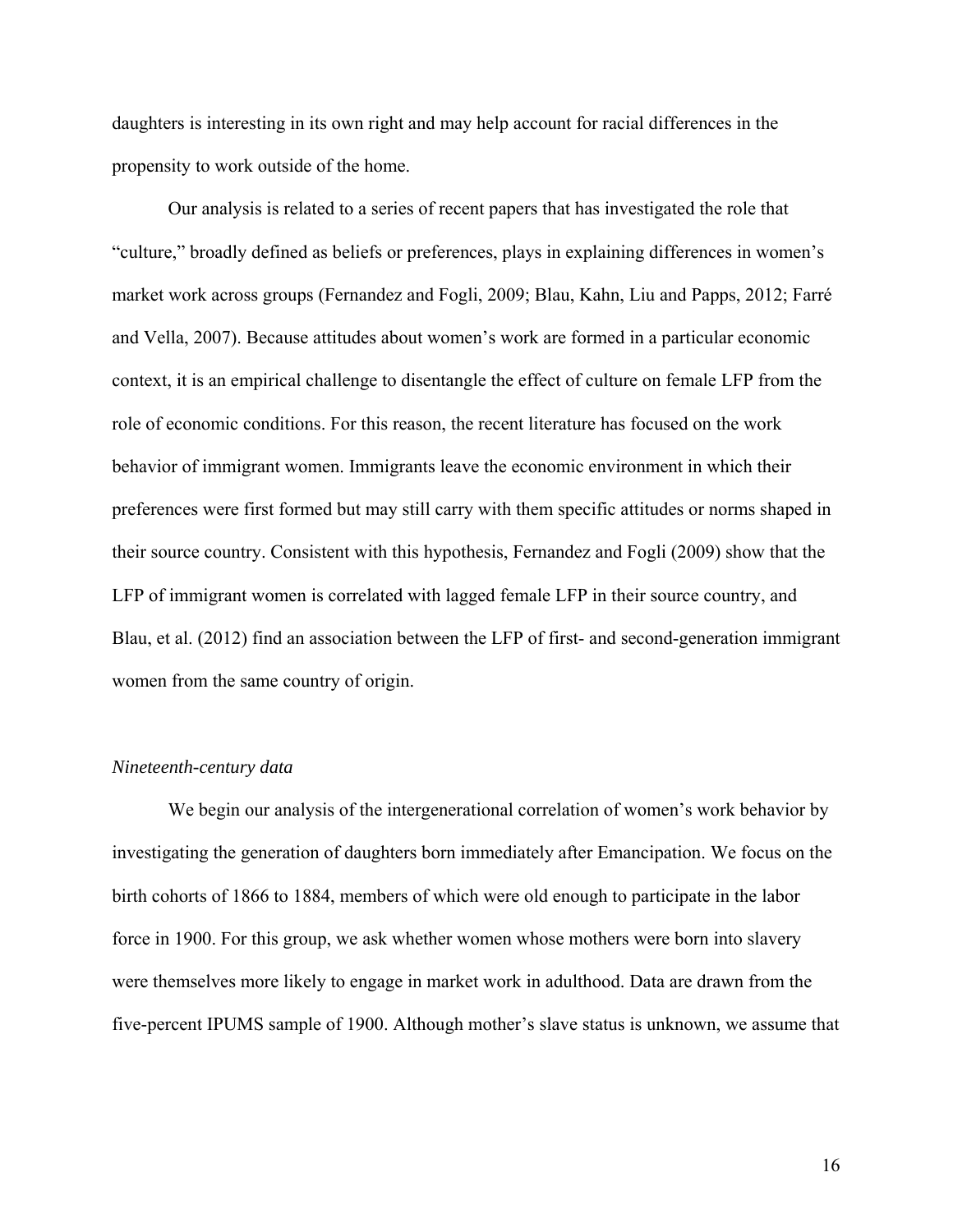daughters is interesting in its own right and may help account for racial differences in the propensity to work outside of the home.

Our analysis is related to a series of recent papers that has investigated the role that "culture," broadly defined as beliefs or preferences, plays in explaining differences in women's market work across groups (Fernandez and Fogli, 2009; Blau, Kahn, Liu and Papps, 2012; Farré and Vella, 2007). Because attitudes about women's work are formed in a particular economic context, it is an empirical challenge to disentangle the effect of culture on female LFP from the role of economic conditions. For this reason, the recent literature has focused on the work behavior of immigrant women. Immigrants leave the economic environment in which their preferences were first formed but may still carry with them specific attitudes or norms shaped in their source country. Consistent with this hypothesis, Fernandez and Fogli (2009) show that the LFP of immigrant women is correlated with lagged female LFP in their source country, and Blau, et al. (2012) find an association between the LFP of first- and second-generation immigrant women from the same country of origin.

### *Nineteenth-century data*

We begin our analysis of the intergenerational correlation of women's work behavior by investigating the generation of daughters born immediately after Emancipation. We focus on the birth cohorts of 1866 to 1884, members of which were old enough to participate in the labor force in 1900. For this group, we ask whether women whose mothers were born into slavery were themselves more likely to engage in market work in adulthood. Data are drawn from the five-percent IPUMS sample of 1900. Although mother's slave status is unknown, we assume that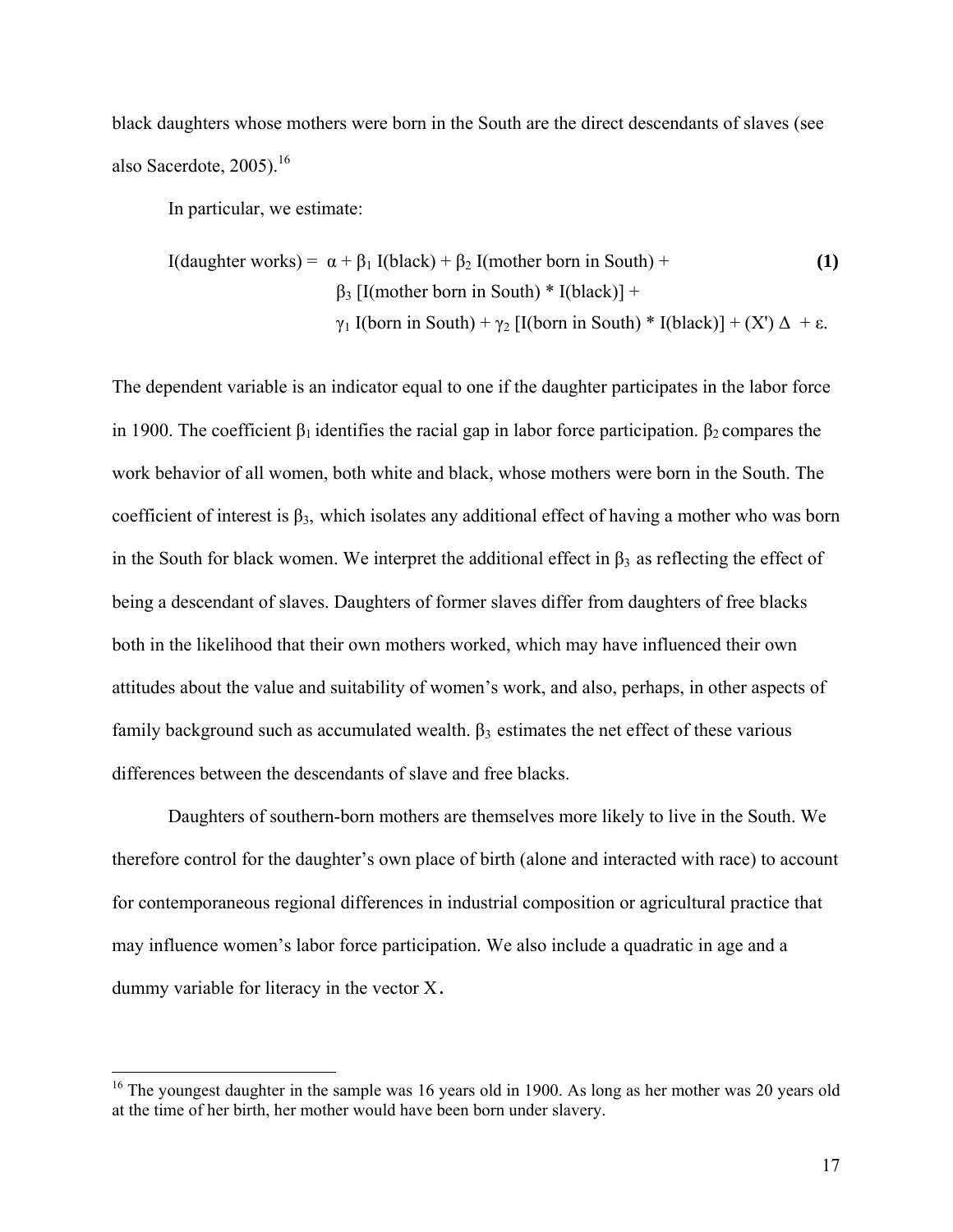black daughters whose mothers were born in the South are the direct descendants of slaves (see also Sacerdote, 2005).<sup>16</sup>

In particular, we estimate:

 $\overline{a}$ 

I(daughter works) = α + β1 I(black) + β2 I(mother born in South) + **(1)** β3 [I(mother born in South) \* I(black)] + γ1 I(born in South) + γ2 [I(born in South) \* I(black)] + (X') Δ + ε.

The dependent variable is an indicator equal to one if the daughter participates in the labor force in 1900. The coefficient  $\beta_1$  identifies the racial gap in labor force participation.  $\beta_2$  compares the work behavior of all women, both white and black, whose mothers were born in the South. The coefficient of interest is  $\beta_3$ , which isolates any additional effect of having a mother who was born in the South for black women. We interpret the additional effect in  $\beta_3$  as reflecting the effect of being a descendant of slaves. Daughters of former slaves differ from daughters of free blacks both in the likelihood that their own mothers worked, which may have influenced their own attitudes about the value and suitability of women's work, and also, perhaps, in other aspects of family background such as accumulated wealth.  $\beta_3$  estimates the net effect of these various differences between the descendants of slave and free blacks.

Daughters of southern-born mothers are themselves more likely to live in the South. We therefore control for the daughter's own place of birth (alone and interacted with race) to account for contemporaneous regional differences in industrial composition or agricultural practice that may influence women's labor force participation. We also include a quadratic in age and a dummy variable for literacy in the vector X.

<sup>&</sup>lt;sup>16</sup> The youngest daughter in the sample was 16 years old in 1900. As long as her mother was 20 years old at the time of her birth, her mother would have been born under slavery.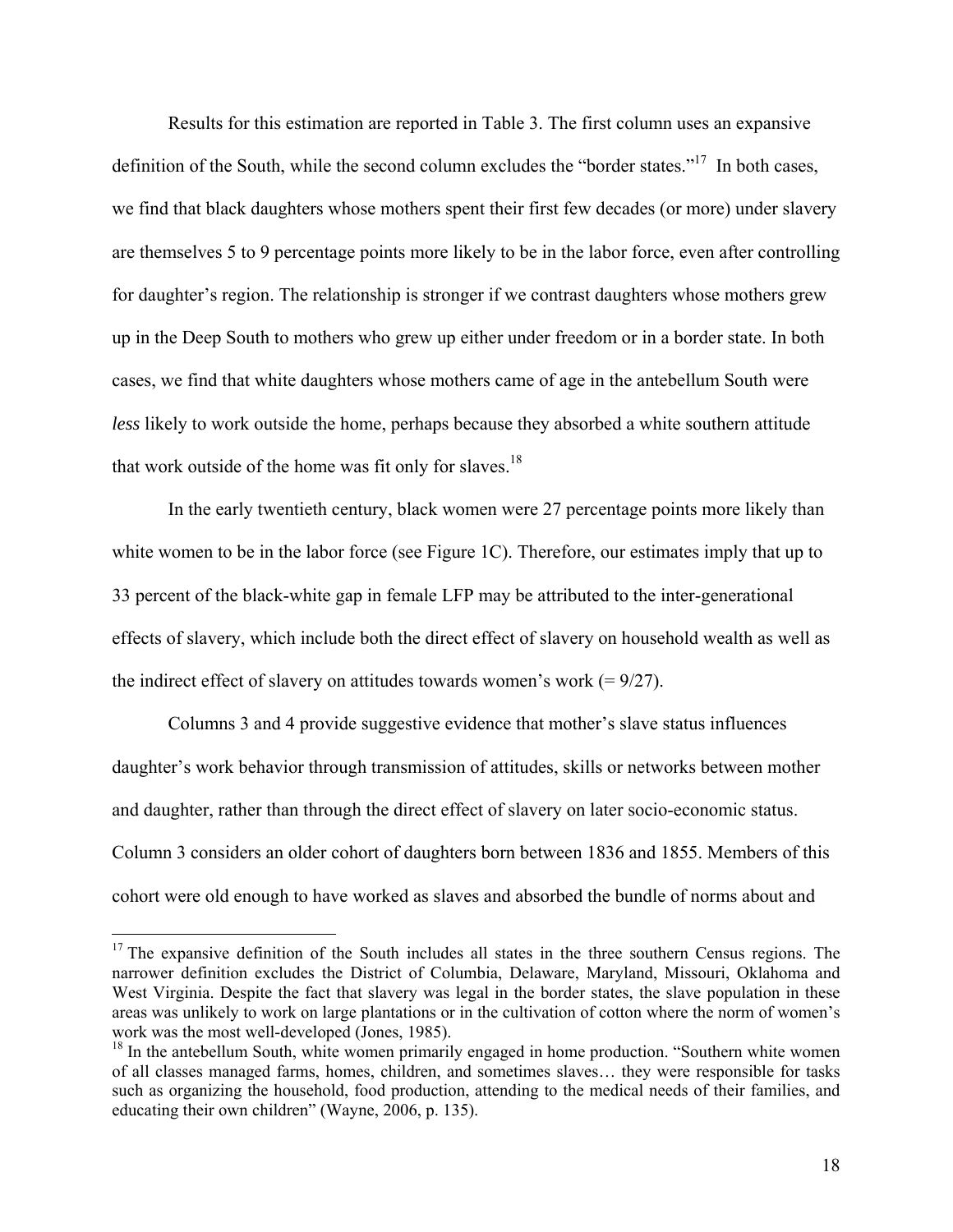Results for this estimation are reported in Table 3. The first column uses an expansive definition of the South, while the second column excludes the "border states."<sup>17</sup> In both cases, we find that black daughters whose mothers spent their first few decades (or more) under slavery are themselves 5 to 9 percentage points more likely to be in the labor force, even after controlling for daughter's region. The relationship is stronger if we contrast daughters whose mothers grew up in the Deep South to mothers who grew up either under freedom or in a border state. In both cases, we find that white daughters whose mothers came of age in the antebellum South were *less* likely to work outside the home, perhaps because they absorbed a white southern attitude that work outside of the home was fit only for slaves.<sup>18</sup>

In the early twentieth century, black women were 27 percentage points more likely than white women to be in the labor force (see Figure 1C). Therefore, our estimates imply that up to 33 percent of the black-white gap in female LFP may be attributed to the inter-generational effects of slavery, which include both the direct effect of slavery on household wealth as well as the indirect effect of slavery on attitudes towards women's work  $(= 9/27)$ .

Columns 3 and 4 provide suggestive evidence that mother's slave status influences daughter's work behavior through transmission of attitudes, skills or networks between mother and daughter, rather than through the direct effect of slavery on later socio-economic status. Column 3 considers an older cohort of daughters born between 1836 and 1855. Members of this cohort were old enough to have worked as slaves and absorbed the bundle of norms about and

 $17$  The expansive definition of the South includes all states in the three southern Census regions. The narrower definition excludes the District of Columbia, Delaware, Maryland, Missouri, Oklahoma and West Virginia. Despite the fact that slavery was legal in the border states, the slave population in these areas was unlikely to work on large plantations or in the cultivation of cotton where the norm of women's work was the most well-developed (Jones, 1985).

<sup>&</sup>lt;sup>18</sup> In the antebellum South, white women primarily engaged in home production. "Southern white women of all classes managed farms, homes, children, and sometimes slaves… they were responsible for tasks such as organizing the household, food production, attending to the medical needs of their families, and educating their own children" (Wayne, 2006, p. 135).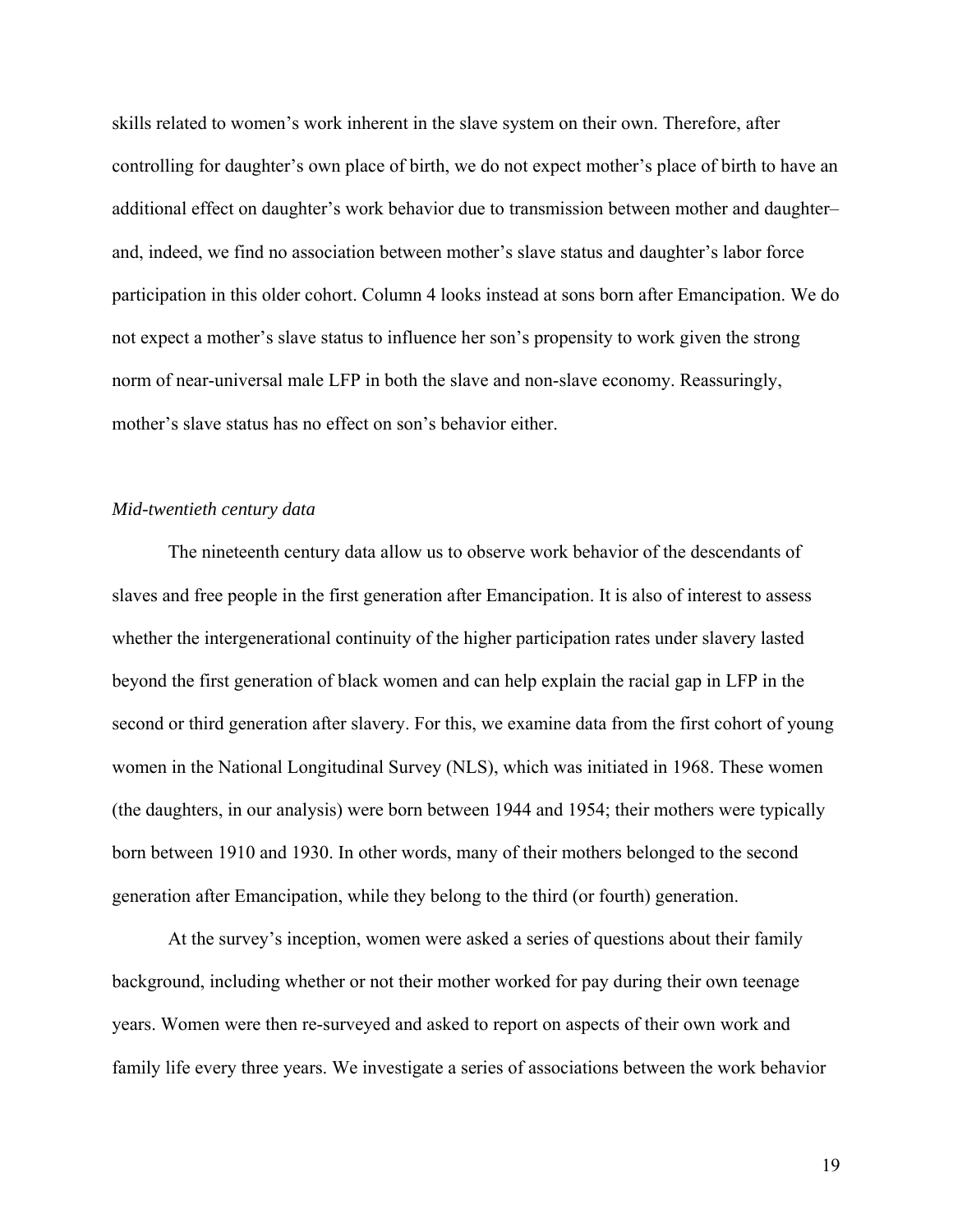skills related to women's work inherent in the slave system on their own. Therefore, after controlling for daughter's own place of birth, we do not expect mother's place of birth to have an additional effect on daughter's work behavior due to transmission between mother and daughter– and, indeed, we find no association between mother's slave status and daughter's labor force participation in this older cohort. Column 4 looks instead at sons born after Emancipation. We do not expect a mother's slave status to influence her son's propensity to work given the strong norm of near-universal male LFP in both the slave and non-slave economy. Reassuringly, mother's slave status has no effect on son's behavior either.

# *Mid-twentieth century data*

The nineteenth century data allow us to observe work behavior of the descendants of slaves and free people in the first generation after Emancipation. It is also of interest to assess whether the intergenerational continuity of the higher participation rates under slavery lasted beyond the first generation of black women and can help explain the racial gap in LFP in the second or third generation after slavery. For this, we examine data from the first cohort of young women in the National Longitudinal Survey (NLS), which was initiated in 1968. These women (the daughters, in our analysis) were born between 1944 and 1954; their mothers were typically born between 1910 and 1930. In other words, many of their mothers belonged to the second generation after Emancipation, while they belong to the third (or fourth) generation.

At the survey's inception, women were asked a series of questions about their family background, including whether or not their mother worked for pay during their own teenage years. Women were then re-surveyed and asked to report on aspects of their own work and family life every three years. We investigate a series of associations between the work behavior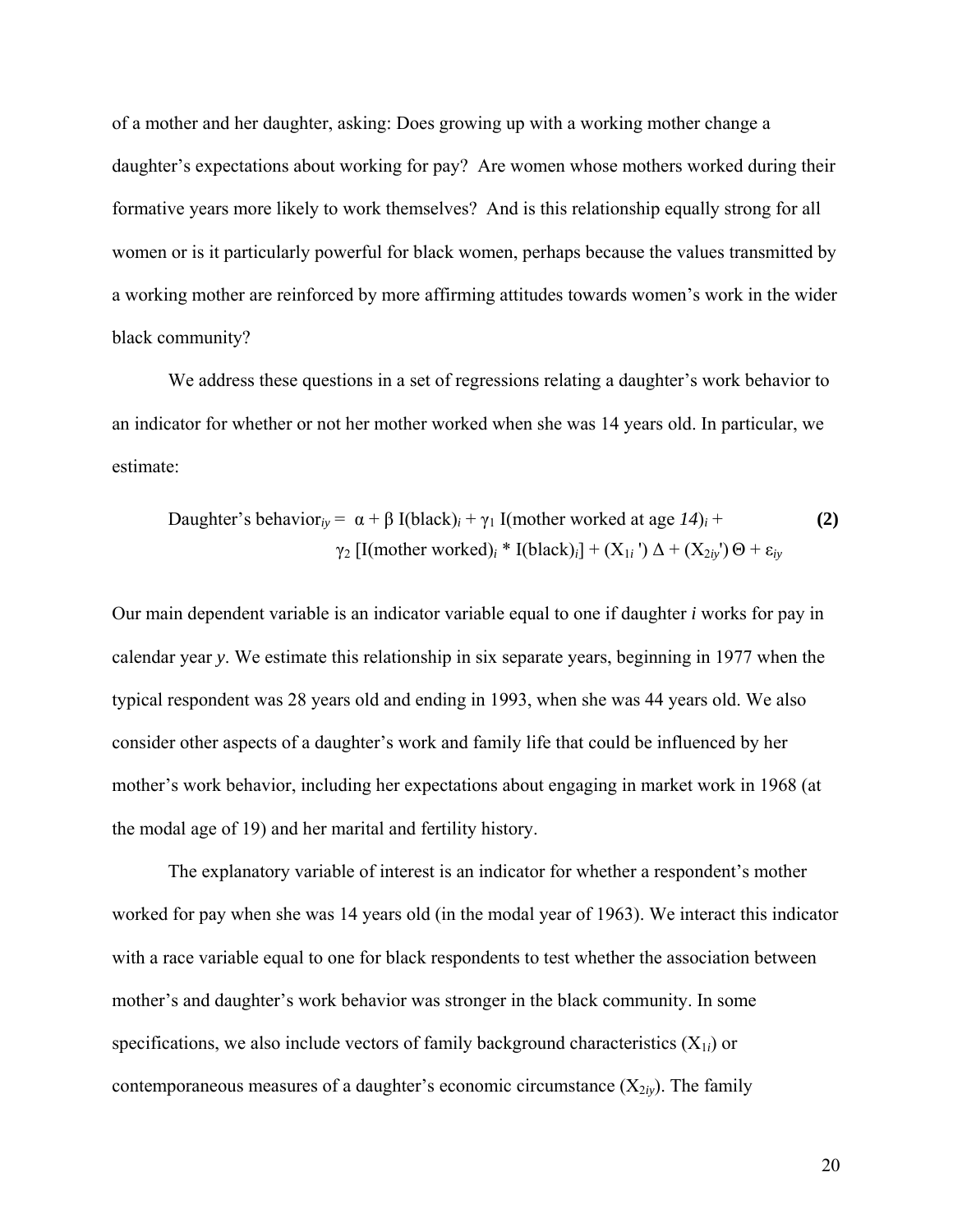of a mother and her daughter, asking: Does growing up with a working mother change a daughter's expectations about working for pay? Are women whose mothers worked during their formative years more likely to work themselves? And is this relationship equally strong for all women or is it particularly powerful for black women, perhaps because the values transmitted by a working mother are reinforced by more affirming attitudes towards women's work in the wider black community?

We address these questions in a set of regressions relating a daughter's work behavior to an indicator for whether or not her mother worked when she was 14 years old. In particular, we estimate:

Daughter's behavior<sub>iy</sub> = α + β I(black)<sub>i</sub> + γ<sub>1</sub> I(mother worked at age 
$$
14
$$
)<sub>i</sub> +  
γ<sub>2</sub> [I(mother worked)<sub>i</sub> \* I(black)<sub>i</sub>] + (X<sub>1i</sub>) Δ + (X<sub>2iy</sub>) Θ + ε<sub>iy</sub>

Our main dependent variable is an indicator variable equal to one if daughter *i* works for pay in calendar year *y*. We estimate this relationship in six separate years, beginning in 1977 when the typical respondent was 28 years old and ending in 1993, when she was 44 years old. We also consider other aspects of a daughter's work and family life that could be influenced by her mother's work behavior, including her expectations about engaging in market work in 1968 (at the modal age of 19) and her marital and fertility history.

 The explanatory variable of interest is an indicator for whether a respondent's mother worked for pay when she was 14 years old (in the modal year of 1963). We interact this indicator with a race variable equal to one for black respondents to test whether the association between mother's and daughter's work behavior was stronger in the black community. In some specifications, we also include vectors of family background characteristics  $(X_{1i})$  or contemporaneous measures of a daughter's economic circumstance  $(X_{2*y*)$ . The family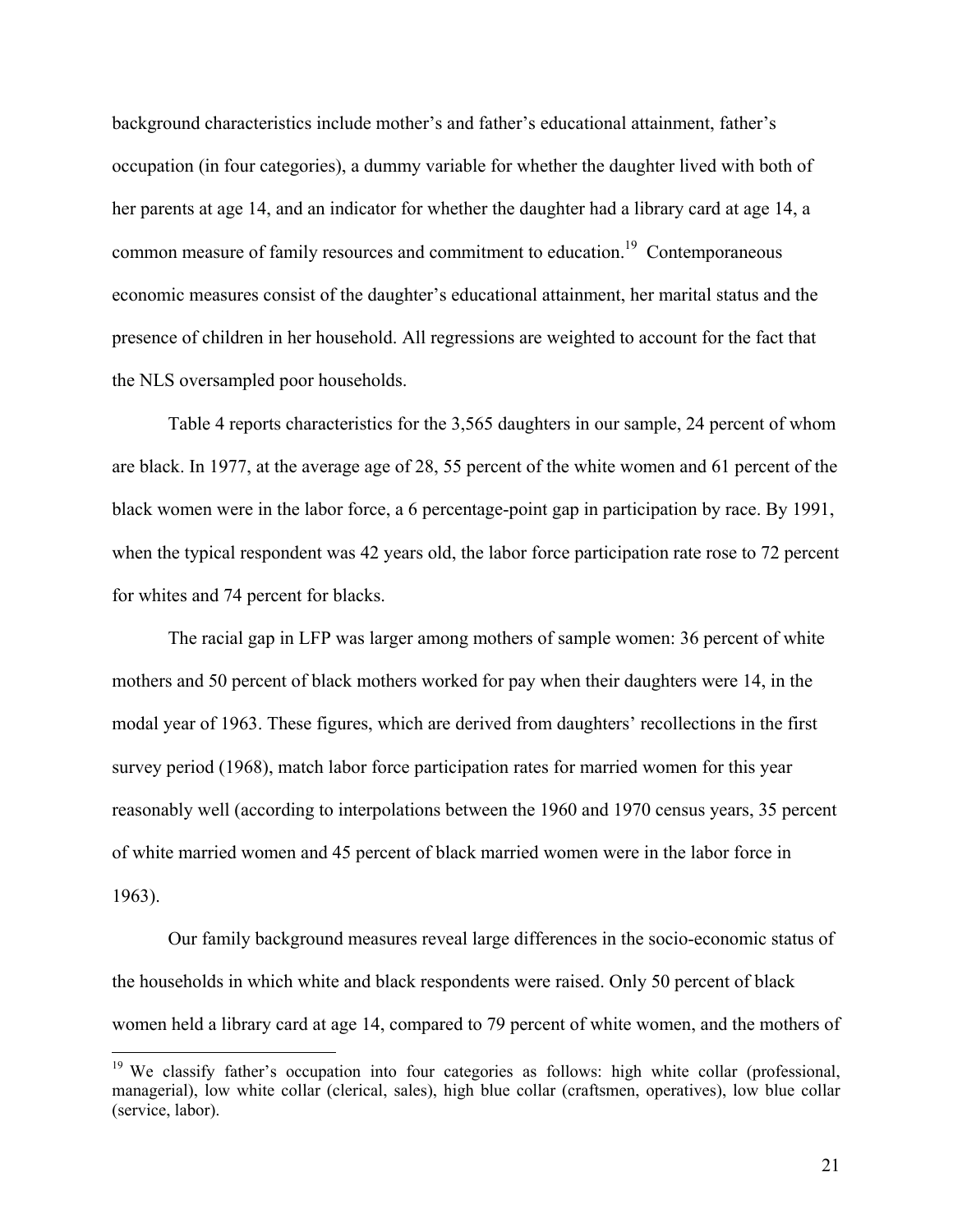background characteristics include mother's and father's educational attainment, father's occupation (in four categories), a dummy variable for whether the daughter lived with both of her parents at age 14, and an indicator for whether the daughter had a library card at age 14, a common measure of family resources and commitment to education.<sup>19</sup> Contemporaneous economic measures consist of the daughter's educational attainment, her marital status and the presence of children in her household. All regressions are weighted to account for the fact that the NLS oversampled poor households.

 Table 4 reports characteristics for the 3,565 daughters in our sample, 24 percent of whom are black. In 1977, at the average age of 28, 55 percent of the white women and 61 percent of the black women were in the labor force, a 6 percentage-point gap in participation by race. By 1991, when the typical respondent was 42 years old, the labor force participation rate rose to 72 percent for whites and 74 percent for blacks.

 The racial gap in LFP was larger among mothers of sample women: 36 percent of white mothers and 50 percent of black mothers worked for pay when their daughters were 14, in the modal year of 1963. These figures, which are derived from daughters' recollections in the first survey period (1968), match labor force participation rates for married women for this year reasonably well (according to interpolations between the 1960 and 1970 census years, 35 percent of white married women and 45 percent of black married women were in the labor force in 1963).

Our family background measures reveal large differences in the socio-economic status of the households in which white and black respondents were raised. Only 50 percent of black women held a library card at age 14, compared to 79 percent of white women, and the mothers of

<sup>&</sup>lt;sup>19</sup> We classify father's occupation into four categories as follows: high white collar (professional, managerial), low white collar (clerical, sales), high blue collar (craftsmen, operatives), low blue collar (service, labor).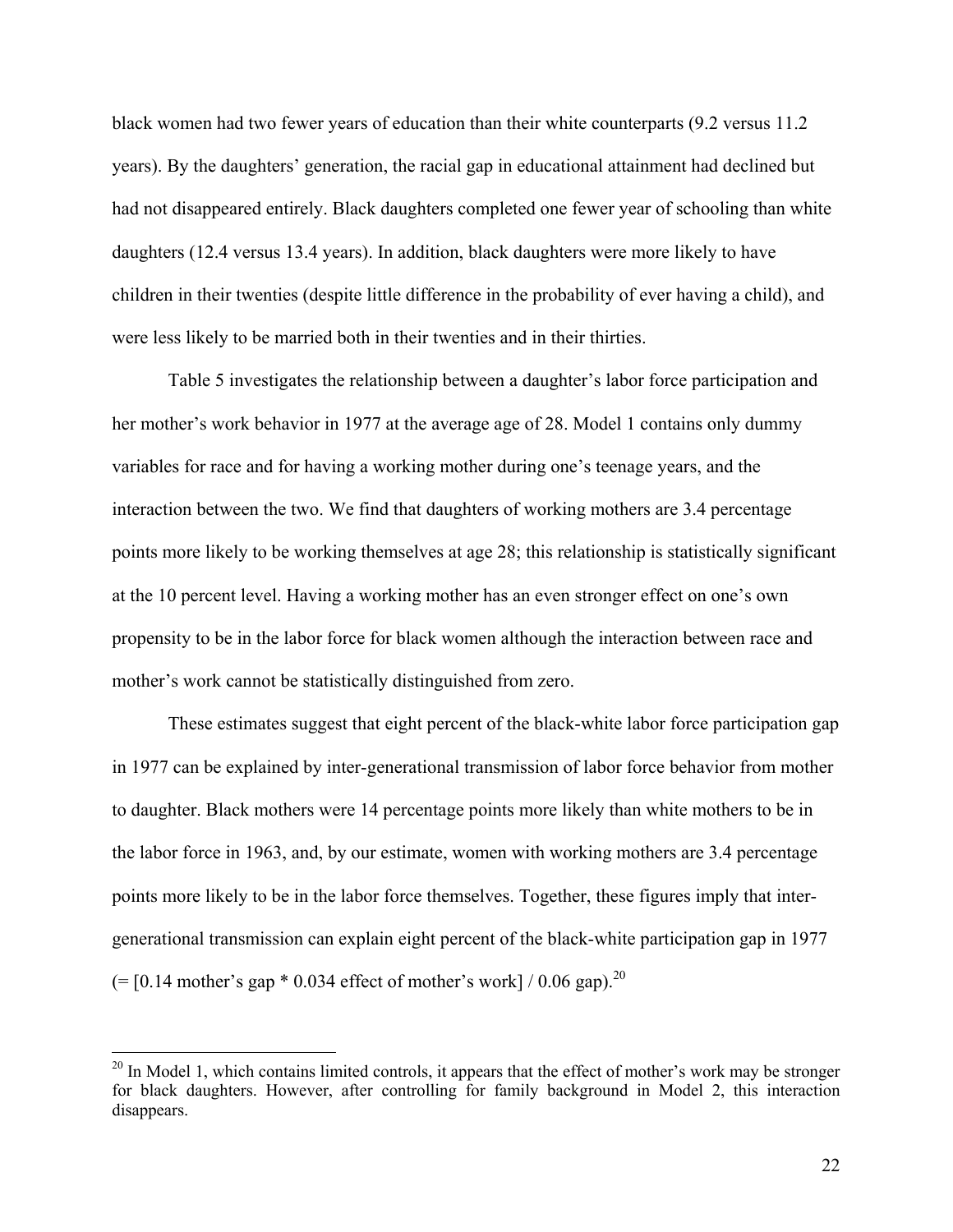black women had two fewer years of education than their white counterparts (9.2 versus 11.2 years). By the daughters' generation, the racial gap in educational attainment had declined but had not disappeared entirely. Black daughters completed one fewer year of schooling than white daughters (12.4 versus 13.4 years). In addition, black daughters were more likely to have children in their twenties (despite little difference in the probability of ever having a child), and were less likely to be married both in their twenties and in their thirties.

Table 5 investigates the relationship between a daughter's labor force participation and her mother's work behavior in 1977 at the average age of 28. Model 1 contains only dummy variables for race and for having a working mother during one's teenage years, and the interaction between the two. We find that daughters of working mothers are 3.4 percentage points more likely to be working themselves at age 28; this relationship is statistically significant at the 10 percent level. Having a working mother has an even stronger effect on one's own propensity to be in the labor force for black women although the interaction between race and mother's work cannot be statistically distinguished from zero.

These estimates suggest that eight percent of the black-white labor force participation gap in 1977 can be explained by inter-generational transmission of labor force behavior from mother to daughter. Black mothers were 14 percentage points more likely than white mothers to be in the labor force in 1963, and, by our estimate, women with working mothers are 3.4 percentage points more likely to be in the labor force themselves. Together, these figures imply that intergenerational transmission can explain eight percent of the black-white participation gap in 1977  $(=[0.14 \text{ mother's gap} * 0.034 \text{ effect of mother's work}] / 0.06 \text{ gap}.^{20}$ 

 $20$  In Model 1, which contains limited controls, it appears that the effect of mother's work may be stronger for black daughters. However, after controlling for family background in Model 2, this interaction disappears.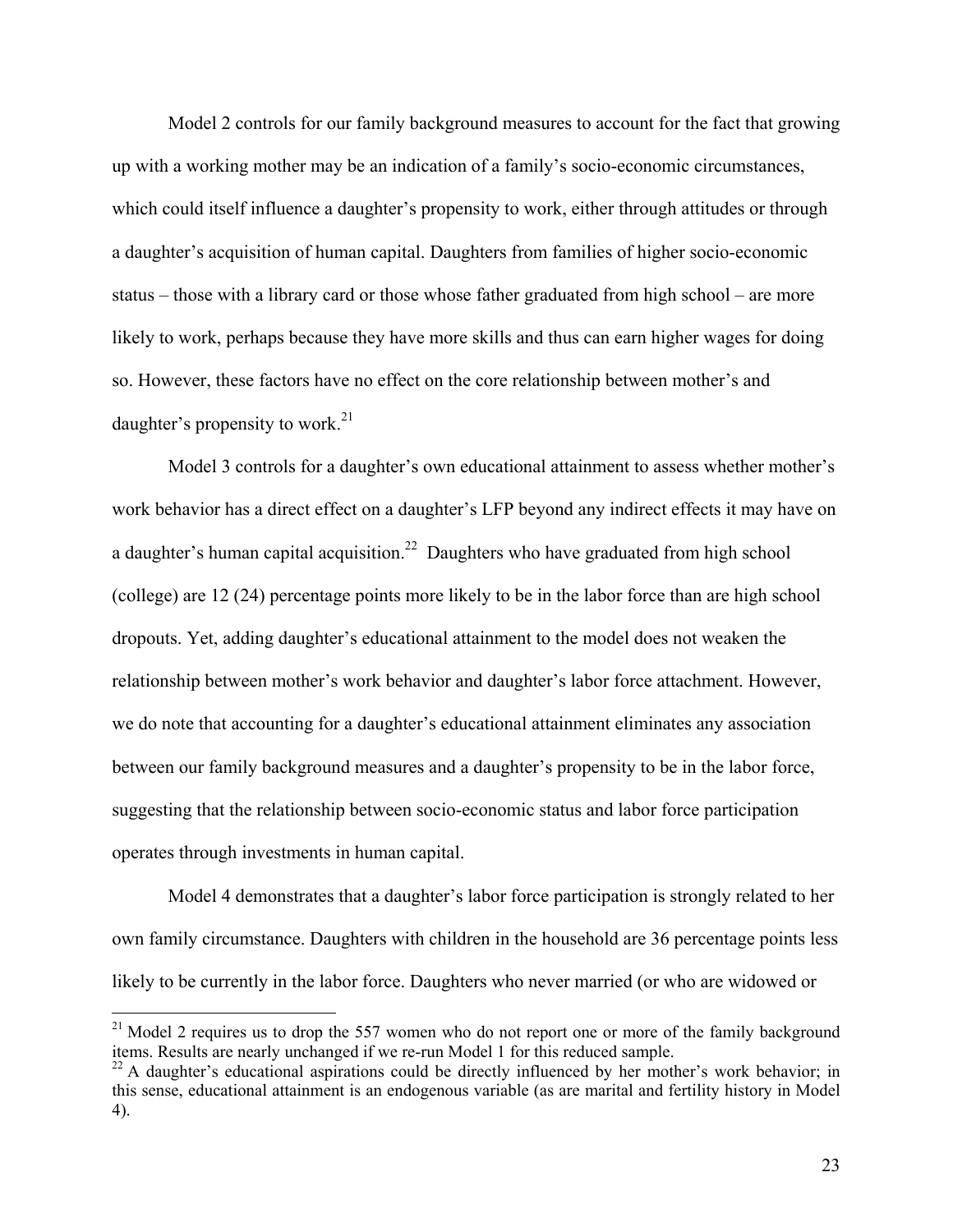Model 2 controls for our family background measures to account for the fact that growing up with a working mother may be an indication of a family's socio-economic circumstances, which could itself influence a daughter's propensity to work, either through attitudes or through a daughter's acquisition of human capital. Daughters from families of higher socio-economic status – those with a library card or those whose father graduated from high school – are more likely to work, perhaps because they have more skills and thus can earn higher wages for doing so. However, these factors have no effect on the core relationship between mother's and daughter's propensity to work.<sup>21</sup>

Model 3 controls for a daughter's own educational attainment to assess whether mother's work behavior has a direct effect on a daughter's LFP beyond any indirect effects it may have on a daughter's human capital acquisition.<sup>22</sup> Daughters who have graduated from high school (college) are 12 (24) percentage points more likely to be in the labor force than are high school dropouts. Yet, adding daughter's educational attainment to the model does not weaken the relationship between mother's work behavior and daughter's labor force attachment. However, we do note that accounting for a daughter's educational attainment eliminates any association between our family background measures and a daughter's propensity to be in the labor force, suggesting that the relationship between socio-economic status and labor force participation operates through investments in human capital.

Model 4 demonstrates that a daughter's labor force participation is strongly related to her own family circumstance. Daughters with children in the household are 36 percentage points less likely to be currently in the labor force. Daughters who never married (or who are widowed or

<u>.</u>

 $2<sup>21</sup>$  Model 2 requires us to drop the 557 women who do not report one or more of the family background items. Results are nearly unchanged if we re-run Model 1 for this reduced sample.

 $^{22}$  A daughter's educational aspirations could be directly influenced by her mother's work behavior; in this sense, educational attainment is an endogenous variable (as are marital and fertility history in Model 4).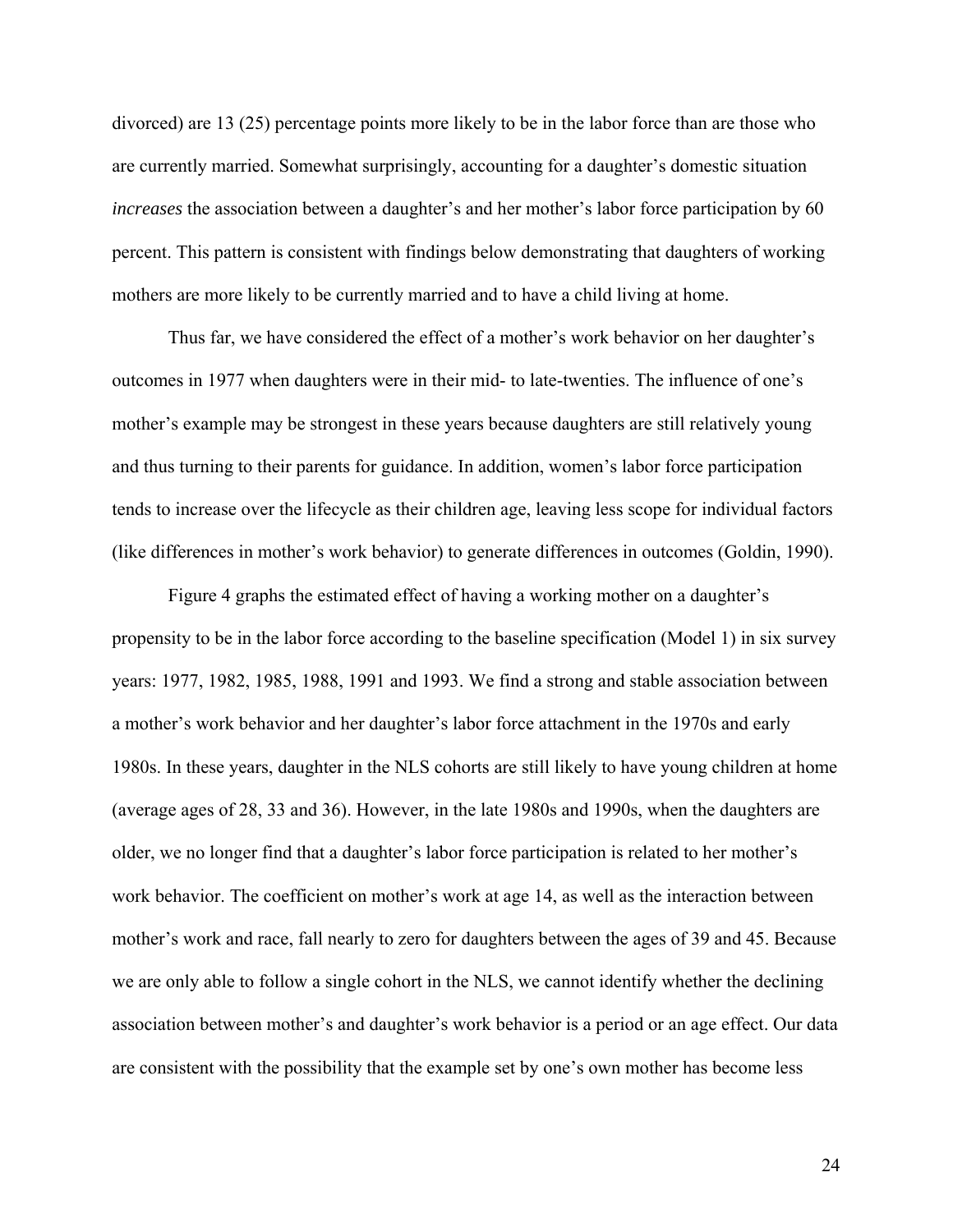divorced) are 13 (25) percentage points more likely to be in the labor force than are those who are currently married. Somewhat surprisingly, accounting for a daughter's domestic situation *increases* the association between a daughter's and her mother's labor force participation by 60 percent. This pattern is consistent with findings below demonstrating that daughters of working mothers are more likely to be currently married and to have a child living at home.

Thus far, we have considered the effect of a mother's work behavior on her daughter's outcomes in 1977 when daughters were in their mid- to late-twenties. The influence of one's mother's example may be strongest in these years because daughters are still relatively young and thus turning to their parents for guidance. In addition, women's labor force participation tends to increase over the lifecycle as their children age, leaving less scope for individual factors (like differences in mother's work behavior) to generate differences in outcomes (Goldin, 1990).

Figure 4 graphs the estimated effect of having a working mother on a daughter's propensity to be in the labor force according to the baseline specification (Model 1) in six survey years: 1977, 1982, 1985, 1988, 1991 and 1993. We find a strong and stable association between a mother's work behavior and her daughter's labor force attachment in the 1970s and early 1980s. In these years, daughter in the NLS cohorts are still likely to have young children at home (average ages of 28, 33 and 36). However, in the late 1980s and 1990s, when the daughters are older, we no longer find that a daughter's labor force participation is related to her mother's work behavior. The coefficient on mother's work at age 14, as well as the interaction between mother's work and race, fall nearly to zero for daughters between the ages of 39 and 45. Because we are only able to follow a single cohort in the NLS, we cannot identify whether the declining association between mother's and daughter's work behavior is a period or an age effect. Our data are consistent with the possibility that the example set by one's own mother has become less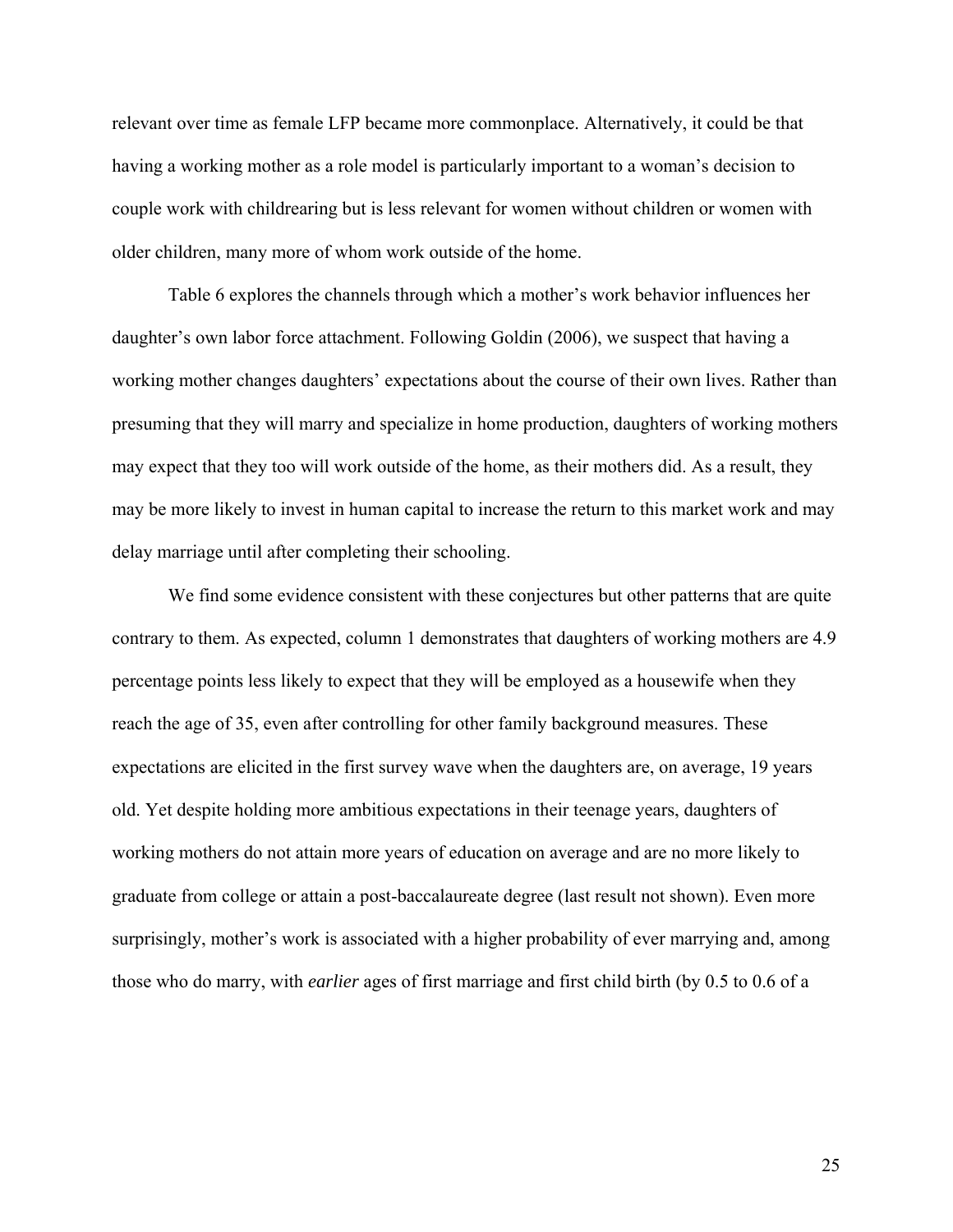relevant over time as female LFP became more commonplace. Alternatively, it could be that having a working mother as a role model is particularly important to a woman's decision to couple work with childrearing but is less relevant for women without children or women with older children, many more of whom work outside of the home.

Table 6 explores the channels through which a mother's work behavior influences her daughter's own labor force attachment. Following Goldin (2006), we suspect that having a working mother changes daughters' expectations about the course of their own lives. Rather than presuming that they will marry and specialize in home production, daughters of working mothers may expect that they too will work outside of the home, as their mothers did. As a result, they may be more likely to invest in human capital to increase the return to this market work and may delay marriage until after completing their schooling.

We find some evidence consistent with these conjectures but other patterns that are quite contrary to them. As expected, column 1 demonstrates that daughters of working mothers are 4.9 percentage points less likely to expect that they will be employed as a housewife when they reach the age of 35, even after controlling for other family background measures. These expectations are elicited in the first survey wave when the daughters are, on average, 19 years old. Yet despite holding more ambitious expectations in their teenage years, daughters of working mothers do not attain more years of education on average and are no more likely to graduate from college or attain a post-baccalaureate degree (last result not shown). Even more surprisingly, mother's work is associated with a higher probability of ever marrying and, among those who do marry, with *earlier* ages of first marriage and first child birth (by 0.5 to 0.6 of a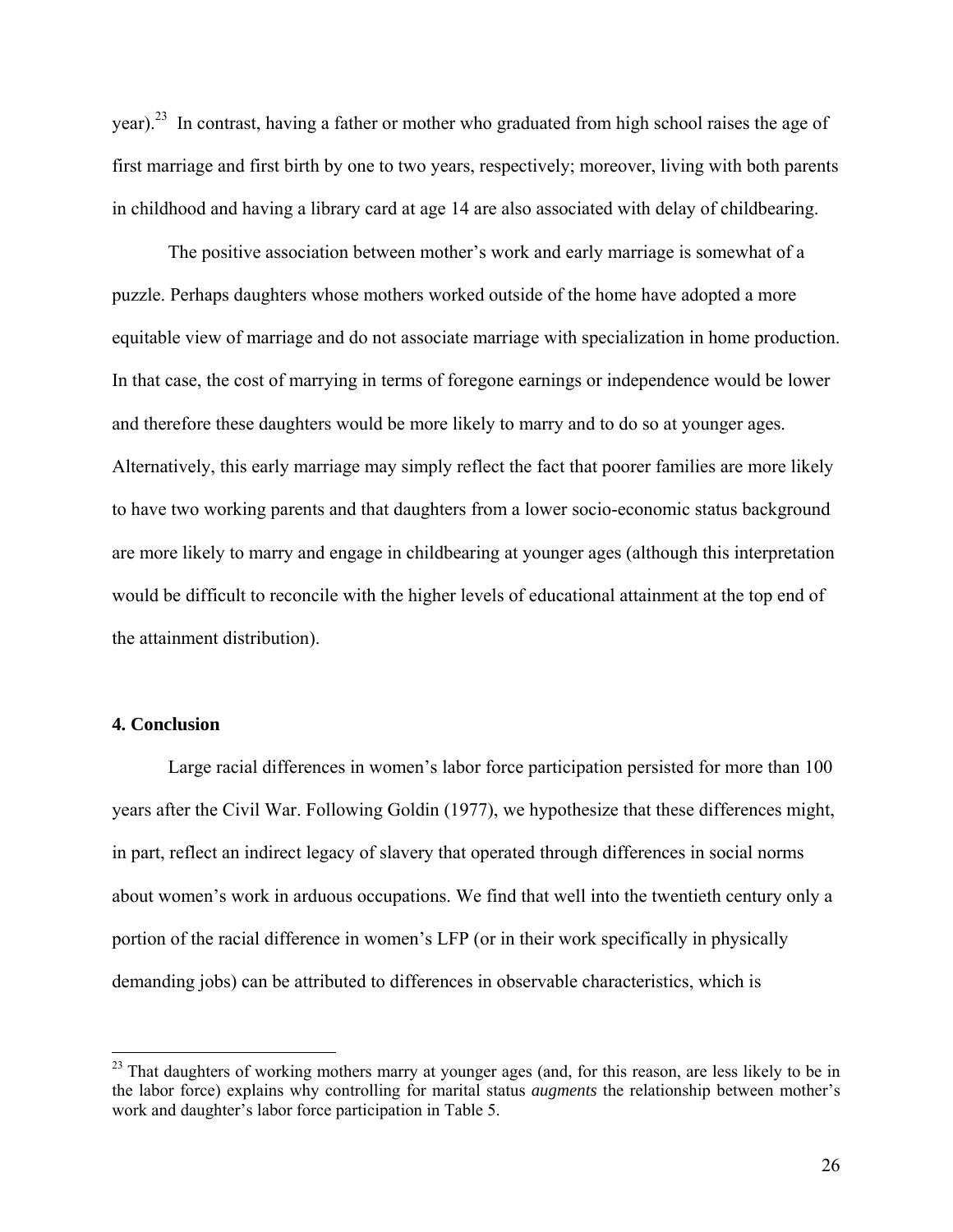year).23 In contrast, having a father or mother who graduated from high school raises the age of first marriage and first birth by one to two years, respectively; moreover, living with both parents in childhood and having a library card at age 14 are also associated with delay of childbearing.

The positive association between mother's work and early marriage is somewhat of a puzzle. Perhaps daughters whose mothers worked outside of the home have adopted a more equitable view of marriage and do not associate marriage with specialization in home production. In that case, the cost of marrying in terms of foregone earnings or independence would be lower and therefore these daughters would be more likely to marry and to do so at younger ages. Alternatively, this early marriage may simply reflect the fact that poorer families are more likely to have two working parents and that daughters from a lower socio-economic status background are more likely to marry and engage in childbearing at younger ages (although this interpretation would be difficult to reconcile with the higher levels of educational attainment at the top end of the attainment distribution).

#### **4. Conclusion**

 $\overline{a}$ 

 Large racial differences in women's labor force participation persisted for more than 100 years after the Civil War. Following Goldin (1977), we hypothesize that these differences might, in part, reflect an indirect legacy of slavery that operated through differences in social norms about women's work in arduous occupations. We find that well into the twentieth century only a portion of the racial difference in women's LFP (or in their work specifically in physically demanding jobs) can be attributed to differences in observable characteristics, which is

<sup>&</sup>lt;sup>23</sup> That daughters of working mothers marry at younger ages (and, for this reason, are less likely to be in the labor force) explains why controlling for marital status *augments* the relationship between mother's work and daughter's labor force participation in Table 5.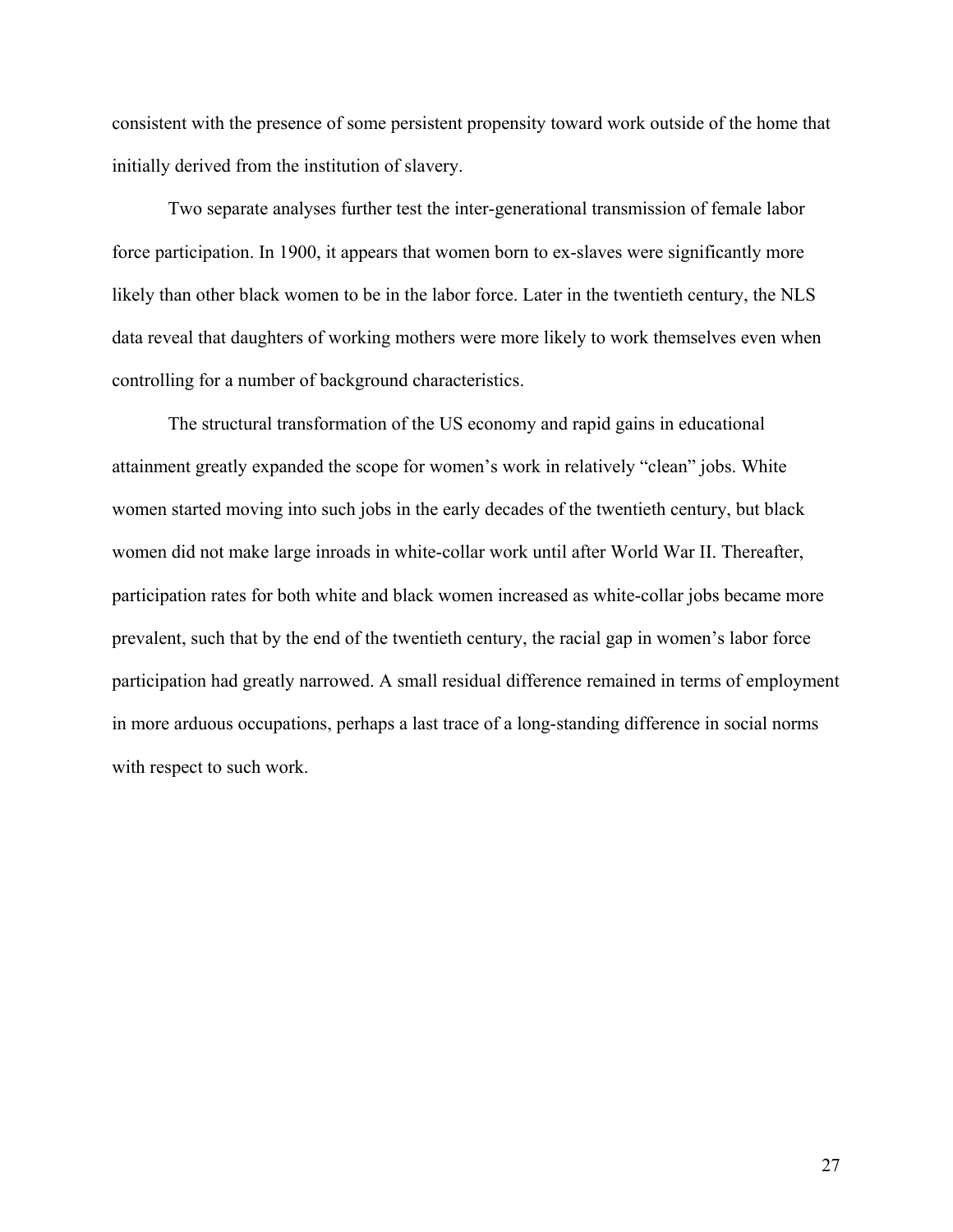consistent with the presence of some persistent propensity toward work outside of the home that initially derived from the institution of slavery.

 Two separate analyses further test the inter-generational transmission of female labor force participation. In 1900, it appears that women born to ex-slaves were significantly more likely than other black women to be in the labor force. Later in the twentieth century, the NLS data reveal that daughters of working mothers were more likely to work themselves even when controlling for a number of background characteristics.

 The structural transformation of the US economy and rapid gains in educational attainment greatly expanded the scope for women's work in relatively "clean" jobs. White women started moving into such jobs in the early decades of the twentieth century, but black women did not make large inroads in white-collar work until after World War II. Thereafter, participation rates for both white and black women increased as white-collar jobs became more prevalent, such that by the end of the twentieth century, the racial gap in women's labor force participation had greatly narrowed. A small residual difference remained in terms of employment in more arduous occupations, perhaps a last trace of a long-standing difference in social norms with respect to such work.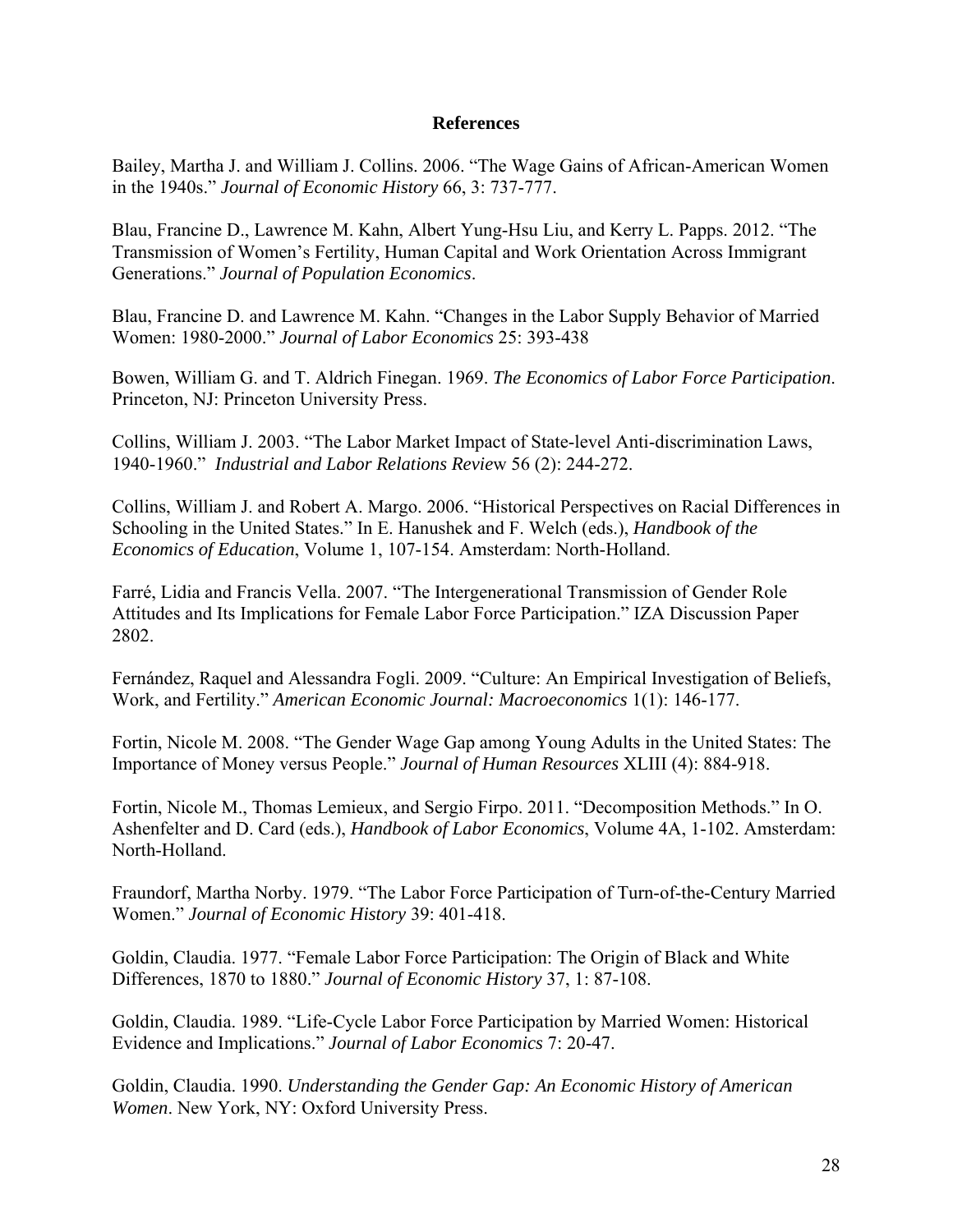# **References**

Bailey, Martha J. and William J. Collins. 2006. "The Wage Gains of African-American Women in the 1940s." *Journal of Economic History* 66, 3: 737-777.

Blau, Francine D., Lawrence M. Kahn, Albert Yung-Hsu Liu, and Kerry L. Papps. 2012. "The Transmission of Women's Fertility, Human Capital and Work Orientation Across Immigrant Generations." *Journal of Population Economics*.

Blau, Francine D. and Lawrence M. Kahn. "Changes in the Labor Supply Behavior of Married Women: 1980-2000." *Journal of Labor Economics* 25: 393-438

Bowen, William G. and T. Aldrich Finegan. 1969. *The Economics of Labor Force Participation*. Princeton, NJ: Princeton University Press.

Collins, William J. 2003. "The Labor Market Impact of State-level Anti-discrimination Laws, 1940-1960." *Industrial and Labor Relations Revie*w 56 (2): 244-272.

Collins, William J. and Robert A. Margo. 2006. "Historical Perspectives on Racial Differences in Schooling in the United States." In E. Hanushek and F. Welch (eds.), *Handbook of the Economics of Education*, Volume 1, 107-154. Amsterdam: North-Holland.

Farré, Lidia and Francis Vella. 2007. "The Intergenerational Transmission of Gender Role Attitudes and Its Implications for Female Labor Force Participation." IZA Discussion Paper 2802.

Fernández, Raquel and Alessandra Fogli. 2009. "Culture: An Empirical Investigation of Beliefs, Work, and Fertility." *American Economic Journal: Macroeconomics* 1(1): 146-177.

Fortin, Nicole M. 2008. "The Gender Wage Gap among Young Adults in the United States: The Importance of Money versus People." *Journal of Human Resources* XLIII (4): 884-918.

Fortin, Nicole M., Thomas Lemieux, and Sergio Firpo. 2011. "Decomposition Methods." In O. Ashenfelter and D. Card (eds.), *Handbook of Labor Economics*, Volume 4A, 1-102. Amsterdam: North-Holland.

Fraundorf, Martha Norby. 1979. "The Labor Force Participation of Turn-of-the-Century Married Women." *Journal of Economic History* 39: 401-418.

Goldin, Claudia. 1977. "Female Labor Force Participation: The Origin of Black and White Differences, 1870 to 1880." *Journal of Economic History* 37, 1: 87-108.

Goldin, Claudia. 1989. "Life-Cycle Labor Force Participation by Married Women: Historical Evidence and Implications." *Journal of Labor Economics* 7: 20-47.

Goldin, Claudia. 1990. *Understanding the Gender Gap: An Economic History of American Women*. New York, NY: Oxford University Press.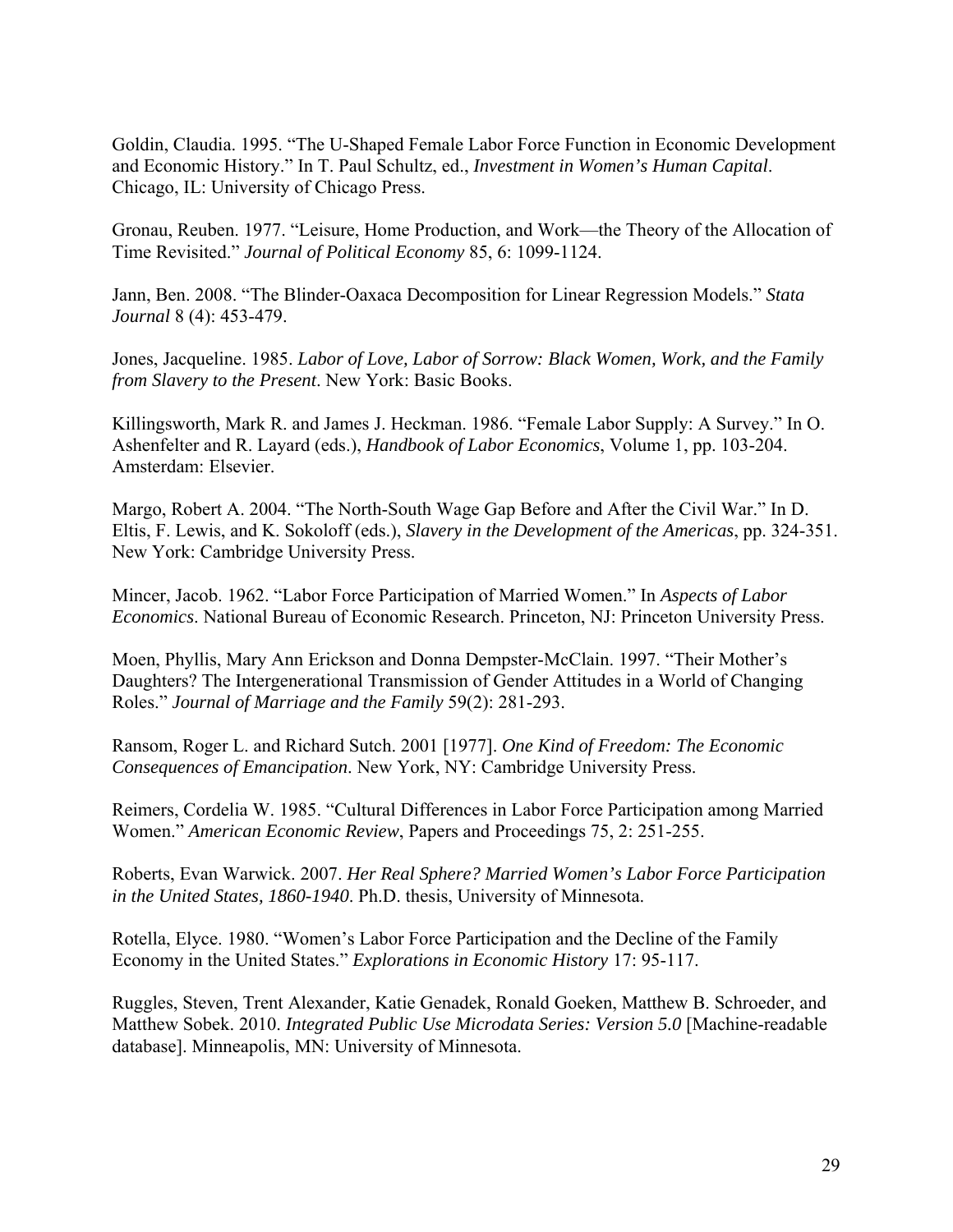Goldin, Claudia. 1995. "The U-Shaped Female Labor Force Function in Economic Development and Economic History." In T. Paul Schultz, ed., *Investment in Women's Human Capital*. Chicago, IL: University of Chicago Press.

Gronau, Reuben. 1977. "Leisure, Home Production, and Work—the Theory of the Allocation of Time Revisited." *Journal of Political Economy* 85, 6: 1099-1124.

Jann, Ben. 2008. "The Blinder-Oaxaca Decomposition for Linear Regression Models." *Stata Journal* 8 (4): 453-479.

Jones, Jacqueline. 1985. *Labor of Love, Labor of Sorrow: Black Women, Work, and the Family from Slavery to the Present*. New York: Basic Books.

Killingsworth, Mark R. and James J. Heckman. 1986. "Female Labor Supply: A Survey." In O. Ashenfelter and R. Layard (eds.), *Handbook of Labor Economics*, Volume 1, pp. 103-204. Amsterdam: Elsevier.

Margo, Robert A. 2004. "The North-South Wage Gap Before and After the Civil War." In D. Eltis, F. Lewis, and K. Sokoloff (eds.), *Slavery in the Development of the Americas*, pp. 324-351. New York: Cambridge University Press.

Mincer, Jacob. 1962. "Labor Force Participation of Married Women." In *Aspects of Labor Economics*. National Bureau of Economic Research. Princeton, NJ: Princeton University Press.

Moen, Phyllis, Mary Ann Erickson and Donna Dempster-McClain. 1997. "Their Mother's Daughters? The Intergenerational Transmission of Gender Attitudes in a World of Changing Roles." *Journal of Marriage and the Family* 59(2): 281-293.

Ransom, Roger L. and Richard Sutch. 2001 [1977]. *One Kind of Freedom: The Economic Consequences of Emancipation*. New York, NY: Cambridge University Press.

Reimers, Cordelia W. 1985. "Cultural Differences in Labor Force Participation among Married Women." *American Economic Review*, Papers and Proceedings 75, 2: 251-255.

Roberts, Evan Warwick. 2007. *Her Real Sphere? Married Women's Labor Force Participation in the United States, 1860-1940*. Ph.D. thesis, University of Minnesota.

Rotella, Elyce. 1980. "Women's Labor Force Participation and the Decline of the Family Economy in the United States." *Explorations in Economic History* 17: 95-117.

Ruggles, Steven, Trent Alexander, Katie Genadek, Ronald Goeken, Matthew B. Schroeder, and Matthew Sobek. 2010. *Integrated Public Use Microdata Series: Version 5.0* [Machine-readable database]. Minneapolis, MN: University of Minnesota.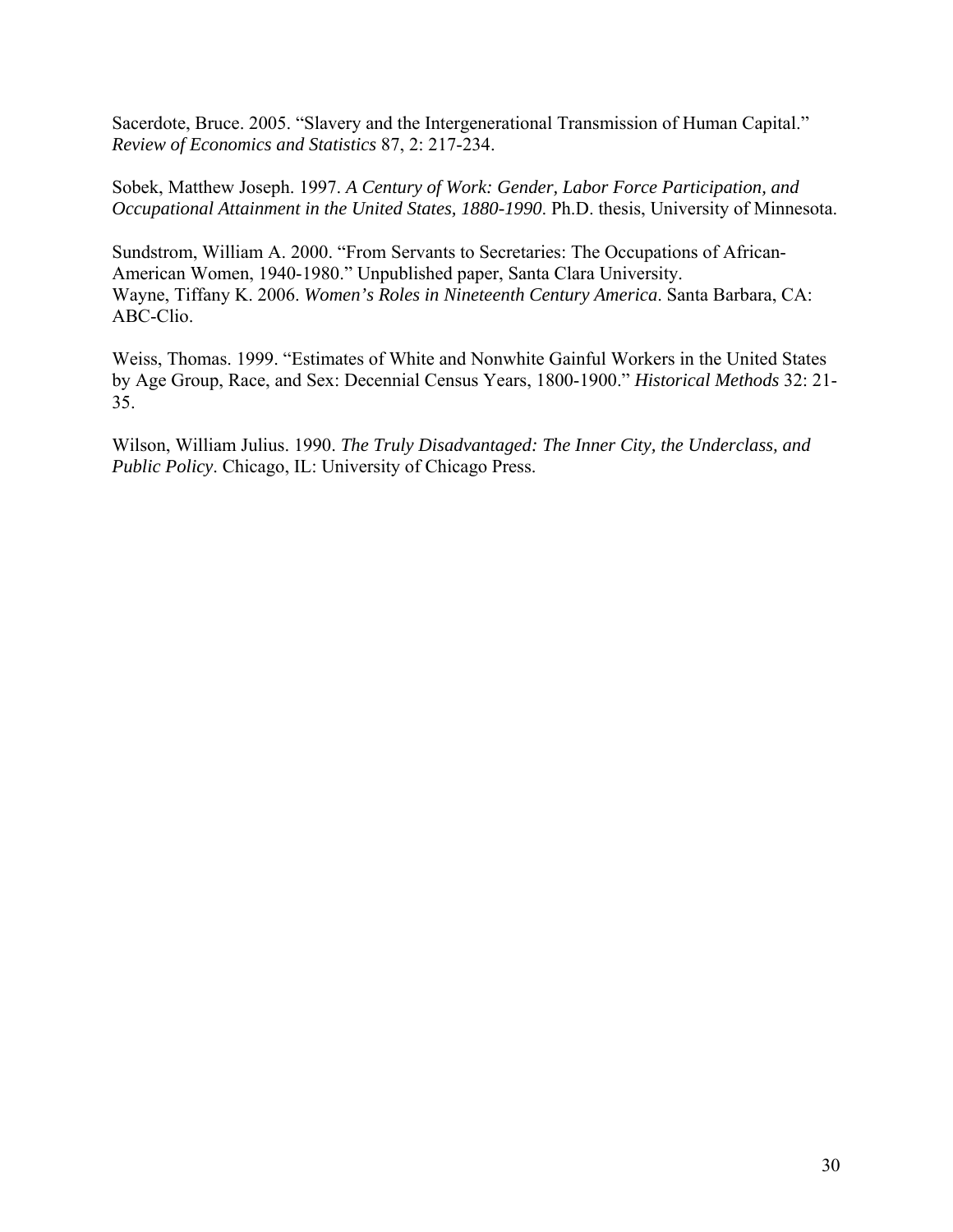Sacerdote, Bruce. 2005. "Slavery and the Intergenerational Transmission of Human Capital." *Review of Economics and Statistics* 87, 2: 217-234.

Sobek, Matthew Joseph. 1997. *A Century of Work: Gender, Labor Force Participation, and Occupational Attainment in the United States, 1880-1990*. Ph.D. thesis, University of Minnesota.

Sundstrom, William A. 2000. "From Servants to Secretaries: The Occupations of African-American Women, 1940-1980." Unpublished paper, Santa Clara University. Wayne, Tiffany K. 2006. *Women's Roles in Nineteenth Century America*. Santa Barbara, CA: ABC-Clio.

Weiss, Thomas. 1999. "Estimates of White and Nonwhite Gainful Workers in the United States by Age Group, Race, and Sex: Decennial Census Years, 1800-1900." *Historical Methods* 32: 21- 35.

Wilson, William Julius. 1990. *The Truly Disadvantaged: The Inner City, the Underclass, and Public Policy*. Chicago, IL: University of Chicago Press.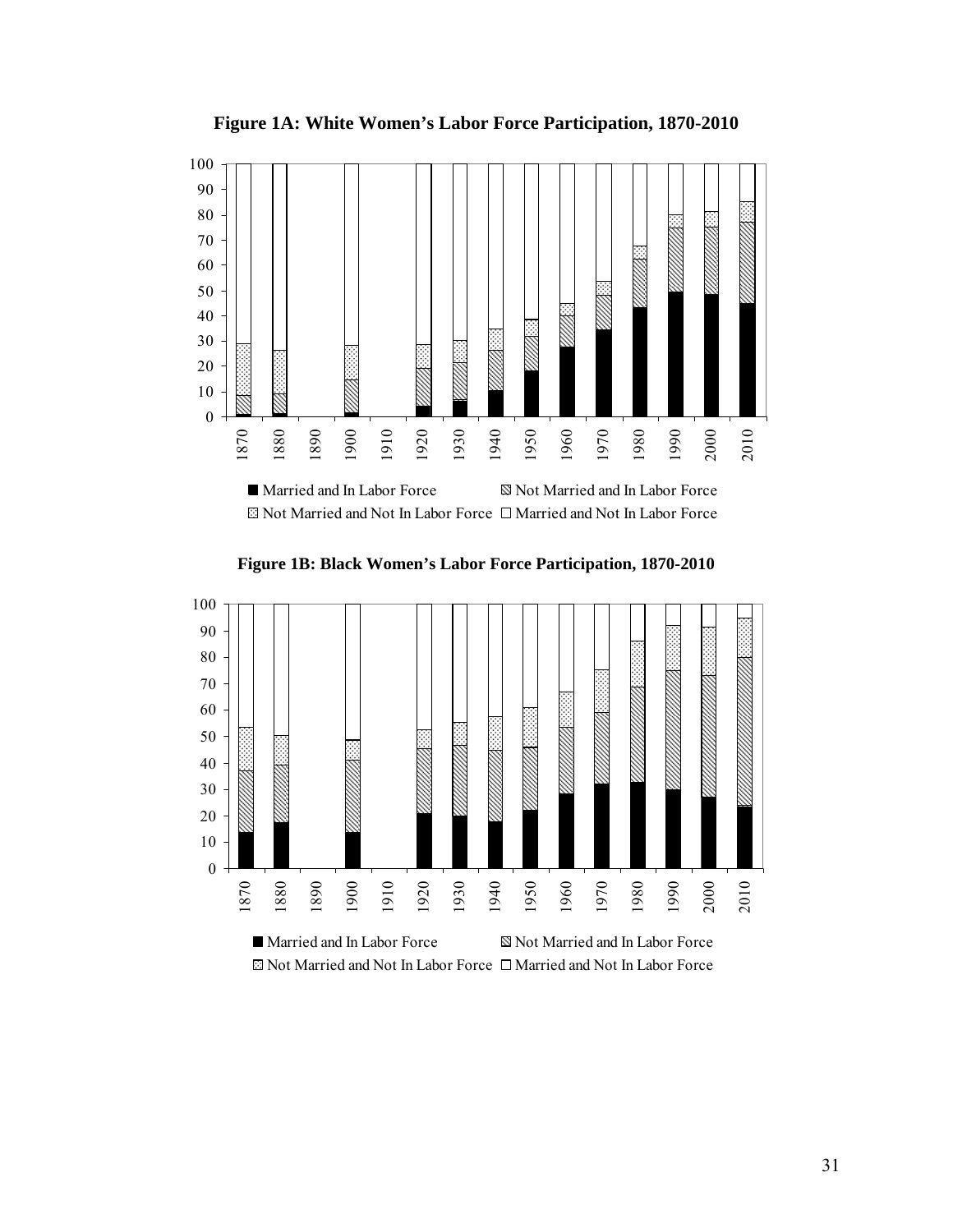

**Figure 1A: White Women's Labor Force Participation, 1870-2010** 

**Figure 1B: Black Women's Labor Force Participation, 1870-2010** 



 $\boxtimes$  Not Married and Not In Labor Force  $\Box$  Married and Not In Labor Force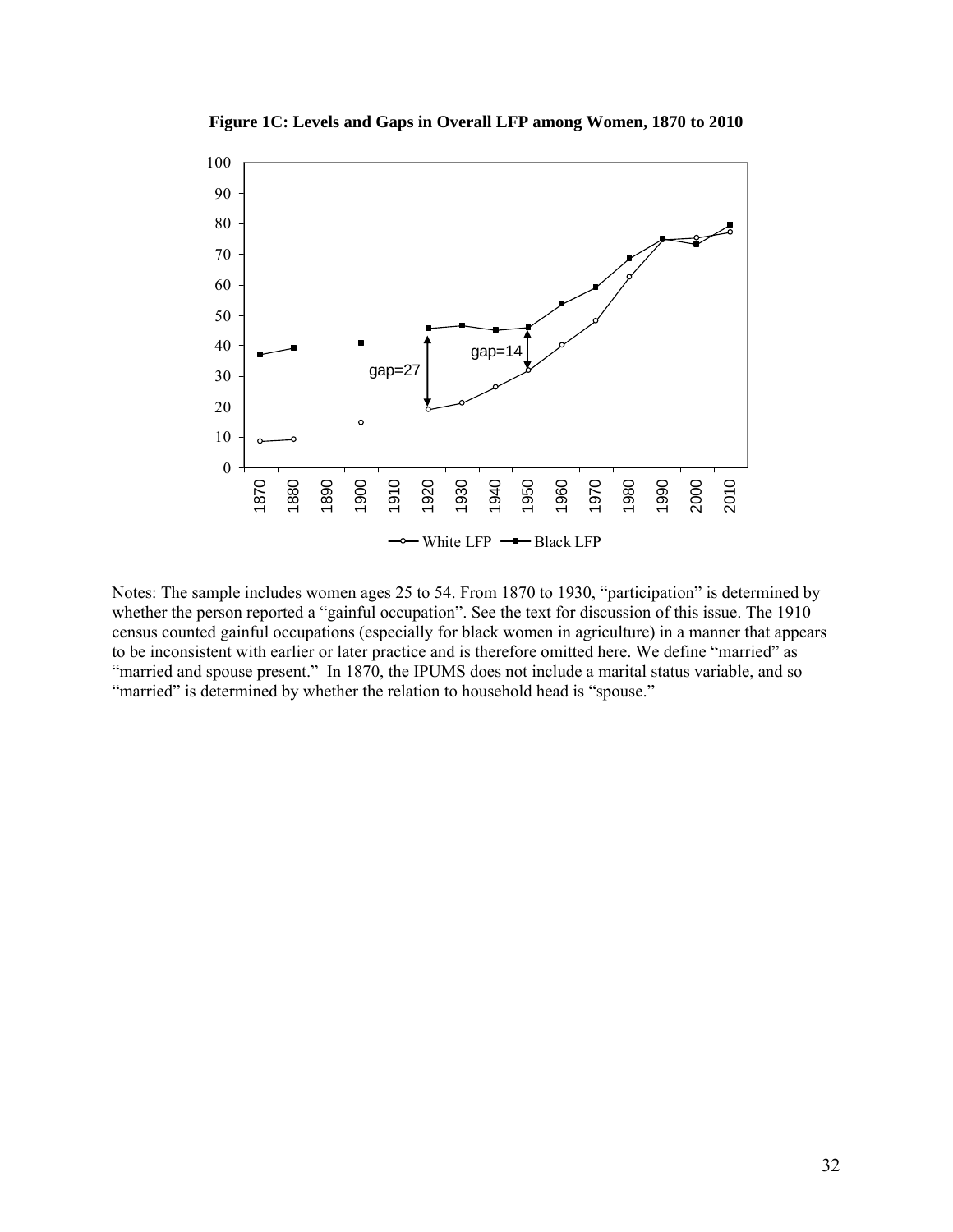

**Figure 1C: Levels and Gaps in Overall LFP among Women, 1870 to 2010** 

Notes: The sample includes women ages 25 to 54. From 1870 to 1930, "participation" is determined by whether the person reported a "gainful occupation". See the text for discussion of this issue. The 1910 census counted gainful occupations (especially for black women in agriculture) in a manner that appears to be inconsistent with earlier or later practice and is therefore omitted here. We define "married" as "married and spouse present." In 1870, the IPUMS does not include a marital status variable, and so "married" is determined by whether the relation to household head is "spouse."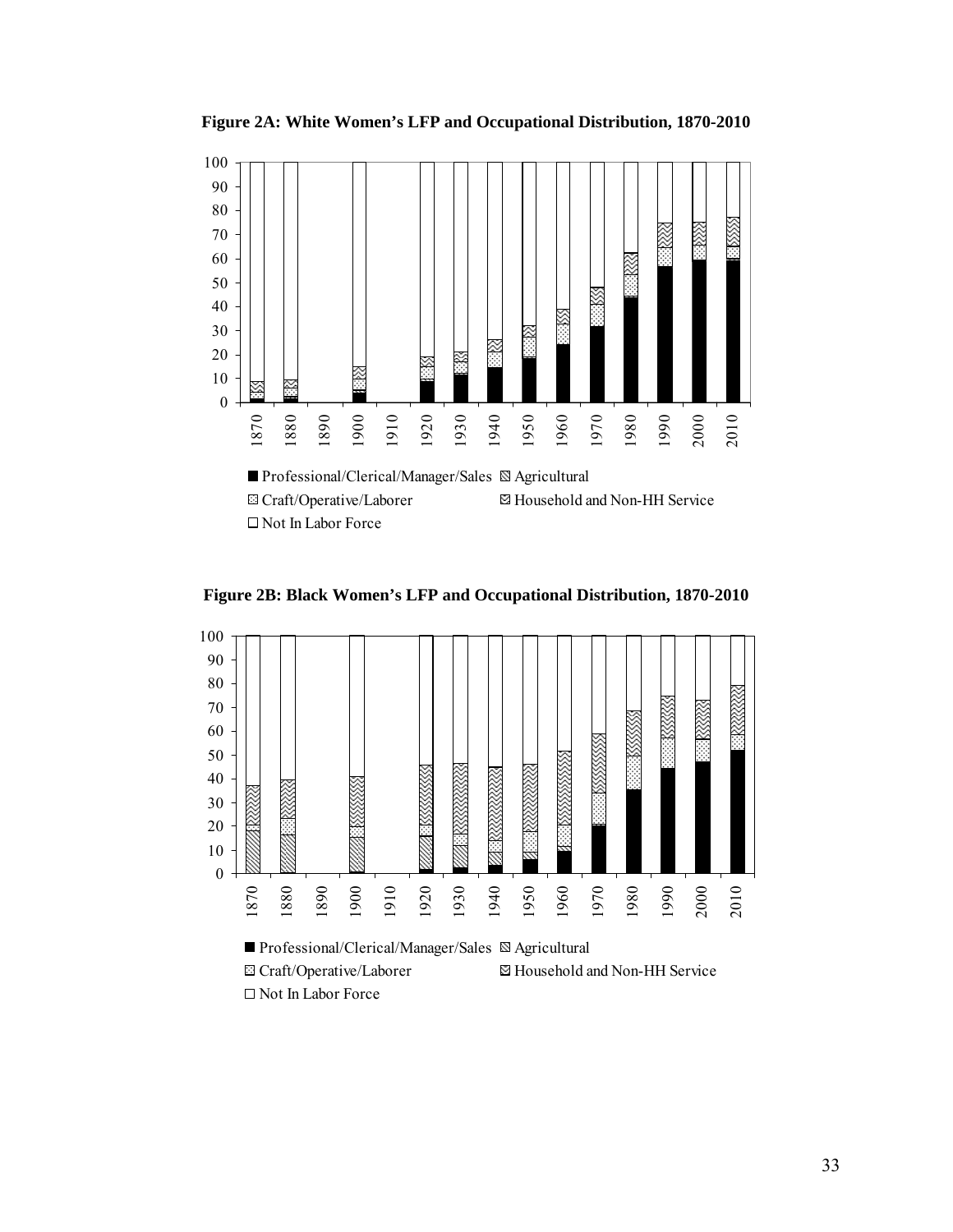**Figure 2A: White Women's LFP and Occupational Distribution, 1870-2010** 



**Figure 2B: Black Women's LFP and Occupational Distribution, 1870-2010** 

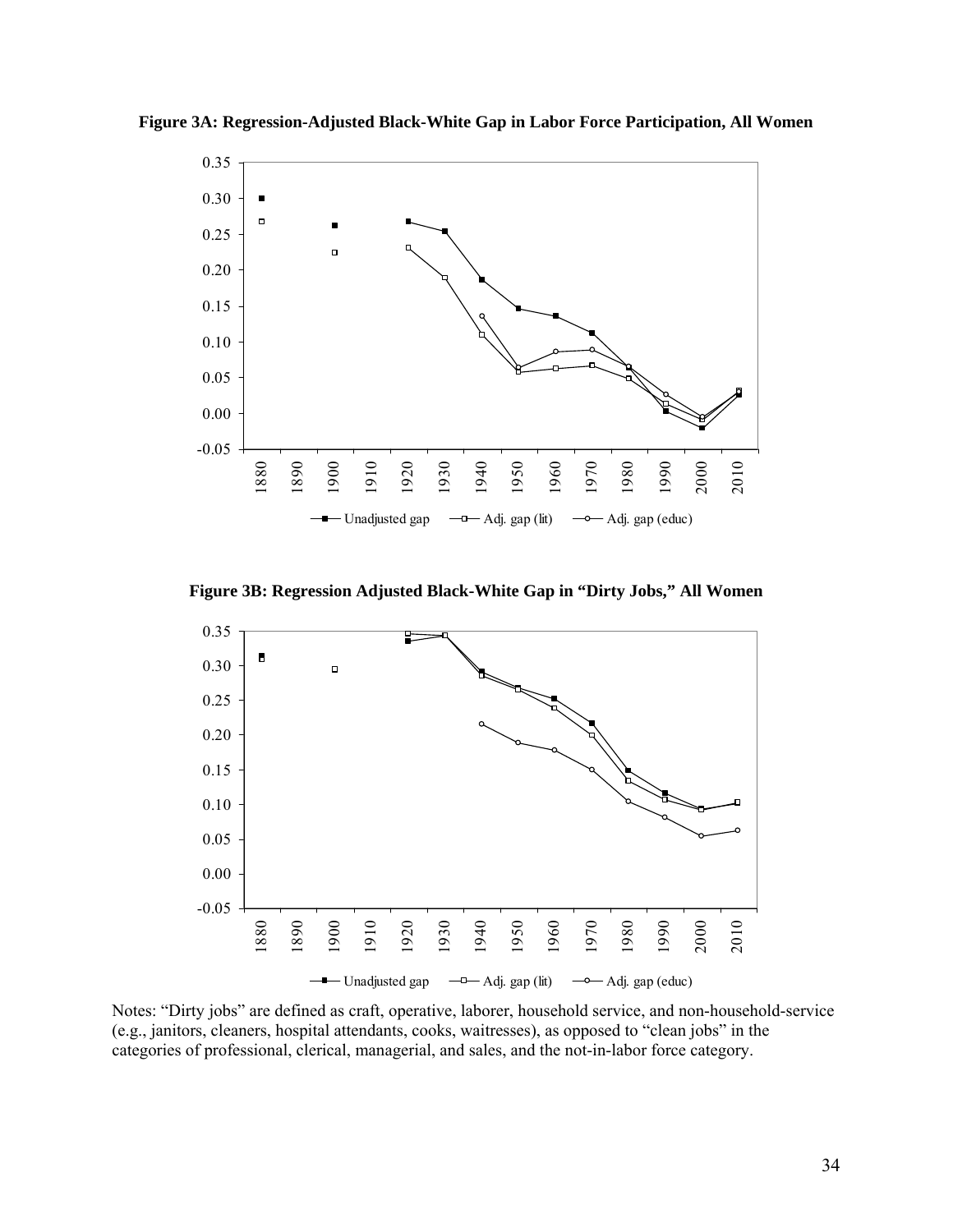

**Figure 3A: Regression-Adjusted Black-White Gap in Labor Force Participation, All Women**

**Figure 3B: Regression Adjusted Black-White Gap in "Dirty Jobs," All Women** 



Notes: "Dirty jobs" are defined as craft, operative, laborer, household service, and non-household-service (e.g., janitors, cleaners, hospital attendants, cooks, waitresses), as opposed to "clean jobs" in the categories of professional, clerical, managerial, and sales, and the not-in-labor force category.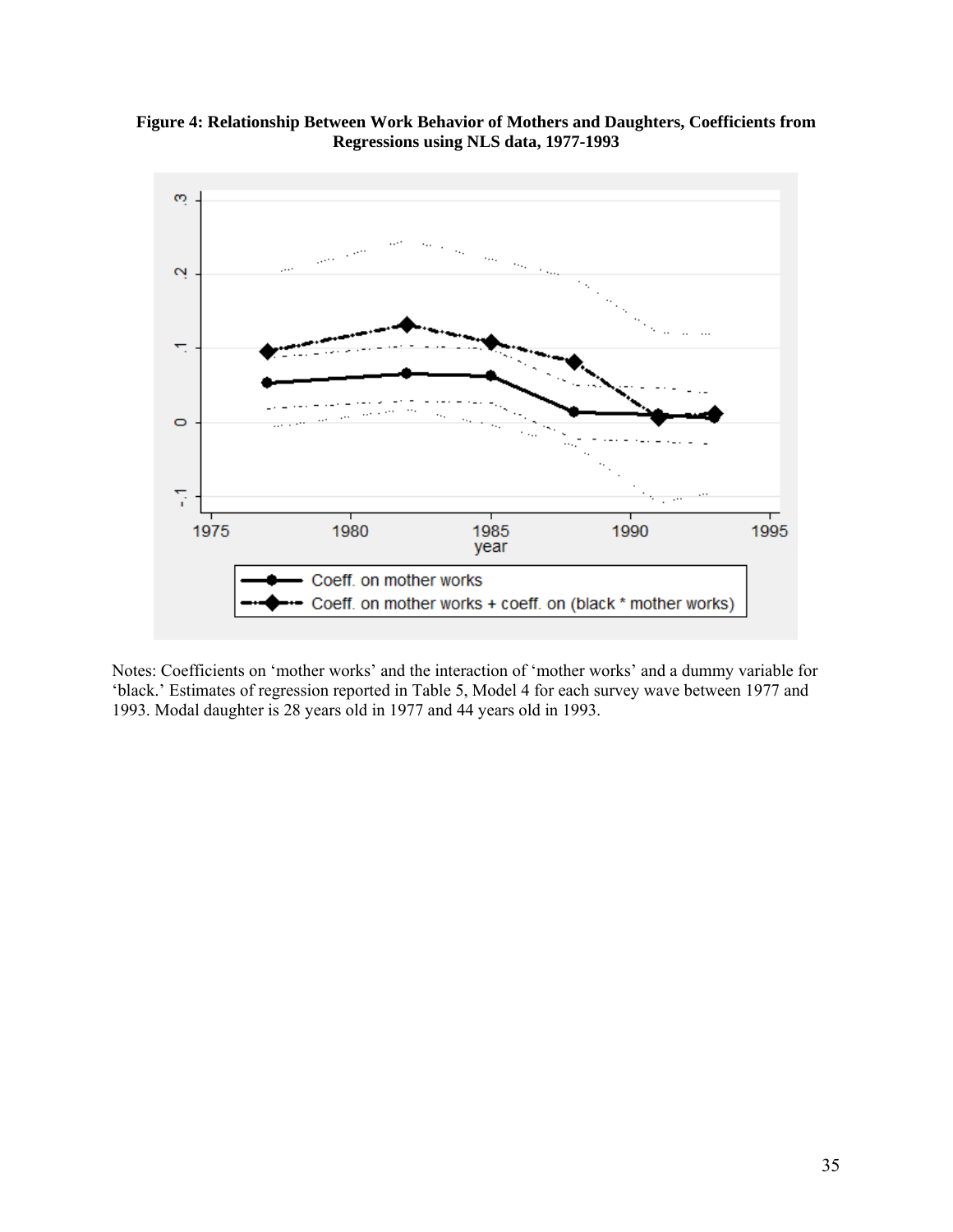



Notes: Coefficients on 'mother works' and the interaction of 'mother works' and a dummy variable for 'black.' Estimates of regression reported in Table 5, Model 4 for each survey wave between 1977 and 1993. Modal daughter is 28 years old in 1977 and 44 years old in 1993.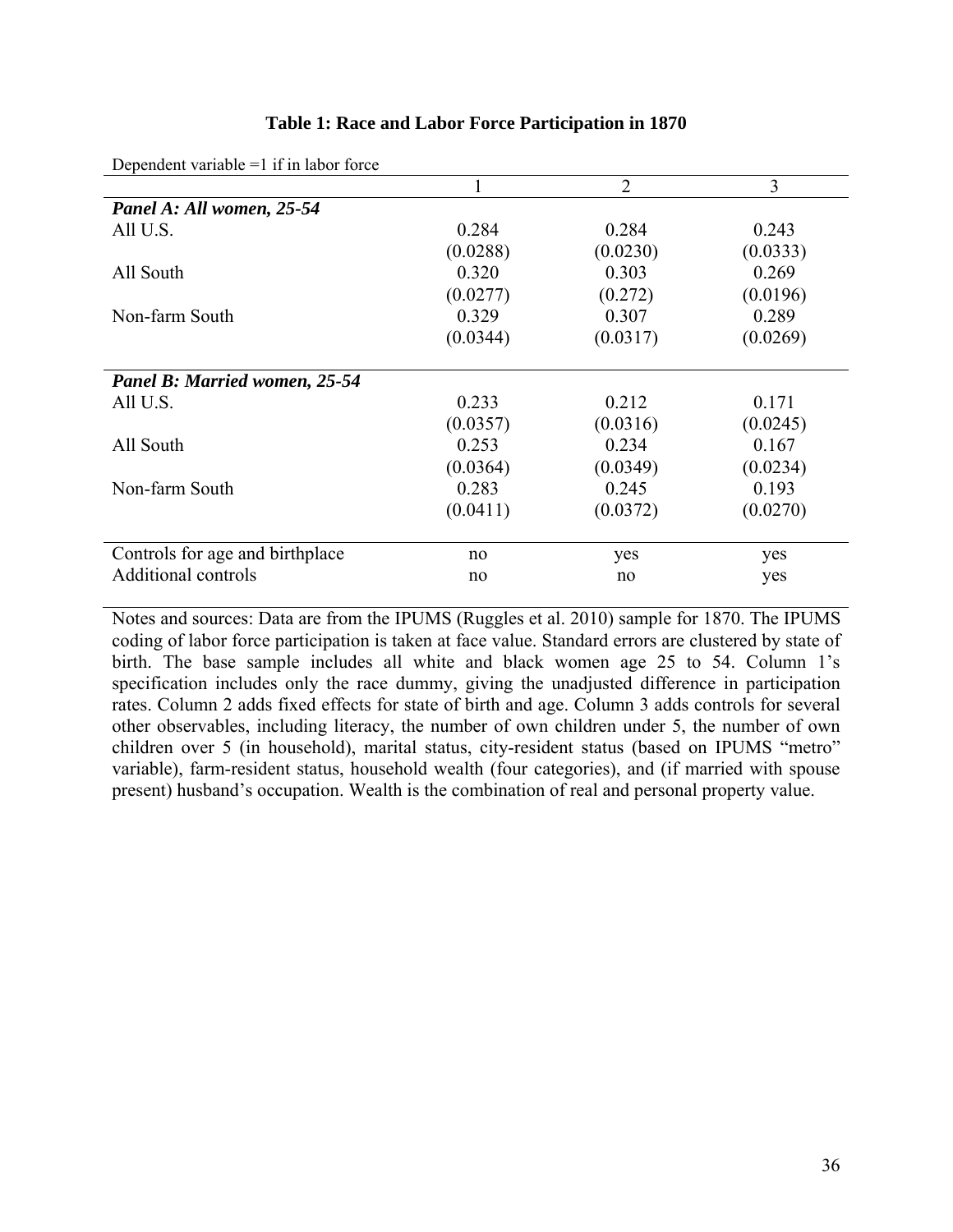|  |  | Table 1: Race and Labor Force Participation in 1870 |  |
|--|--|-----------------------------------------------------|--|
|--|--|-----------------------------------------------------|--|

|                                 |          | $\overline{2}$ | 3        |
|---------------------------------|----------|----------------|----------|
| Panel A: All women, 25-54       |          |                |          |
| All U.S.                        | 0.284    | 0.284          | 0.243    |
|                                 | (0.0288) | (0.0230)       | (0.0333) |
| All South                       | 0.320    | 0.303          | 0.269    |
|                                 | (0.0277) | (0.272)        | (0.0196) |
| Non-farm South                  | 0.329    | 0.307          | 0.289    |
|                                 | (0.0344) | (0.0317)       | (0.0269) |
|                                 |          |                |          |
| Panel B: Married women, 25-54   |          |                |          |
| All U.S.                        | 0.233    | 0.212          | 0.171    |
|                                 | (0.0357) | (0.0316)       | (0.0245) |
| All South                       | 0.253    | 0.234          | 0.167    |
|                                 | (0.0364) | (0.0349)       | (0.0234) |
| Non-farm South                  | 0.283    | 0.245          | 0.193    |
|                                 | (0.0411) | (0.0372)       | (0.0270) |
|                                 |          |                |          |
| Controls for age and birthplace | no       | yes            | yes      |
| Additional controls             | no       | no             | yes      |

Dependent variable  $=1$  if in labor force

Notes and sources: Data are from the IPUMS (Ruggles et al. 2010) sample for 1870. The IPUMS coding of labor force participation is taken at face value. Standard errors are clustered by state of birth. The base sample includes all white and black women age 25 to 54. Column 1's specification includes only the race dummy, giving the unadjusted difference in participation rates. Column 2 adds fixed effects for state of birth and age. Column 3 adds controls for several other observables, including literacy, the number of own children under 5, the number of own children over 5 (in household), marital status, city-resident status (based on IPUMS "metro" variable), farm-resident status, household wealth (four categories), and (if married with spouse present) husband's occupation. Wealth is the combination of real and personal property value.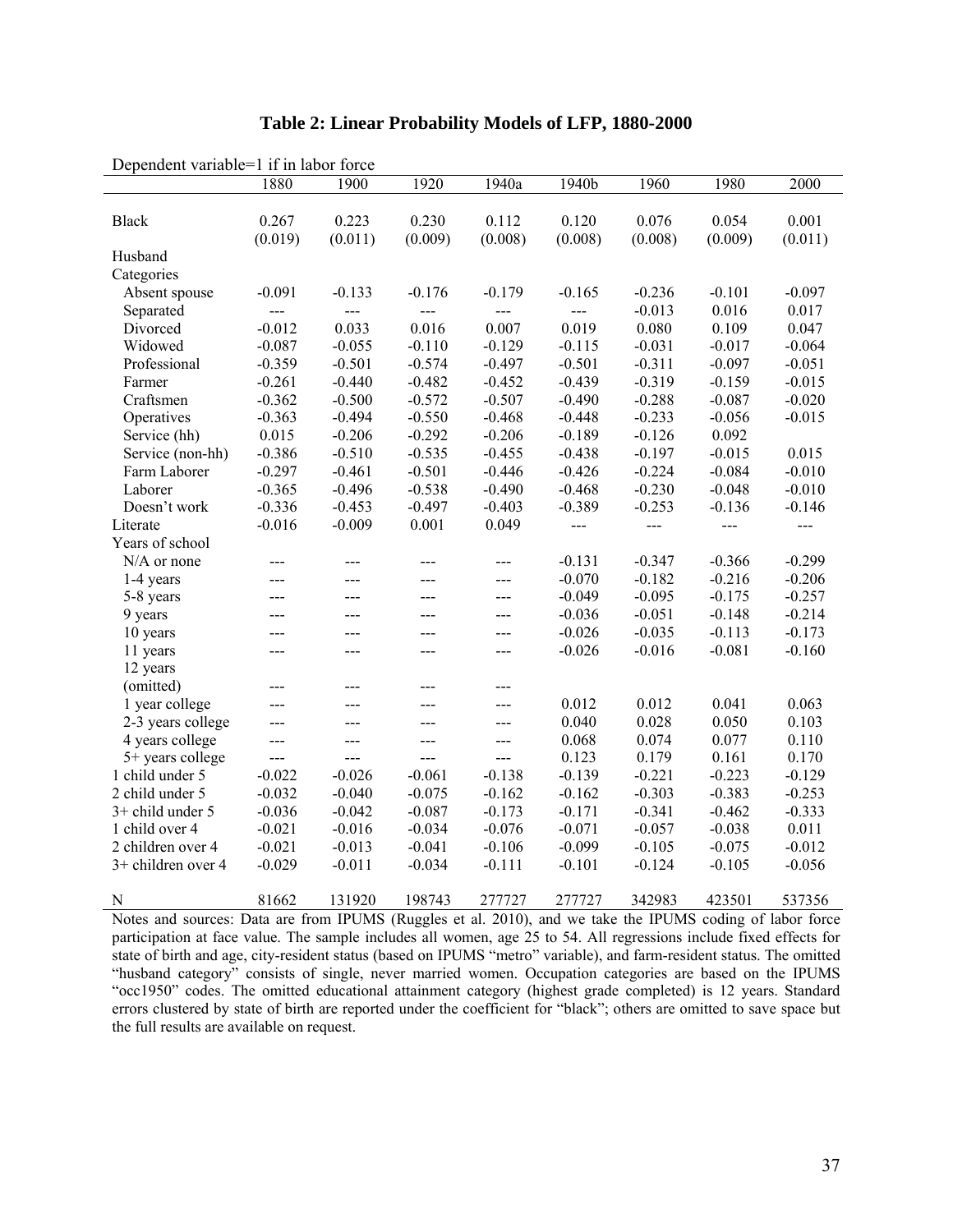| DUDUNUUN VAHAVIU   |                | $\mathbf{I}$ if in favor force |                |                |                |          |          |          |
|--------------------|----------------|--------------------------------|----------------|----------------|----------------|----------|----------|----------|
|                    | 1880           | 1900                           | 1920           | 1940a          | 1940b          | 1960     | 1980     | 2000     |
|                    |                |                                |                |                |                |          |          |          |
| <b>Black</b>       | 0.267          | 0.223                          | 0.230          | 0.112          | 0.120          | 0.076    | 0.054    | 0.001    |
|                    | (0.019)        | (0.011)                        | (0.009)        | (0.008)        | (0.008)        | (0.008)  | (0.009)  | (0.011)  |
| Husband            |                |                                |                |                |                |          |          |          |
| Categories         |                |                                |                |                |                |          |          |          |
| Absent spouse      | $-0.091$       | $-0.133$                       | $-0.176$       | $-0.179$       | $-0.165$       | $-0.236$ | $-0.101$ | $-0.097$ |
| Separated          | $\overline{a}$ | $\overline{a}$                 | ---            | $\overline{a}$ | $\overline{a}$ | $-0.013$ | 0.016    | 0.017    |
| Divorced           | $-0.012$       | 0.033                          | 0.016          | 0.007          | 0.019          | 0.080    | 0.109    | 0.047    |
| Widowed            | $-0.087$       | $-0.055$                       | $-0.110$       | $-0.129$       | $-0.115$       | $-0.031$ | $-0.017$ | $-0.064$ |
| Professional       | $-0.359$       | $-0.501$                       | $-0.574$       | $-0.497$       | $-0.501$       | $-0.311$ | $-0.097$ | $-0.051$ |
| Farmer             | $-0.261$       | $-0.440$                       | $-0.482$       | $-0.452$       | $-0.439$       | $-0.319$ | $-0.159$ | $-0.015$ |
| Craftsmen          | $-0.362$       | $-0.500$                       | $-0.572$       | $-0.507$       | $-0.490$       | $-0.288$ | $-0.087$ | $-0.020$ |
| Operatives         | $-0.363$       | $-0.494$                       | $-0.550$       | $-0.468$       | $-0.448$       | $-0.233$ | $-0.056$ | $-0.015$ |
| Service (hh)       | 0.015          | $-0.206$                       | $-0.292$       | $-0.206$       | $-0.189$       | $-0.126$ | 0.092    |          |
| Service (non-hh)   | $-0.386$       | $-0.510$                       | $-0.535$       | $-0.455$       | $-0.438$       | $-0.197$ | $-0.015$ | 0.015    |
| Farm Laborer       | $-0.297$       | $-0.461$                       | $-0.501$       | $-0.446$       | $-0.426$       | $-0.224$ | $-0.084$ | $-0.010$ |
| Laborer            | $-0.365$       | $-0.496$                       | $-0.538$       | $-0.490$       | $-0.468$       | $-0.230$ | $-0.048$ | $-0.010$ |
| Doesn't work       | $-0.336$       | $-0.453$                       | $-0.497$       | $-0.403$       | $-0.389$       | $-0.253$ | $-0.136$ | $-0.146$ |
| Literate           | $-0.016$       | $-0.009$                       | 0.001          | 0.049          | $---$          | $---$    | $---$    | $---$    |
| Years of school    |                |                                |                |                |                |          |          |          |
| $N/A$ or none      | $---$          | ---                            | ---            | ---            | $-0.131$       | $-0.347$ | $-0.366$ | $-0.299$ |
| 1-4 years          | ---            | $---$                          | ---            | $--$           | $-0.070$       | $-0.182$ | $-0.216$ | $-0.206$ |
| 5-8 years          | ---            | ---                            | ---            | $---$          | $-0.049$       | $-0.095$ | $-0.175$ | $-0.257$ |
| 9 years            | ---            | ---                            | ---            | $---$          | $-0.036$       | $-0.051$ | $-0.148$ | $-0.214$ |
| 10 years           | ---            | ---                            | $---$          | $---$          | $-0.026$       | $-0.035$ | $-0.113$ | $-0.173$ |
| 11 years           | ---            | ---                            | ---            | ---            | $-0.026$       | $-0.016$ | $-0.081$ | $-0.160$ |
| 12 years           |                |                                |                |                |                |          |          |          |
| (omitted)          | ---            | ---                            | ---            | $--$           |                |          |          |          |
| 1 year college     | ---            | ---                            | ---            | ---            | 0.012          | 0.012    | 0.041    | 0.063    |
| 2-3 years college  | ---            | $---$                          | ---            | $\overline{a}$ | 0.040          | 0.028    | 0.050    | 0.103    |
| 4 years college    | ---            | ---                            | ---            | $---$          | 0.068          | 0.074    | 0.077    | 0.110    |
| 5+ years college   | $\rightarrow$  | $---$                          | $\overline{a}$ | $---$          | 0.123          | 0.179    | 0.161    | 0.170    |
| 1 child under 5    | $-0.022$       | $-0.026$                       | $-0.061$       | $-0.138$       | $-0.139$       | $-0.221$ | $-0.223$ | $-0.129$ |
| 2 child under 5    | $-0.032$       | $-0.040$                       | $-0.075$       | $-0.162$       | $-0.162$       | $-0.303$ | $-0.383$ | $-0.253$ |
| 3+ child under 5   | $-0.036$       | $-0.042$                       | $-0.087$       | $-0.173$       | $-0.171$       | $-0.341$ | $-0.462$ | $-0.333$ |
| 1 child over 4     | $-0.021$       | $-0.016$                       | $-0.034$       | $-0.076$       | $-0.071$       | $-0.057$ | $-0.038$ | 0.011    |
| 2 children over 4  | $-0.021$       | $-0.013$                       | $-0.041$       | $-0.106$       | $-0.099$       | $-0.105$ | $-0.075$ | $-0.012$ |
| 3+ children over 4 | $-0.029$       | $-0.011$                       | $-0.034$       | $-0.111$       | $-0.101$       | $-0.124$ | $-0.105$ | $-0.056$ |
|                    |                |                                |                |                |                |          |          |          |
| N                  | 81662          | 131920                         | 198743         | 277727         | 277727         | 342983   | 423501   | 537356   |

# **Table 2: Linear Probability Models of LFP, 1880-2000**

Dependent variable=1 if in labor force

Notes and sources: Data are from IPUMS (Ruggles et al. 2010), and we take the IPUMS coding of labor force participation at face value. The sample includes all women, age 25 to 54. All regressions include fixed effects for state of birth and age, city-resident status (based on IPUMS "metro" variable), and farm-resident status. The omitted "husband category" consists of single, never married women. Occupation categories are based on the IPUMS "occ1950" codes. The omitted educational attainment category (highest grade completed) is 12 years. Standard errors clustered by state of birth are reported under the coefficient for "black"; others are omitted to save space but the full results are available on request.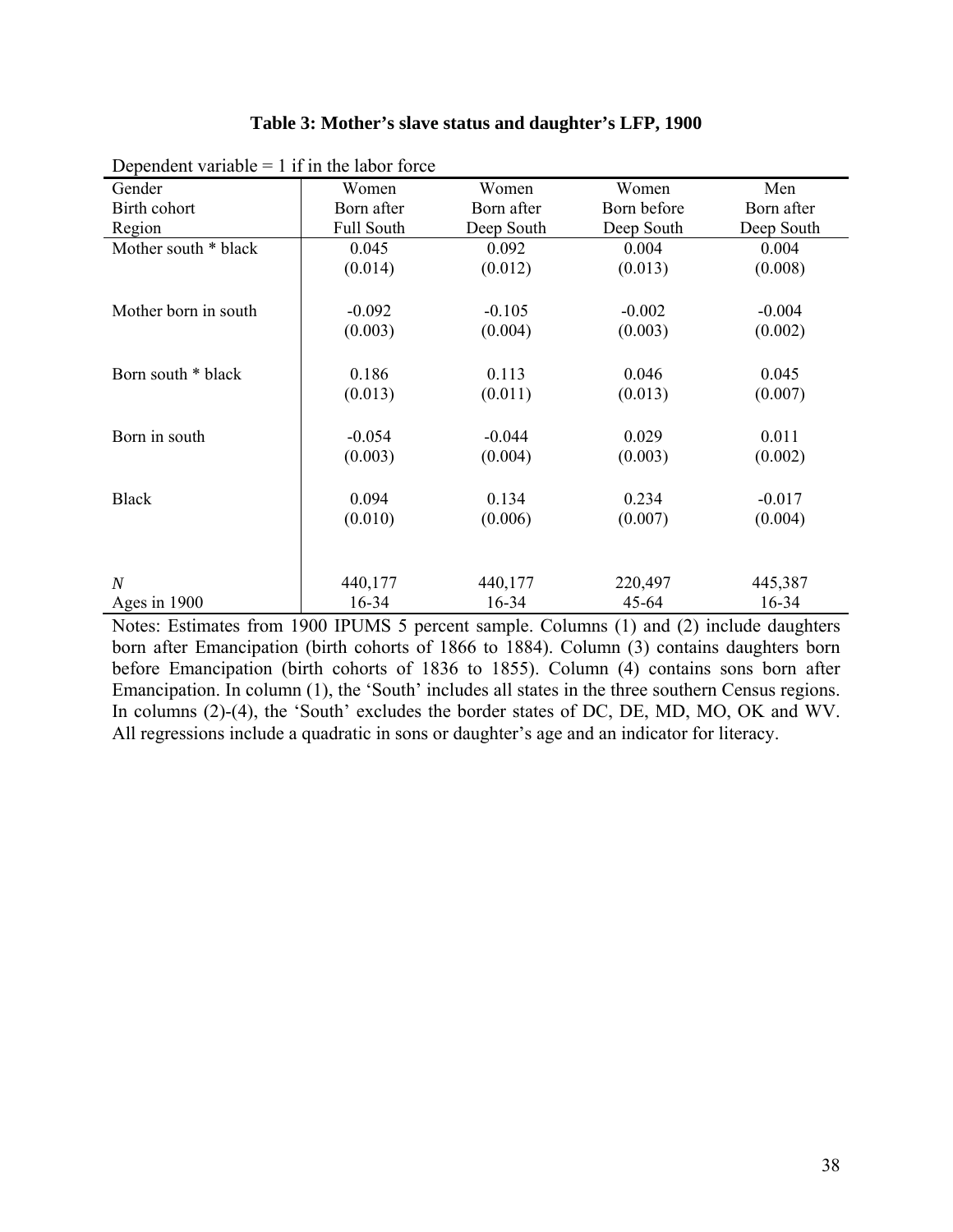| Dependent variable $= 1$ if in the labor force |                   |            |             |            |  |  |  |  |  |  |  |  |
|------------------------------------------------|-------------------|------------|-------------|------------|--|--|--|--|--|--|--|--|
| Gender                                         | Women             | Women      | Women       | Men        |  |  |  |  |  |  |  |  |
| Birth cohort                                   | Born after        | Born after | Born before | Born after |  |  |  |  |  |  |  |  |
| Region                                         | <b>Full South</b> | Deep South | Deep South  | Deep South |  |  |  |  |  |  |  |  |
| Mother south * black                           | 0.045             | 0.092      | 0.004       | 0.004      |  |  |  |  |  |  |  |  |
|                                                | (0.014)           | (0.012)    | (0.013)     | (0.008)    |  |  |  |  |  |  |  |  |
|                                                |                   |            |             |            |  |  |  |  |  |  |  |  |
| Mother born in south                           | $-0.092$          | $-0.105$   | $-0.002$    | $-0.004$   |  |  |  |  |  |  |  |  |
|                                                | (0.003)           | (0.004)    | (0.003)     | (0.002)    |  |  |  |  |  |  |  |  |
| Born south * black                             | 0.186             | 0.113      | 0.046       | 0.045      |  |  |  |  |  |  |  |  |
|                                                | (0.013)           | (0.011)    | (0.013)     | (0.007)    |  |  |  |  |  |  |  |  |
|                                                |                   |            |             |            |  |  |  |  |  |  |  |  |
| Born in south                                  | $-0.054$          | $-0.044$   | 0.029       | 0.011      |  |  |  |  |  |  |  |  |
|                                                | (0.003)           | (0.004)    | (0.003)     | (0.002)    |  |  |  |  |  |  |  |  |
| <b>Black</b>                                   | 0.094             | 0.134      | 0.234       | $-0.017$   |  |  |  |  |  |  |  |  |
|                                                | (0.010)           | (0.006)    | (0.007)     | (0.004)    |  |  |  |  |  |  |  |  |
|                                                |                   |            |             |            |  |  |  |  |  |  |  |  |
| $\boldsymbol{N}$                               | 440,177           | 440,177    | 220,497     | 445,387    |  |  |  |  |  |  |  |  |
| Ages in 1900                                   | 16-34             | 16-34      | $45 - 64$   | 16-34      |  |  |  |  |  |  |  |  |

**Table 3: Mother's slave status and daughter's LFP, 1900** 

Notes: Estimates from 1900 IPUMS 5 percent sample. Columns (1) and (2) include daughters born after Emancipation (birth cohorts of 1866 to 1884). Column (3) contains daughters born before Emancipation (birth cohorts of 1836 to 1855). Column (4) contains sons born after Emancipation. In column (1), the 'South' includes all states in the three southern Census regions. In columns (2)-(4), the 'South' excludes the border states of DC, DE, MD, MO, OK and WV. All regressions include a quadratic in sons or daughter's age and an indicator for literacy.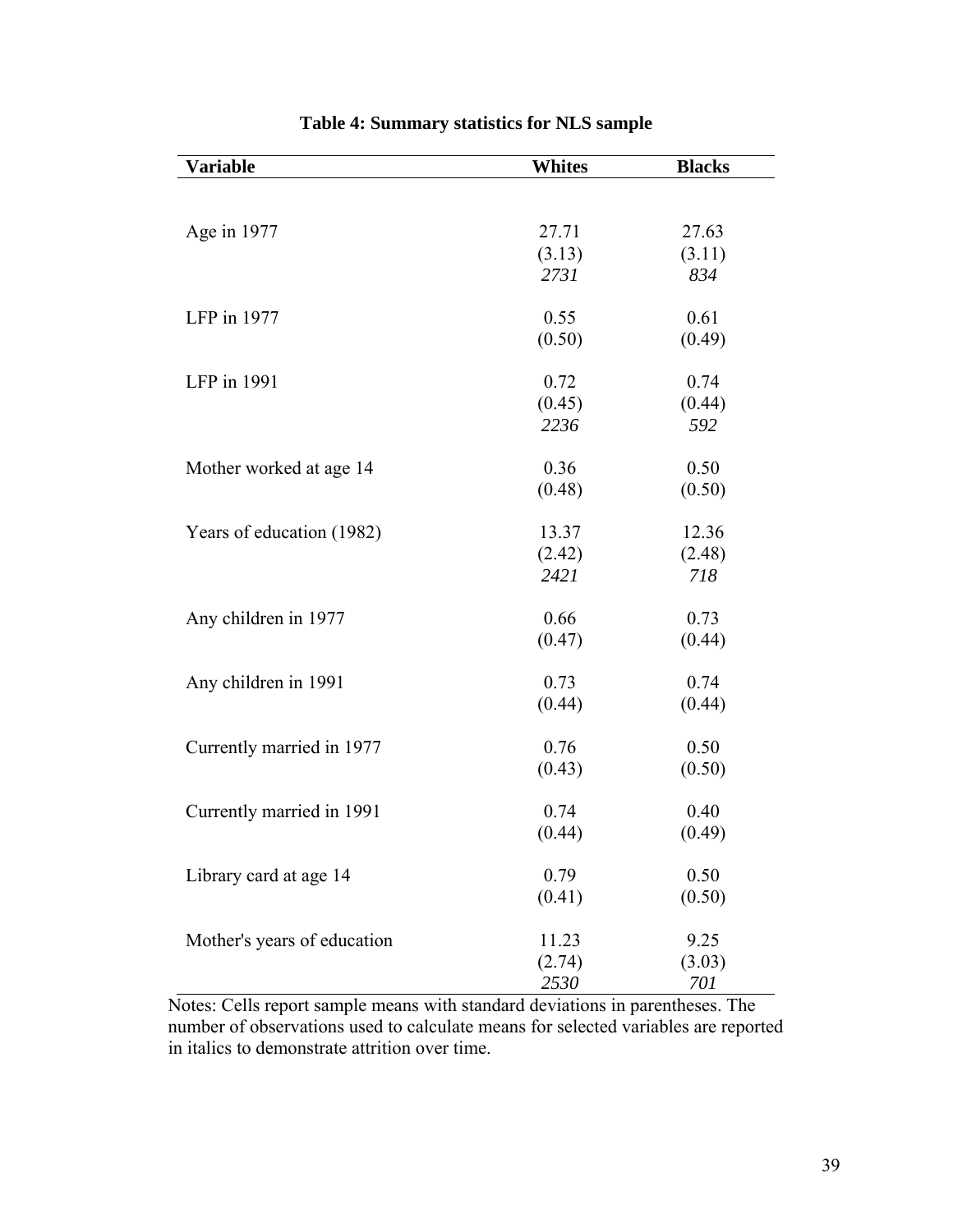| Variable                    | <b>Whites</b> | <b>Blacks</b> |
|-----------------------------|---------------|---------------|
|                             |               |               |
|                             |               |               |
| Age in 1977                 | 27.71         | 27.63         |
|                             | (3.13)        | (3.11)        |
|                             | 2731          | 834           |
| LFP in 1977                 | 0.55          | 0.61          |
|                             | (0.50)        | (0.49)        |
|                             |               |               |
| LFP in 1991                 | 0.72          | 0.74          |
|                             | (0.45)        | (0.44)        |
|                             | 2236          | 592           |
|                             |               |               |
| Mother worked at age 14     | 0.36          | 0.50          |
|                             | (0.48)        | (0.50)        |
| Years of education (1982)   | 13.37         | 12.36         |
|                             | (2.42)        | (2.48)        |
|                             | 2421          | 718           |
| Any children in 1977        | 0.66          | 0.73          |
|                             | (0.47)        | (0.44)        |
|                             |               |               |
| Any children in 1991        | 0.73          | 0.74          |
|                             | (0.44)        | (0.44)        |
| Currently married in 1977   | 0.76          | 0.50          |
|                             | (0.43)        | (0.50)        |
|                             |               |               |
| Currently married in 1991   | 0.74          | 0.40          |
|                             | (0.44)        | (0.49)        |
| Library card at age 14      | 0.79          | 0.50          |
|                             | (0.41)        | (0.50)        |
|                             |               |               |
| Mother's years of education | 11.23         | 9.25          |
|                             | (2.74)        | (3.03)        |
|                             | 2530          | 701           |

# **Table 4: Summary statistics for NLS sample**

Notes: Cells report sample means with standard deviations in parentheses. The number of observations used to calculate means for selected variables are reported in italics to demonstrate attrition over time.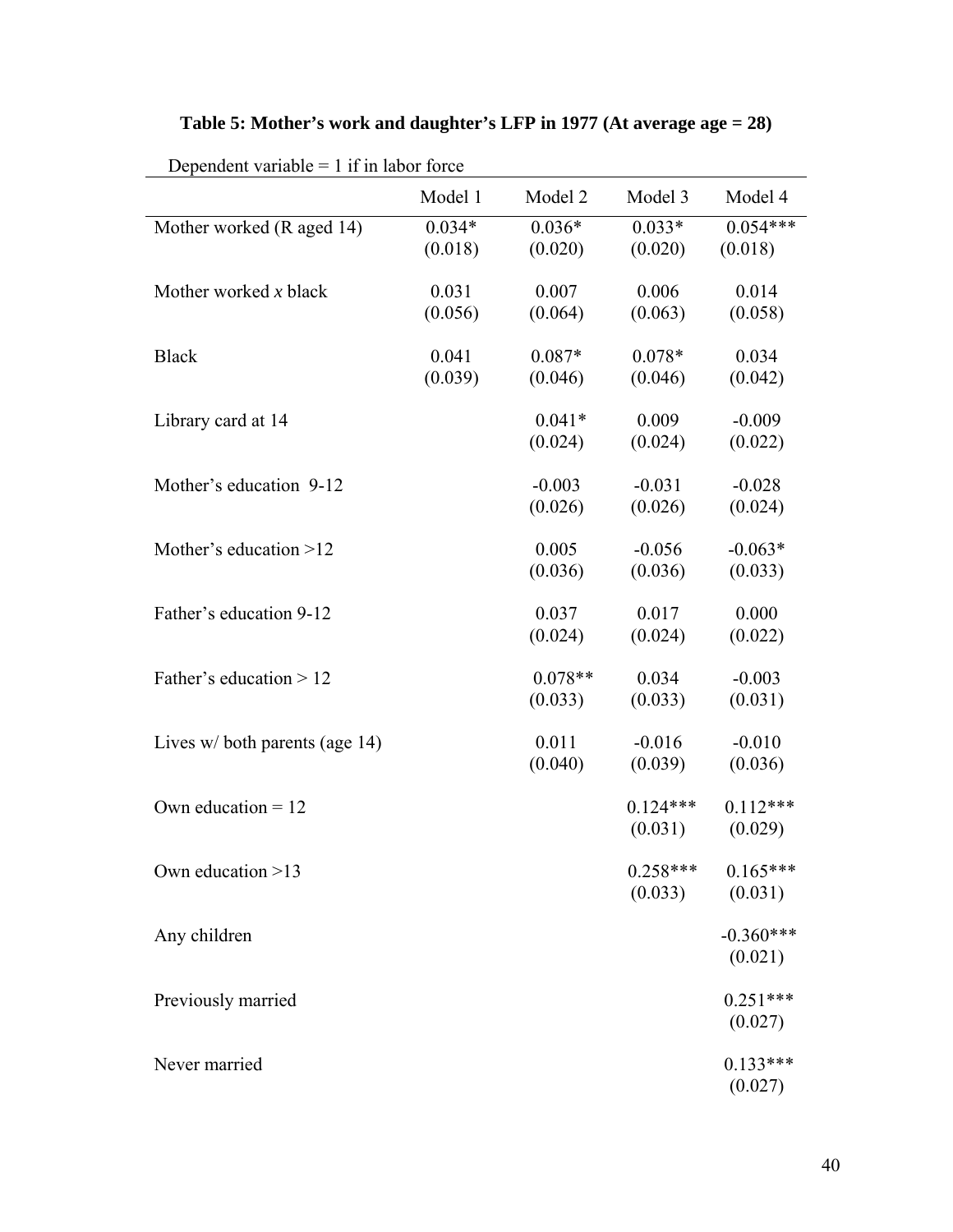| Dependent variable $= 1$ if in labor force |          |           |            |             |
|--------------------------------------------|----------|-----------|------------|-------------|
|                                            | Model 1  | Model 2   | Model 3    | Model 4     |
| Mother worked (R aged 14)                  | $0.034*$ | $0.036*$  | $0.033*$   | $0.054***$  |
|                                            | (0.018)  | (0.020)   | (0.020)    | (0.018)     |
| Mother worked $x$ black                    | 0.031    | 0.007     | 0.006      | 0.014       |
|                                            | (0.056)  | (0.064)   | (0.063)    | (0.058)     |
| <b>Black</b>                               | 0.041    | $0.087*$  | $0.078*$   | 0.034       |
|                                            | (0.039)  | (0.046)   | (0.046)    | (0.042)     |
| Library card at 14                         |          | $0.041*$  | 0.009      | $-0.009$    |
|                                            |          | (0.024)   | (0.024)    | (0.022)     |
| Mother's education 9-12                    |          | $-0.003$  | $-0.031$   | $-0.028$    |
|                                            |          | (0.026)   | (0.026)    | (0.024)     |
| Mother's education $>12$                   |          | 0.005     | $-0.056$   | $-0.063*$   |
|                                            |          | (0.036)   | (0.036)    | (0.033)     |
| Father's education 9-12                    |          | 0.037     | 0.017      | 0.000       |
|                                            |          | (0.024)   | (0.024)    | (0.022)     |
| Father's education $> 12$                  |          | $0.078**$ | 0.034      | $-0.003$    |
|                                            |          | (0.033)   | (0.033)    | (0.031)     |
| Lives $w/$ both parents (age 14)           |          | 0.011     | $-0.016$   | $-0.010$    |
|                                            |          | (0.040)   | (0.039)    | (0.036)     |
| Own education $= 12$                       |          |           | $0.124***$ | $0.112***$  |
|                                            |          |           | (0.031)    | (0.029)     |
| Own education >13                          |          |           | $0.258***$ | $0.165***$  |
|                                            |          |           | (0.033)    | (0.031)     |
| Any children                               |          |           |            | $-0.360***$ |
|                                            |          |           |            | (0.021)     |
| Previously married                         |          |           |            | $0.251***$  |
|                                            |          |           |            | (0.027)     |
| Never married                              |          |           |            | $0.133***$  |

# **Table 5: Mother's work and daughter's LFP in 1977 (At average age = 28)**

(0.027)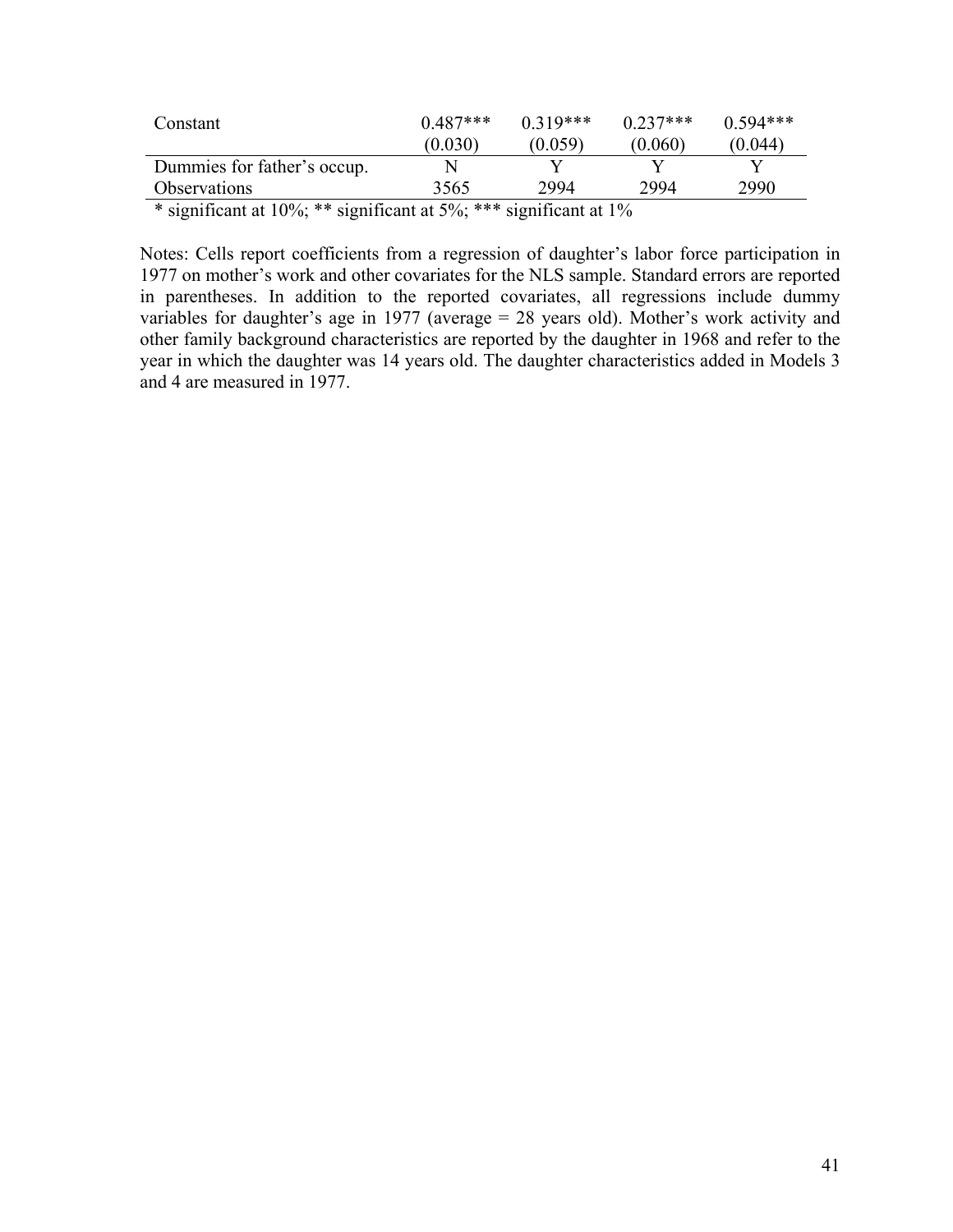| Constant                    | $0.487***$ | $0.319***$ | $0.237***$ | $0.594***$ |  |  |  |  |  |  |  |
|-----------------------------|------------|------------|------------|------------|--|--|--|--|--|--|--|
|                             | (0.030)    | (0.059)    | (0.060)    | (0.044)    |  |  |  |  |  |  |  |
| Dummies for father's occup. |            |            |            |            |  |  |  |  |  |  |  |
| Observations                | 3565       | 2994       | 2994       | 2990       |  |  |  |  |  |  |  |
|                             |            |            |            |            |  |  |  |  |  |  |  |

\* significant at 10%; \*\* significant at 5%; \*\*\* significant at 1%

Notes: Cells report coefficients from a regression of daughter's labor force participation in 1977 on mother's work and other covariates for the NLS sample. Standard errors are reported in parentheses. In addition to the reported covariates, all regressions include dummy variables for daughter's age in 1977 (average = 28 years old). Mother's work activity and other family background characteristics are reported by the daughter in 1968 and refer to the year in which the daughter was 14 years old. The daughter characteristics added in Models 3 and 4 are measured in 1977.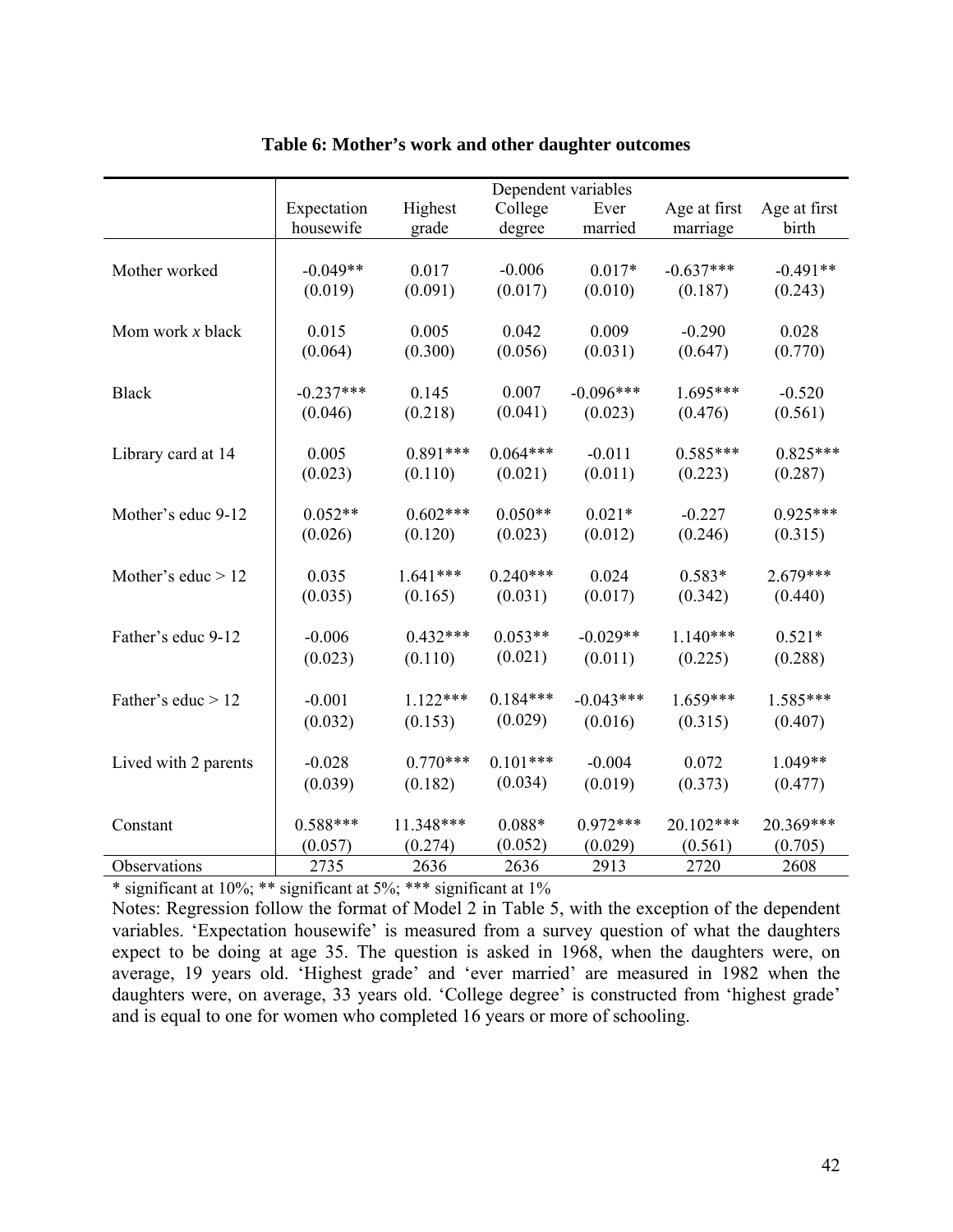|                      |             |            | Dependent variables |             |              |              |
|----------------------|-------------|------------|---------------------|-------------|--------------|--------------|
|                      | Expectation | Highest    | College             | Ever        | Age at first | Age at first |
|                      | housewife   | grade      | degree              | married     | marriage     | birth        |
|                      |             |            |                     |             |              |              |
| Mother worked        | $-0.049**$  | 0.017      | $-0.006$            | $0.017*$    | $-0.637***$  | $-0.491**$   |
|                      | (0.019)     | (0.091)    | (0.017)             | (0.010)     | (0.187)      | (0.243)      |
|                      |             |            |                     |             |              |              |
| Mom work $x$ black   | 0.015       | 0.005      | 0.042               | 0.009       | $-0.290$     | 0.028        |
|                      | (0.064)     | (0.300)    | (0.056)             | (0.031)     | (0.647)      | (0.770)      |
|                      | $-0.237***$ | 0.145      |                     | $-0.096***$ | 1.695***     |              |
| <b>Black</b>         |             |            | 0.007               |             |              | $-0.520$     |
|                      | (0.046)     | (0.218)    | (0.041)             | (0.023)     | (0.476)      | (0.561)      |
| Library card at 14   | 0.005       | $0.891***$ | $0.064***$          | $-0.011$    | $0.585***$   | $0.825***$   |
|                      | (0.023)     | (0.110)    | (0.021)             | (0.011)     | (0.223)      | (0.287)      |
|                      |             |            |                     |             |              |              |
| Mother's educ 9-12   | $0.052**$   | $0.602***$ | $0.050**$           | $0.021*$    | $-0.227$     | $0.925***$   |
|                      | (0.026)     | (0.120)    | (0.023)             | (0.012)     | (0.246)      | (0.315)      |
|                      |             |            |                     |             |              |              |
| Mother's educ $> 12$ | 0.035       | $1.641***$ | $0.240***$          | 0.024       | $0.583*$     | $2.679***$   |
|                      | (0.035)     | (0.165)    | (0.031)             | (0.017)     | (0.342)      | (0.440)      |
|                      |             |            |                     |             |              |              |
| Father's educ 9-12   | $-0.006$    | $0.432***$ | $0.053**$           | $-0.029**$  | $1.140***$   | $0.521*$     |
|                      | (0.023)     | (0.110)    | (0.021)             | (0.011)     | (0.225)      | (0.288)      |
|                      |             |            |                     |             |              |              |
| Father's educ > 12   | $-0.001$    | $1.122***$ | $0.184***$          | $-0.043***$ | $1.659***$   | $1.585***$   |
|                      | (0.032)     | (0.153)    | (0.029)             | (0.016)     | (0.315)      | (0.407)      |
|                      |             |            |                     |             |              |              |
| Lived with 2 parents | $-0.028$    | $0.770***$ | $0.101***$          | $-0.004$    | 0.072        | 1.049**      |
|                      | (0.039)     | (0.182)    | (0.034)             | (0.019)     | (0.373)      | (0.477)      |
|                      |             |            |                     |             |              |              |
| Constant             | $0.588***$  | 11.348***  | $0.088*$            | $0.972***$  | 20.102***    | 20.369***    |
|                      | (0.057)     | (0.274)    | (0.052)             | (0.029)     | (0.561)      | (0.705)      |
| Observations         | 2735        | 2636       | 2636                | 2913        | 2720         | 2608         |

# **Table 6: Mother's work and other daughter outcomes**

\* significant at 10%; \*\* significant at 5%; \*\*\* significant at 1%

Notes: Regression follow the format of Model 2 in Table 5, with the exception of the dependent variables. 'Expectation housewife' is measured from a survey question of what the daughters expect to be doing at age 35. The question is asked in 1968, when the daughters were, on average, 19 years old. 'Highest grade' and 'ever married' are measured in 1982 when the daughters were, on average, 33 years old. 'College degree' is constructed from 'highest grade' and is equal to one for women who completed 16 years or more of schooling.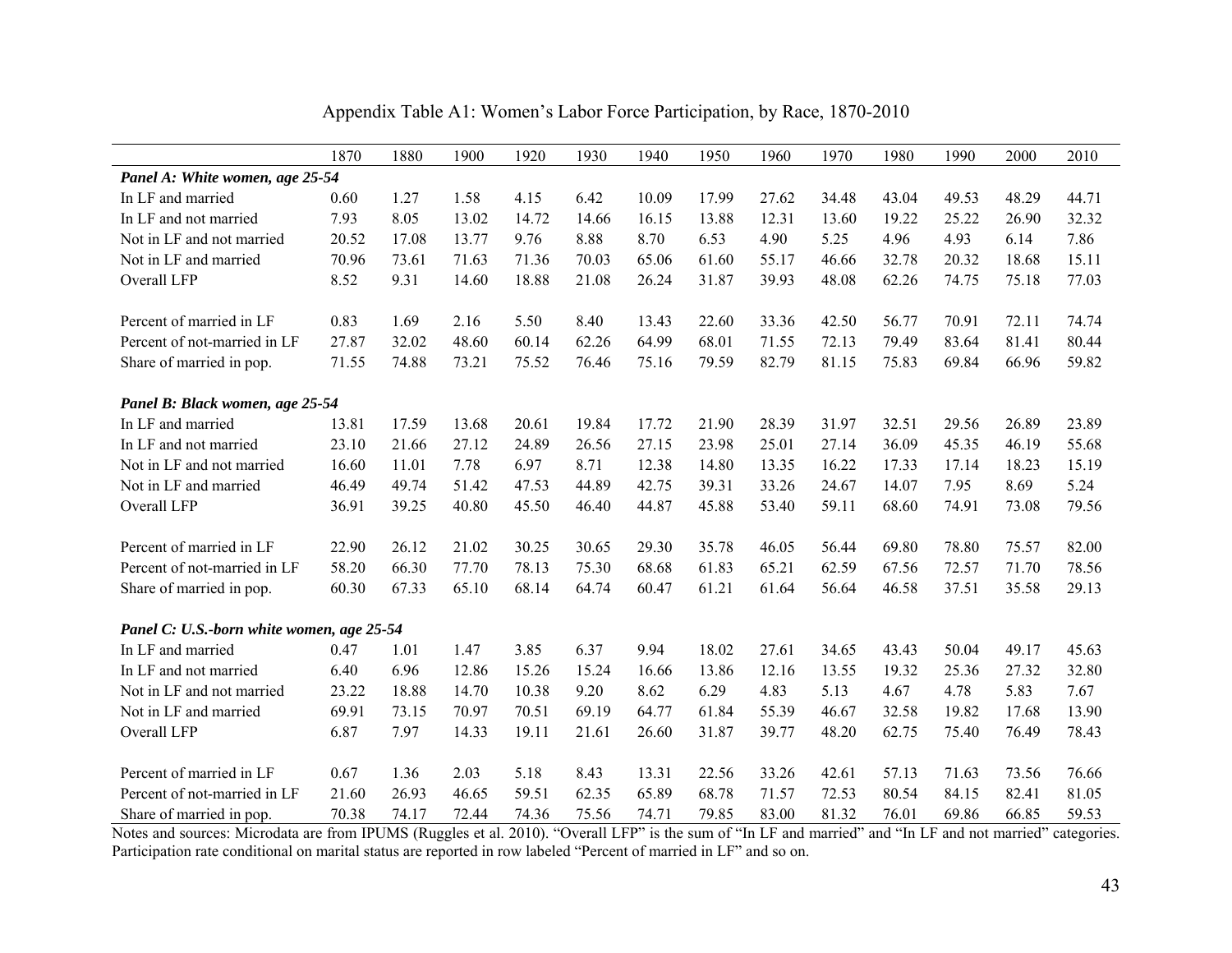|                                           | 1870  | 1880  | 1900  | 1920  | 1930  | 1940  | 1950  | 1960  | 1970  | 1980  | 1990  | 2000  | 2010  |
|-------------------------------------------|-------|-------|-------|-------|-------|-------|-------|-------|-------|-------|-------|-------|-------|
| Panel A: White women, age 25-54           |       |       |       |       |       |       |       |       |       |       |       |       |       |
| In LF and married                         | 0.60  | 1.27  | 1.58  | 4.15  | 6.42  | 10.09 | 17.99 | 27.62 | 34.48 | 43.04 | 49.53 | 48.29 | 44.71 |
| In LF and not married                     | 7.93  | 8.05  | 13.02 | 14.72 | 14.66 | 16.15 | 13.88 | 12.31 | 13.60 | 19.22 | 25.22 | 26.90 | 32.32 |
| Not in LF and not married                 | 20.52 | 17.08 | 13.77 | 9.76  | 8.88  | 8.70  | 6.53  | 4.90  | 5.25  | 4.96  | 4.93  | 6.14  | 7.86  |
| Not in LF and married                     | 70.96 | 73.61 | 71.63 | 71.36 | 70.03 | 65.06 | 61.60 | 55.17 | 46.66 | 32.78 | 20.32 | 18.68 | 15.11 |
| Overall LFP                               | 8.52  | 9.31  | 14.60 | 18.88 | 21.08 | 26.24 | 31.87 | 39.93 | 48.08 | 62.26 | 74.75 | 75.18 | 77.03 |
|                                           |       |       |       |       |       |       |       |       |       |       |       |       |       |
| Percent of married in LF                  | 0.83  | 1.69  | 2.16  | 5.50  | 8.40  | 13.43 | 22.60 | 33.36 | 42.50 | 56.77 | 70.91 | 72.11 | 74.74 |
| Percent of not-married in LF              | 27.87 | 32.02 | 48.60 | 60.14 | 62.26 | 64.99 | 68.01 | 71.55 | 72.13 | 79.49 | 83.64 | 81.41 | 80.44 |
| Share of married in pop.                  | 71.55 | 74.88 | 73.21 | 75.52 | 76.46 | 75.16 | 79.59 | 82.79 | 81.15 | 75.83 | 69.84 | 66.96 | 59.82 |
|                                           |       |       |       |       |       |       |       |       |       |       |       |       |       |
| Panel B: Black women, age 25-54           |       |       |       |       |       |       |       |       |       |       |       |       |       |
| In LF and married                         | 13.81 | 17.59 | 13.68 | 20.61 | 19.84 | 17.72 | 21.90 | 28.39 | 31.97 | 32.51 | 29.56 | 26.89 | 23.89 |
| In LF and not married                     | 23.10 | 21.66 | 27.12 | 24.89 | 26.56 | 27.15 | 23.98 | 25.01 | 27.14 | 36.09 | 45.35 | 46.19 | 55.68 |
| Not in LF and not married                 | 16.60 | 11.01 | 7.78  | 6.97  | 8.71  | 12.38 | 14.80 | 13.35 | 16.22 | 17.33 | 17.14 | 18.23 | 15.19 |
| Not in LF and married                     | 46.49 | 49.74 | 51.42 | 47.53 | 44.89 | 42.75 | 39.31 | 33.26 | 24.67 | 14.07 | 7.95  | 8.69  | 5.24  |
| Overall LFP                               | 36.91 | 39.25 | 40.80 | 45.50 | 46.40 | 44.87 | 45.88 | 53.40 | 59.11 | 68.60 | 74.91 | 73.08 | 79.56 |
|                                           |       |       |       |       |       |       |       |       |       |       |       |       |       |
| Percent of married in LF                  | 22.90 | 26.12 | 21.02 | 30.25 | 30.65 | 29.30 | 35.78 | 46.05 | 56.44 | 69.80 | 78.80 | 75.57 | 82.00 |
| Percent of not-married in LF              | 58.20 | 66.30 | 77.70 | 78.13 | 75.30 | 68.68 | 61.83 | 65.21 | 62.59 | 67.56 | 72.57 | 71.70 | 78.56 |
| Share of married in pop.                  | 60.30 | 67.33 | 65.10 | 68.14 | 64.74 | 60.47 | 61.21 | 61.64 | 56.64 | 46.58 | 37.51 | 35.58 | 29.13 |
|                                           |       |       |       |       |       |       |       |       |       |       |       |       |       |
| Panel C: U.S.-born white women, age 25-54 |       |       |       |       |       |       |       |       |       |       |       |       |       |
| In LF and married                         | 0.47  | 1.01  | 1.47  | 3.85  | 6.37  | 9.94  | 18.02 | 27.61 | 34.65 | 43.43 | 50.04 | 49.17 | 45.63 |
| In LF and not married                     | 6.40  | 6.96  | 12.86 | 15.26 | 15.24 | 16.66 | 13.86 | 12.16 | 13.55 | 19.32 | 25.36 | 27.32 | 32.80 |
| Not in LF and not married                 | 23.22 | 18.88 | 14.70 | 10.38 | 9.20  | 8.62  | 6.29  | 4.83  | 5.13  | 4.67  | 4.78  | 5.83  | 7.67  |
| Not in LF and married                     | 69.91 | 73.15 | 70.97 | 70.51 | 69.19 | 64.77 | 61.84 | 55.39 | 46.67 | 32.58 | 19.82 | 17.68 | 13.90 |
| Overall LFP                               | 6.87  | 7.97  | 14.33 | 19.11 | 21.61 | 26.60 | 31.87 | 39.77 | 48.20 | 62.75 | 75.40 | 76.49 | 78.43 |
|                                           |       |       |       |       |       |       |       |       |       |       |       |       |       |
| Percent of married in LF                  | 0.67  | 1.36  | 2.03  | 5.18  | 8.43  | 13.31 | 22.56 | 33.26 | 42.61 | 57.13 | 71.63 | 73.56 | 76.66 |
| Percent of not-married in LF              | 21.60 | 26.93 | 46.65 | 59.51 | 62.35 | 65.89 | 68.78 | 71.57 | 72.53 | 80.54 | 84.15 | 82.41 | 81.05 |
| Share of married in pop.                  | 70.38 | 74.17 | 72.44 | 74.36 | 75.56 | 74.71 | 79.85 | 83.00 | 81.32 | 76.01 | 69.86 | 66.85 | 59.53 |

Appendix Table A1: Women's Labor Force Participation, by Race, 1870-2010

Notes and sources: Microdata are from IPUMS (Ruggles et al. 2010). "Overall LFP" is the sum of "In LF and married" and "In LF and not married" categories. Participation rate conditional on marital status are reported in row labeled "Percent of married in LF" and so on.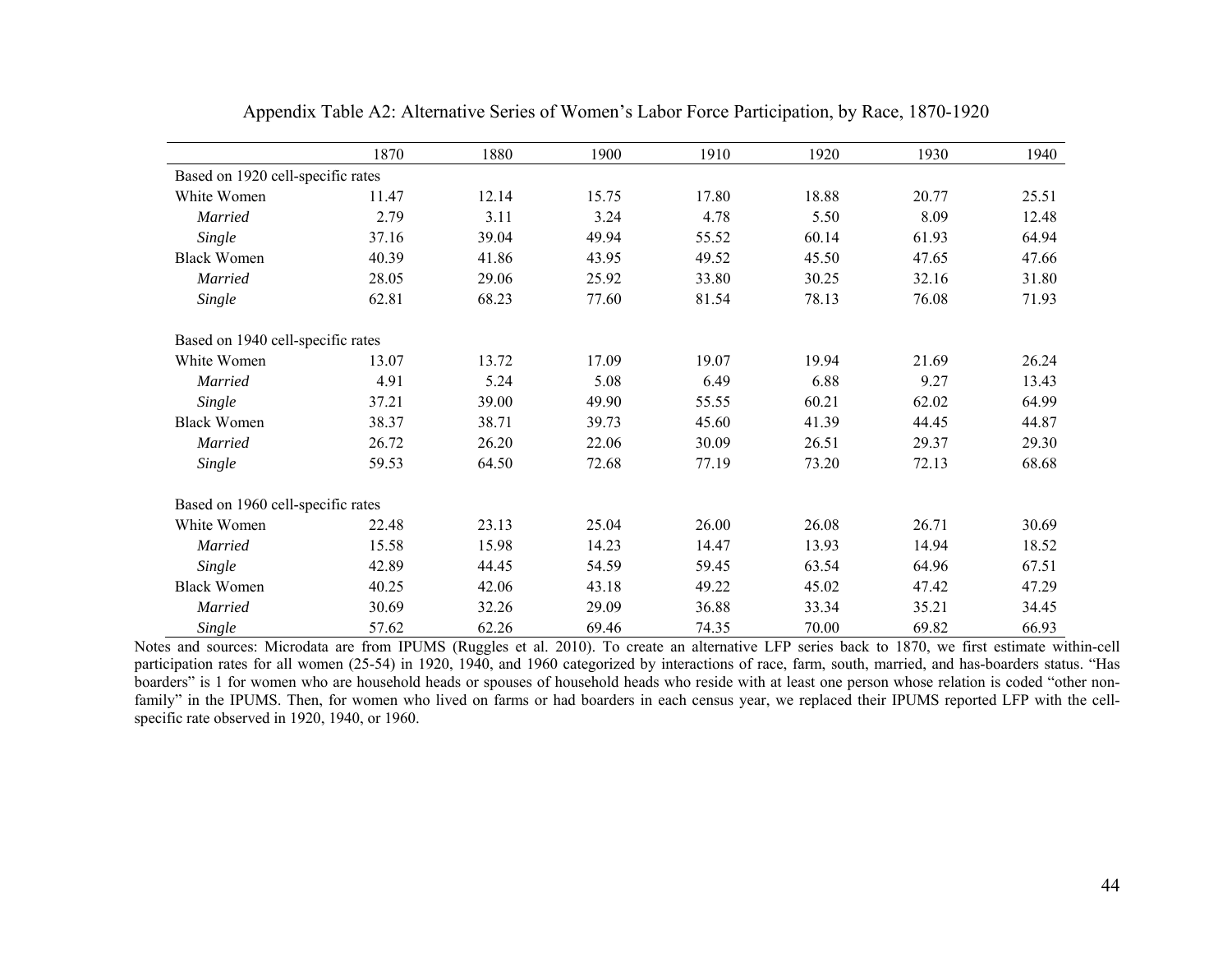|                                   | 1870  | 1880  | 1900  | 1910  | 1920  | 1930  | 1940  |
|-----------------------------------|-------|-------|-------|-------|-------|-------|-------|
| Based on 1920 cell-specific rates |       |       |       |       |       |       |       |
| White Women                       | 11.47 | 12.14 | 15.75 | 17.80 | 18.88 | 20.77 | 25.51 |
| Married                           | 2.79  | 3.11  | 3.24  | 4.78  | 5.50  | 8.09  | 12.48 |
| Single                            | 37.16 | 39.04 | 49.94 | 55.52 | 60.14 | 61.93 | 64.94 |
| <b>Black Women</b>                | 40.39 | 41.86 | 43.95 | 49.52 | 45.50 | 47.65 | 47.66 |
| <b>Married</b>                    | 28.05 | 29.06 | 25.92 | 33.80 | 30.25 | 32.16 | 31.80 |
| Single                            | 62.81 | 68.23 | 77.60 | 81.54 | 78.13 | 76.08 | 71.93 |
| Based on 1940 cell-specific rates |       |       |       |       |       |       |       |
| White Women                       | 13.07 | 13.72 | 17.09 | 19.07 | 19.94 | 21.69 | 26.24 |
| <b>Married</b>                    | 4.91  | 5.24  | 5.08  | 6.49  | 6.88  | 9.27  | 13.43 |
| Single                            | 37.21 | 39.00 | 49.90 | 55.55 | 60.21 | 62.02 | 64.99 |
| <b>Black Women</b>                | 38.37 | 38.71 | 39.73 | 45.60 | 41.39 | 44.45 | 44.87 |
| <b>Married</b>                    | 26.72 | 26.20 | 22.06 | 30.09 | 26.51 | 29.37 | 29.30 |
| Single                            | 59.53 | 64.50 | 72.68 | 77.19 | 73.20 | 72.13 | 68.68 |
| Based on 1960 cell-specific rates |       |       |       |       |       |       |       |
| White Women                       | 22.48 | 23.13 | 25.04 | 26.00 | 26.08 | 26.71 | 30.69 |
| Married                           | 15.58 | 15.98 | 14.23 | 14.47 | 13.93 | 14.94 | 18.52 |
| Single                            | 42.89 | 44.45 | 54.59 | 59.45 | 63.54 | 64.96 | 67.51 |
| <b>Black Women</b>                | 40.25 | 42.06 | 43.18 | 49.22 | 45.02 | 47.42 | 47.29 |
| <b>Married</b>                    | 30.69 | 32.26 | 29.09 | 36.88 | 33.34 | 35.21 | 34.45 |
| Single                            | 57.62 | 62.26 | 69.46 | 74.35 | 70.00 | 69.82 | 66.93 |

Appendix Table A2: Alternative Series of Women's Labor Force Participation, by Race, 1870-1920

Notes and sources: Microdata are from IPUMS (Ruggles et al. 2010). To create an alternative LFP series back to 1870, we first estimate within-cell participation rates for all women (25-54) in 1920, 1940, and 1960 categorized by interactions of race, farm, south, married, and has-boarders status. "Has boarders" is 1 for women who are household heads or spouses of household heads who reside with at least one person whose relation is coded "other nonfamily" in the IPUMS. Then, for women who lived on farms or had boarders in each census year, we replaced their IPUMS reported LFP with the cellspecific rate observed in 1920, 1940, or 1960.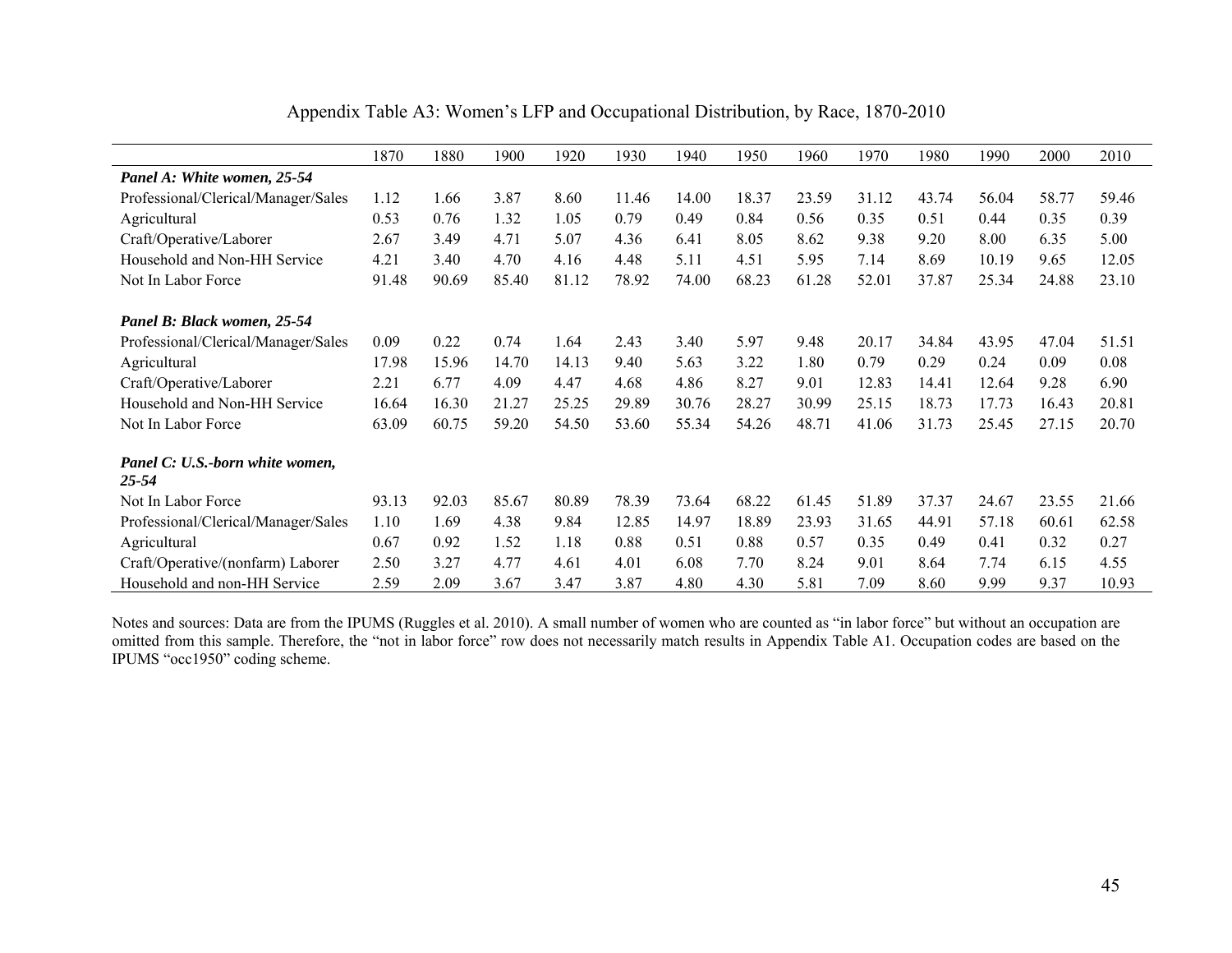|                                              | 1870  | 1880  | 1900  | 1920  | 1930  | 1940  | 1950  | 1960  | 1970  | 1980  | 1990  | 2000  | 2010  |
|----------------------------------------------|-------|-------|-------|-------|-------|-------|-------|-------|-------|-------|-------|-------|-------|
| Panel A: White women, 25-54                  |       |       |       |       |       |       |       |       |       |       |       |       |       |
| Professional/Clerical/Manager/Sales          | 1.12  | 1.66  | 3.87  | 8.60  | 11.46 | 14.00 | 18.37 | 23.59 | 31.12 | 43.74 | 56.04 | 58.77 | 59.46 |
| Agricultural                                 | 0.53  | 0.76  | 1.32  | 1.05  | 0.79  | 0.49  | 0.84  | 0.56  | 0.35  | 0.51  | 0.44  | 0.35  | 0.39  |
| Craft/Operative/Laborer                      | 2.67  | 3.49  | 4.71  | 5.07  | 4.36  | 6.41  | 8.05  | 8.62  | 9.38  | 9.20  | 8.00  | 6.35  | 5.00  |
| Household and Non-HH Service                 | 4.21  | 3.40  | 4.70  | 4.16  | 4.48  | 5.11  | 4.51  | 5.95  | 7.14  | 8.69  | 10.19 | 9.65  | 12.05 |
| Not In Labor Force                           | 91.48 | 90.69 | 85.40 | 81.12 | 78.92 | 74.00 | 68.23 | 61.28 | 52.01 | 37.87 | 25.34 | 24.88 | 23.10 |
|                                              |       |       |       |       |       |       |       |       |       |       |       |       |       |
| Panel B: Black women, 25-54                  |       |       |       |       |       |       |       |       |       |       |       |       |       |
| Professional/Clerical/Manager/Sales          | 0.09  | 0.22  | 0.74  | 1.64  | 2.43  | 3.40  | 5.97  | 9.48  | 20.17 | 34.84 | 43.95 | 47.04 | 51.51 |
| Agricultural                                 | 17.98 | 15.96 | 14.70 | 14.13 | 9.40  | 5.63  | 3.22  | 1.80  | 0.79  | 0.29  | 0.24  | 0.09  | 0.08  |
| Craft/Operative/Laborer                      | 2.21  | 6.77  | 4.09  | 4.47  | 4.68  | 4.86  | 8.27  | 9.01  | 12.83 | 14.41 | 12.64 | 9.28  | 6.90  |
| Household and Non-HH Service                 | 16.64 | 16.30 | 21.27 | 25.25 | 29.89 | 30.76 | 28.27 | 30.99 | 25.15 | 18.73 | 17.73 | 16.43 | 20.81 |
| Not In Labor Force                           | 63.09 | 60.75 | 59.20 | 54.50 | 53.60 | 55.34 | 54.26 | 48.71 | 41.06 | 31.73 | 25.45 | 27.15 | 20.70 |
|                                              |       |       |       |       |       |       |       |       |       |       |       |       |       |
| Panel C: U.S.-born white women,<br>$25 - 54$ |       |       |       |       |       |       |       |       |       |       |       |       |       |
| Not In Labor Force                           | 93.13 | 92.03 | 85.67 | 80.89 | 78.39 | 73.64 | 68.22 | 61.45 | 51.89 | 37.37 | 24.67 | 23.55 | 21.66 |
| Professional/Clerical/Manager/Sales          | 1.10  | 1.69  | 4.38  | 9.84  | 12.85 | 14.97 | 18.89 | 23.93 | 31.65 | 44.91 | 57.18 | 60.61 | 62.58 |
| Agricultural                                 | 0.67  | 0.92  | 1.52  | 1.18  | 0.88  | 0.51  | 0.88  | 0.57  | 0.35  | 0.49  | 0.41  | 0.32  | 0.27  |
| Craft/Operative/(nonfarm) Laborer            | 2.50  | 3.27  | 4.77  | 4.61  | 4.01  | 6.08  | 7.70  | 8.24  | 9.01  | 8.64  | 7.74  | 6.15  | 4.55  |
| Household and non-HH Service                 | 2.59  | 2.09  | 3.67  | 3.47  | 3.87  | 4.80  | 4.30  | 5.81  | 7.09  | 8.60  | 9.99  | 9.37  | 10.93 |

Appendix Table A3: Women's LFP and Occupational Distribution, by Race, 1870-2010

Notes and sources: Data are from the IPUMS (Ruggles et al. 2010). A small number of women who are counted as "in labor force" but without an occupation are omitted from this sample. Therefore, the "not in labor force" row does not necessarily match results in Appendix Table A1. Occupation codes are based on the IPUMS "occ1950" coding scheme.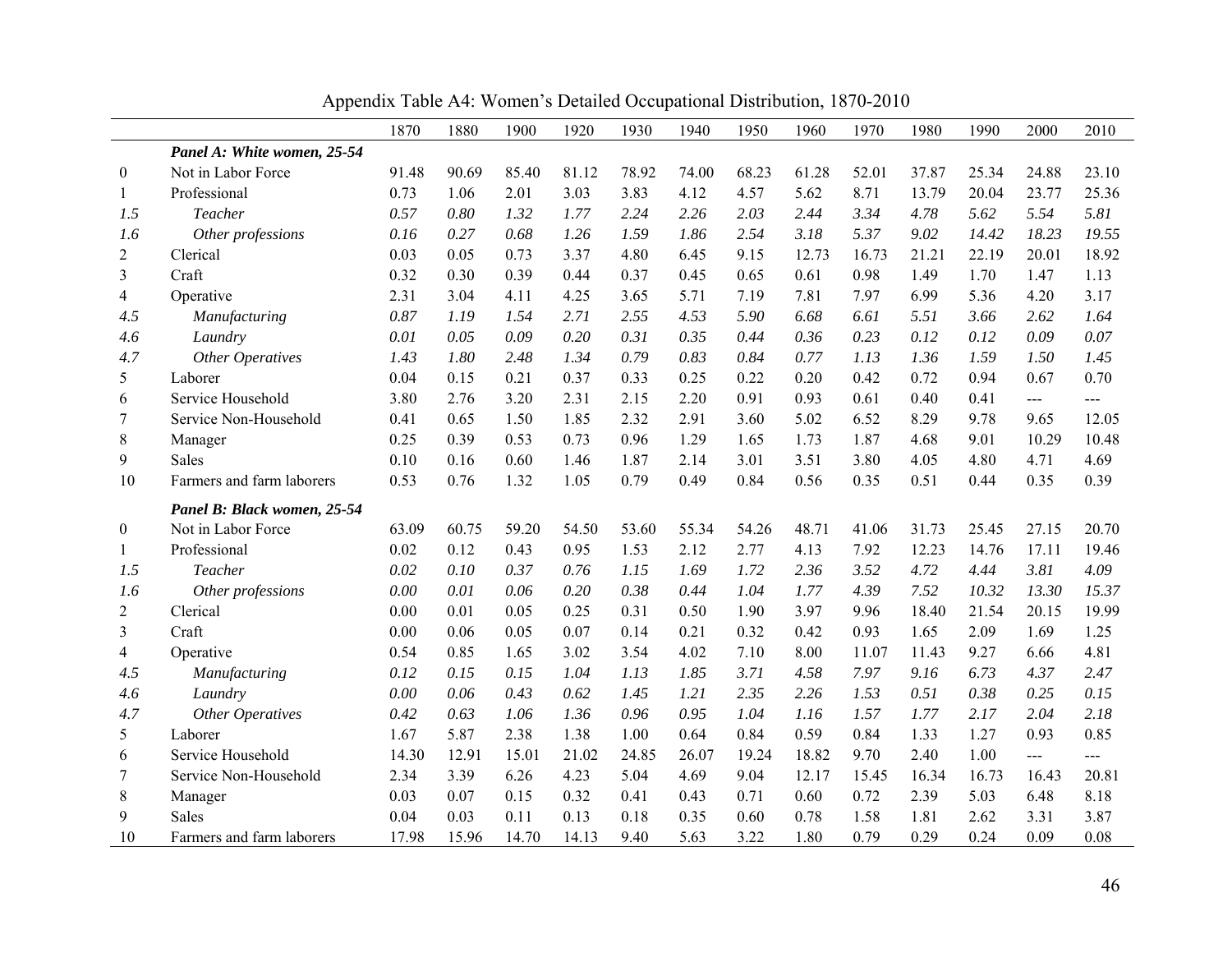|                |                             | 1870  | 1880  | 1900  | 1920  | 1930  | 1940  | 1950  | 1960  | 1970  | 1980  | 1990  | 2000           | 2010  |
|----------------|-----------------------------|-------|-------|-------|-------|-------|-------|-------|-------|-------|-------|-------|----------------|-------|
|                | Panel A: White women, 25-54 |       |       |       |       |       |       |       |       |       |       |       |                |       |
| $\bf{0}$       | Not in Labor Force          | 91.48 | 90.69 | 85.40 | 81.12 | 78.92 | 74.00 | 68.23 | 61.28 | 52.01 | 37.87 | 25.34 | 24.88          | 23.10 |
| 1              | Professional                | 0.73  | 1.06  | 2.01  | 3.03  | 3.83  | 4.12  | 4.57  | 5.62  | 8.71  | 13.79 | 20.04 | 23.77          | 25.36 |
| 1.5            | Teacher                     | 0.57  | 0.80  | 1.32  | 1.77  | 2.24  | 2.26  | 2.03  | 2.44  | 3.34  | 4.78  | 5.62  | 5.54           | 5.81  |
| 1.6            | Other professions           | 0.16  | 0.27  | 0.68  | 1.26  | 1.59  | 1.86  | 2.54  | 3.18  | 5.37  | 9.02  | 14.42 | 18.23          | 19.55 |
| 2              | Clerical                    | 0.03  | 0.05  | 0.73  | 3.37  | 4.80  | 6.45  | 9.15  | 12.73 | 16.73 | 21.21 | 22.19 | 20.01          | 18.92 |
| 3              | Craft                       | 0.32  | 0.30  | 0.39  | 0.44  | 0.37  | 0.45  | 0.65  | 0.61  | 0.98  | 1.49  | 1.70  | 1.47           | 1.13  |
| 4              | Operative                   | 2.31  | 3.04  | 4.11  | 4.25  | 3.65  | 5.71  | 7.19  | 7.81  | 7.97  | 6.99  | 5.36  | 4.20           | 3.17  |
| 4.5            | Manufacturing               | 0.87  | 1.19  | 1.54  | 2.71  | 2.55  | 4.53  | 5.90  | 6.68  | 6.61  | 5.51  | 3.66  | 2.62           | 1.64  |
| 4.6            | Laundry                     | 0.01  | 0.05  | 0.09  | 0.20  | 0.31  | 0.35  | 0.44  | 0.36  | 0.23  | 0.12  | 0.12  | 0.09           | 0.07  |
| 4.7            | <b>Other Operatives</b>     | 1.43  | 1.80  | 2.48  | 1.34  | 0.79  | 0.83  | 0.84  | 0.77  | 1.13  | 1.36  | 1.59  | 1.50           | 1.45  |
| 5              | Laborer                     | 0.04  | 0.15  | 0.21  | 0.37  | 0.33  | 0.25  | 0.22  | 0.20  | 0.42  | 0.72  | 0.94  | 0.67           | 0.70  |
| 6              | Service Household           | 3.80  | 2.76  | 3.20  | 2.31  | 2.15  | 2.20  | 0.91  | 0.93  | 0.61  | 0.40  | 0.41  | $---$          | ---   |
| 7              | Service Non-Household       | 0.41  | 0.65  | 1.50  | 1.85  | 2.32  | 2.91  | 3.60  | 5.02  | 6.52  | 8.29  | 9.78  | 9.65           | 12.05 |
| 8              | Manager                     | 0.25  | 0.39  | 0.53  | 0.73  | 0.96  | 1.29  | 1.65  | 1.73  | 1.87  | 4.68  | 9.01  | 10.29          | 10.48 |
| 9              | Sales                       | 0.10  | 0.16  | 0.60  | 1.46  | 1.87  | 2.14  | 3.01  | 3.51  | 3.80  | 4.05  | 4.80  | 4.71           | 4.69  |
| 10             | Farmers and farm laborers   | 0.53  | 0.76  | 1.32  | 1.05  | 0.79  | 0.49  | 0.84  | 0.56  | 0.35  | 0.51  | 0.44  | 0.35           | 0.39  |
|                | Panel B: Black women, 25-54 |       |       |       |       |       |       |       |       |       |       |       |                |       |
| 0              | Not in Labor Force          | 63.09 | 60.75 | 59.20 | 54.50 | 53.60 | 55.34 | 54.26 | 48.71 | 41.06 | 31.73 | 25.45 | 27.15          | 20.70 |
| 1              | Professional                | 0.02  | 0.12  | 0.43  | 0.95  | 1.53  | 2.12  | 2.77  | 4.13  | 7.92  | 12.23 | 14.76 | 17.11          | 19.46 |
| 1.5            | Teacher                     | 0.02  | 0.10  | 0.37  | 0.76  | 1.15  | 1.69  | 1.72  | 2.36  | 3.52  | 4.72  | 4.44  | 3.81           | 4.09  |
| 1.6            | Other professions           | 0.00  | 0.01  | 0.06  | 0.20  | 0.38  | 0.44  | 1.04  | 1.77  | 4.39  | 7.52  | 10.32 | 13.30          | 15.37 |
| $\overline{2}$ | Clerical                    | 0.00  | 0.01  | 0.05  | 0.25  | 0.31  | 0.50  | 1.90  | 3.97  | 9.96  | 18.40 | 21.54 | 20.15          | 19.99 |
| 3              | Craft                       | 0.00  | 0.06  | 0.05  | 0.07  | 0.14  | 0.21  | 0.32  | 0.42  | 0.93  | 1.65  | 2.09  | 1.69           | 1.25  |
| 4              | Operative                   | 0.54  | 0.85  | 1.65  | 3.02  | 3.54  | 4.02  | 7.10  | 8.00  | 11.07 | 11.43 | 9.27  | 6.66           | 4.81  |
| 4.5            | Manufacturing               | 0.12  | 0.15  | 0.15  | 1.04  | 1.13  | 1.85  | 3.71  | 4.58  | 7.97  | 9.16  | 6.73  | 4.37           | 2.47  |
| 4.6            | Laundry                     | 0.00  | 0.06  | 0.43  | 0.62  | 1.45  | 1.21  | 2.35  | 2.26  | 1.53  | 0.51  | 0.38  | 0.25           | 0.15  |
| 4.7            | Other Operatives            | 0.42  | 0.63  | 1.06  | 1.36  | 0.96  | 0.95  | 1.04  | 1.16  | 1.57  | 1.77  | 2.17  | 2.04           | 2.18  |
| 5              | Laborer                     | 1.67  | 5.87  | 2.38  | 1.38  | 1.00  | 0.64  | 0.84  | 0.59  | 0.84  | 1.33  | 1.27  | 0.93           | 0.85  |
| 6              | Service Household           | 14.30 | 12.91 | 15.01 | 21.02 | 24.85 | 26.07 | 19.24 | 18.82 | 9.70  | 2.40  | 1.00  | $\overline{a}$ | ---   |
| 7              | Service Non-Household       | 2.34  | 3.39  | 6.26  | 4.23  | 5.04  | 4.69  | 9.04  | 12.17 | 15.45 | 16.34 | 16.73 | 16.43          | 20.81 |
| 8              | Manager                     | 0.03  | 0.07  | 0.15  | 0.32  | 0.41  | 0.43  | 0.71  | 0.60  | 0.72  | 2.39  | 5.03  | 6.48           | 8.18  |
| 9              | Sales                       | 0.04  | 0.03  | 0.11  | 0.13  | 0.18  | 0.35  | 0.60  | 0.78  | 1.58  | 1.81  | 2.62  | 3.31           | 3.87  |
| 10             | Farmers and farm laborers   | 17.98 | 15.96 | 14.70 | 14.13 | 9.40  | 5.63  | 3.22  | 1.80  | 0.79  | 0.29  | 0.24  | 0.09           | 0.08  |

Appendix Table A4: Women's Detailed Occupational Distribution, 1870-2010